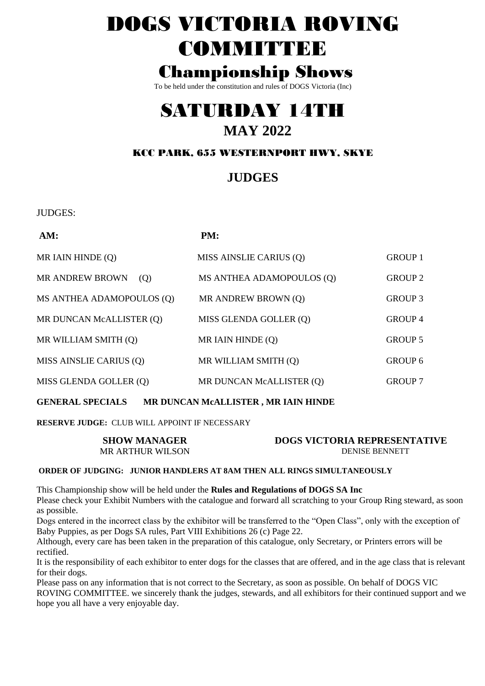# DOGS VICTORIA ROVING **COMMITTEE**

## **Championship Shows**

To be held under the constitution and rules of DOGS Victoria (Inc)

## SATURDAY 14TH **MAY 2022**

## KCC PARK, 655 WESTERNPORT HWY, SKYE

## **JUDGES**

**IUDGES:** 

| AM:                           | PM:                       |                |
|-------------------------------|---------------------------|----------------|
| MR IAIN HINDE (Q)             | MISS AINSLIE CARIUS (Q)   | <b>GROUP 1</b> |
| <b>MR ANDREW BROWN</b><br>(Q) | MS ANTHEA ADAMOPOULOS (Q) | <b>GROUP 2</b> |
| MS ANTHEA ADAMOPOULOS (Q)     | MR ANDREW BROWN (Q)       | GROUP 3        |
| MR DUNCAN McALLISTER (Q)      | MISS GLENDA GOLLER (Q)    | <b>GROUP 4</b> |
| MR WILLIAM SMITH (Q)          | MR IAIN HINDE (Q)         | <b>GROUP 5</b> |
| MISS AINSLIE CARIUS (Q)       | MR WILLIAM SMITH (Q)      | GROUP 6        |
| MISS GLENDA GOLLER (Q)        | MR DUNCAN McALLISTER (Q)  | <b>GROUP 7</b> |
|                               |                           |                |

**GENERAL SPECIALS** MR DUNCAN MCALLISTER, MR IAIN HINDE

RESERVE JUDGE: CLUB WILL APPOINT IF NECESSARY

| <b>SHOW MANAGER</b>     | <b>DOGS VICTORIA REPRESENTATIVE</b> |
|-------------------------|-------------------------------------|
| <b>MR ARTHUR WILSON</b> | <b>DENISE BENNETT</b>               |

## ORDER OF JUDGING: JUNIOR HANDLERS AT 8AM THEN ALL RINGS SIMULTANEOUSLY

This Championship show will be held under the Rules and Regulations of DOGS SA Inc

Please check your Exhibit Numbers with the catalogue and forward all scratching to your Group Ring steward, as soon as possible.

Dogs entered in the incorrect class by the exhibitor will be transferred to the "Open Class", only with the exception of Baby Puppies, as per Dogs SA rules, Part VIII Exhibitions 26 (c) Page 22.

Although, every care has been taken in the preparation of this catalogue, only Secretary, or Printers errors will be rectified.

It is the responsibility of each exhibitor to enter dogs for the classes that are offered, and in the age class that is relevant for their dogs.

Please pass on any information that is not correct to the Secretary, as soon as possible. On behalf of DOGS VIC ROVING COMMITTEE, we sincerely thank the judges, stewards, and all exhibitors for their continued support and we hope you all have a very enjoyable day.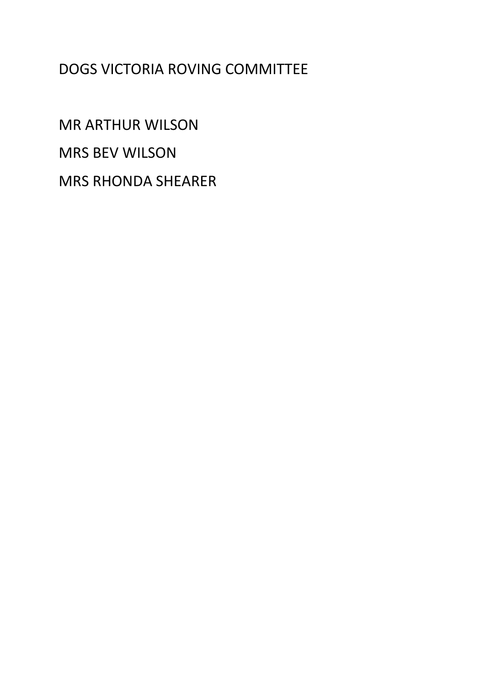## **DOGS VICTORIA ROVING COMMITTEE**

**MR ARTHUR WILSON MRS BEV WILSON MRS RHONDA SHEARER**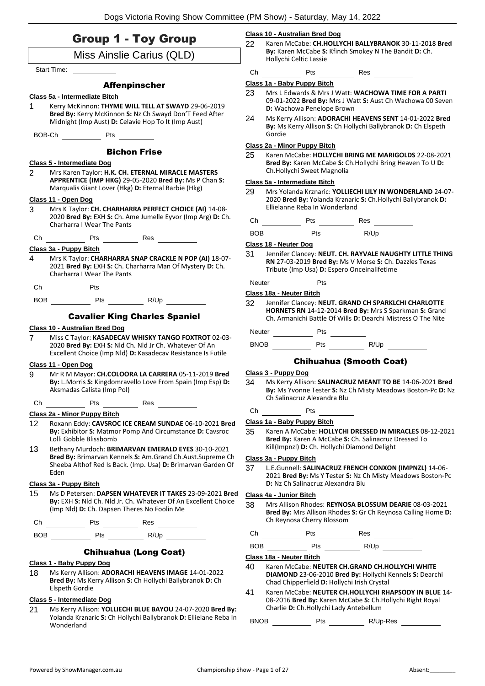| <b>Group 1 - Toy Group</b>                                                                                                                                                     | <b>Class 10 - Australian Bred Dog</b>                                                                                                                                                |  |  |
|--------------------------------------------------------------------------------------------------------------------------------------------------------------------------------|--------------------------------------------------------------------------------------------------------------------------------------------------------------------------------------|--|--|
| Miss Ainslie Carius (QLD)                                                                                                                                                      | 22<br>Karen McCabe: CH.HOLLYCHI BALLYBRANOK 30-11-2018 Bred<br>By: Karen McCabe S: Kfinch Smokey N The Bandit D: Ch.                                                                 |  |  |
| <b>Start Time:</b>                                                                                                                                                             | Hollychi Celtic Lassie                                                                                                                                                               |  |  |
|                                                                                                                                                                                | Ch Pts Res<br>Class 1a - Baby Puppy Bitch                                                                                                                                            |  |  |
| <b>Affenpinscher</b>                                                                                                                                                           | 23<br>Mrs L Edwards & Mrs J Watt: WACHOWA TIME FOR A PARTI                                                                                                                           |  |  |
| Class 5a - Intermediate Bitch<br>1<br>Kerry McKinnon: THYME WILL TELL AT SWAYD 29-06-2019<br>Bred By: Kerry McKinnon S: Nz Ch Swayd Don'T Feed After                           | 09-01-2022 Bred By: Mrs J Watt S: Aust Ch Wachowa 00 Seven<br>D: Wachowa Penelope Brown                                                                                              |  |  |
| Midnight (Imp Aust) D: Celavie Hop To It (Imp Aust)                                                                                                                            | 24<br>Ms Kerry Allison: ADORACHI HEAVENS SENT 14-01-2022 Bred<br>By: Ms Kerry Allison S: Ch Hollychi Ballybranok D: Ch Elspeth<br>Gordie                                             |  |  |
|                                                                                                                                                                                | Class 2a - Minor Puppy Bitch                                                                                                                                                         |  |  |
| <b>Bichon Frise</b><br>Class 5 - Intermediate Dog<br>2<br>Mrs Karen Taylor: H.K. CH. ETERNAL MIRACLE MASTERS                                                                   | 25<br>Karen McCabe: HOLLYCHI BRING ME MARIGOLDS 22-08-2021<br>Bred By: Karen McCabe S: Ch.Hollychi Bring Heaven To U D:<br>Ch.Hollychi Sweet Magnolia                                |  |  |
| APPRENTICE (IMP HKG) 29-05-2020 Bred By: Ms P Chan S:                                                                                                                          | Class 5a - Intermediate Bitch                                                                                                                                                        |  |  |
| Marqualis Giant Lover (Hkg) D: Eternal Barbie (Hkg)<br>Class 11 - Open Dog                                                                                                     | 29<br>Mrs Yolanda Krznaric: YOLLIECHI LILY IN WONDERLAND 24-07-<br>2020 Bred By: Yolanda Krznaric S: Ch.Hollychi Ballybranok D:                                                      |  |  |
| 3<br>Mrs K Taylor: CH. CHARHARRA PERFECT CHOICE (AI) 14-08-<br>2020 Bred By: EXH S: Ch. Ame Jumelle Eyvor (Imp Arg) D: Ch.                                                     | Ellielanne Reba In Wonderland                                                                                                                                                        |  |  |
| <b>Charharra I Wear The Pants</b>                                                                                                                                              |                                                                                                                                                                                      |  |  |
| en and Pts Pts Res<br>Ch                                                                                                                                                       | Class 18 - Neuter Dog                                                                                                                                                                |  |  |
| Class 3a - Puppy Bitch                                                                                                                                                         | 31<br>Jennifer Clancey: NEUT. CH. RAYVALE NAUGHTY LITTLE THING                                                                                                                       |  |  |
| $\overline{4}$<br>Mrs K Taylor: CHARHARRA SNAP CRACKLE N POP (AI) 18-07-<br>2021 Bred By: EXH S: Ch. Charharra Man Of Mystery D: Ch.<br><b>Charharra I Wear The Pants</b>      | RN 27-03-2019 Bred By: Ms V Morse S: Ch. Dazzles Texas<br>Tribute (Imp Usa) D: Espero Onceinalifetime                                                                                |  |  |
|                                                                                                                                                                                | Neuter Pts Pts                                                                                                                                                                       |  |  |
|                                                                                                                                                                                | Class 18a - Neuter Bitch                                                                                                                                                             |  |  |
| <b>Cavalier King Charles Spaniel</b>                                                                                                                                           | 32<br>Jennifer Clancey: NEUT. GRAND CH SPARKLCHI CHARLOTTE<br>HORNETS RN 14-12-2014 Bred By: Mrs S Sparkman S: Grand<br>Ch. Armanichi Battle Of Wills D: Dearchi Mistress O The Nite |  |  |
| Class 10 - Australian Bred Dog<br>$\overline{7}$<br>Miss C Taylor: KASADECAV WHISKY TANGO FOXTROT 02-03-                                                                       | Neuter Pts                                                                                                                                                                           |  |  |
| 2020 Bred By: EXH S: Nld Ch. Nld Jr Ch. Whatever Of An<br>Excellent Choice (Imp Nld) D: Kasadecav Resistance Is Futile                                                         |                                                                                                                                                                                      |  |  |
| Class 11 - Open Dog                                                                                                                                                            | <b>Chihuahua (Smooth Coat)</b>                                                                                                                                                       |  |  |
| 9<br>Mr R M Mayor: CH.COLOORA LA CARRERA 05-11-2019 Bred<br>By: L.Morris S: Kingdomravello Love From Spain (Imp Esp) D:<br>Aksmadas Calista (Imp Pol)                          | Class 3 - Puppy Dog<br>34<br>Ms Kerry Allison: SALINACRUZ MEANT TO BE 14-06-2021 Bred<br>By: Ms Yvonne Tester S: Nz Ch Misty Meadows Boston-Pc D: Nz<br>Ch Salinacruz Alexandra Blu  |  |  |
| Ch                                                                                                                                                                             | Ch<br>Pts $\qquad \qquad \qquad$                                                                                                                                                     |  |  |
| Class 2a - Minor Puppy Bitch                                                                                                                                                   | Class 1a - Baby Puppy Bitch                                                                                                                                                          |  |  |
| 12<br>Roxann Eddy: CAVSROC ICE CREAM SUNDAE 06-10-2021 Bred<br>By: Exhibitor S: Matmor Pomp And Circumstance D: Cavsroc<br>Lolli Gobble Blissbomb                              | 35<br>Karen A McCabe: HOLLYCHI DRESSED IN MIRACLES 08-12-2021<br>Bred By: Karen A McCabe S: Ch. Salinacruz Dressed To<br>Kill(Impnzl) D: Ch. Hollychi Diamond Delight                |  |  |
| 13<br>Bethany Murdoch: BRIMARVAN EMERALD EYES 30-10-2021<br>Bred By: Brimarvan Kennels S: Am. Grand Ch. Aust. Supreme Ch.                                                      |                                                                                                                                                                                      |  |  |
| Sheeba Althof Red Is Back. (Imp. Usa) D: Brimarvan Garden Of<br>Eden                                                                                                           | Class 3a - Puppy Bitch<br>37<br>L.E.Gunnell: SALINACRUZ FRENCH CONXON (IMPNZL) 14-06-<br>2021 Bred By: Ms Y Tester S: Nz Ch Misty Meadows Boston-Pc                                  |  |  |
| Class 3a - Puppy Bitch                                                                                                                                                         | D: Nz Ch Salinacruz Alexandra Blu                                                                                                                                                    |  |  |
| 15<br>Ms D Petersen: DAPSEN WHATEVER IT TAKES 23-09-2021 Bred<br>By: EXH S: Nld Ch. Nld Jr. Ch. Whatever Of An Excellent Choice<br>(Imp Nld) D: Ch. Dapsen Theres No Foolin Me | Class 4a - Junior Bitch<br>38<br>Mrs Allison Rhodes: REYNOSA BLOSSUM DEARIE 08-03-2021<br>Bred By: Mrs Allison Rhodes S: Gr Ch Reynosa Calling Home D:                               |  |  |
|                                                                                                                                                                                | Ch Reynosa Cherry Blossom                                                                                                                                                            |  |  |
|                                                                                                                                                                                |                                                                                                                                                                                      |  |  |
| <b>Chihuahua (Long Coat)</b>                                                                                                                                                   |                                                                                                                                                                                      |  |  |
| Class 1 - Baby Puppy Dog                                                                                                                                                       | Class 18a - Neuter Bitch                                                                                                                                                             |  |  |
| Ms Kerry Allison: ADORACHI HEAVENS IMAGE 14-01-2022<br>18<br>Bred By: Ms Kerry Allison S: Ch Hollychi Ballybranok D: Ch                                                        | 40<br>Karen McCabe: NEUTER CH.GRAND CH.HOLLYCHI WHITE<br>DIAMOND 23-06-2010 Bred By: Hollychi Kennels S: Dearchi<br>Chad Chipperfield D: Hollychi Irish Crystal                      |  |  |
| Elspeth Gordie                                                                                                                                                                 | Karen McCabe: NEUTER CH.HOLLYCHI RHAPSODY IN BLUE 14-<br>41                                                                                                                          |  |  |

- **Class 5 - Intermediate Dog**
- 21 Ms Kerry Allison: **YOLLIECHI BLUE BAYOU** 24-07-2020 **Bred By:** Yolanda Krznaric **S:** Ch Hollychi Ballybranok **D:** Ellielane Reba In Wonderland

Charlie **D:** Ch.Hollychi Lady Antebellum BNOB Pts Pts R/Up-Res

08-2016 **Bred By:** Karen McCabe **S:** Ch.Hollychi Right Royal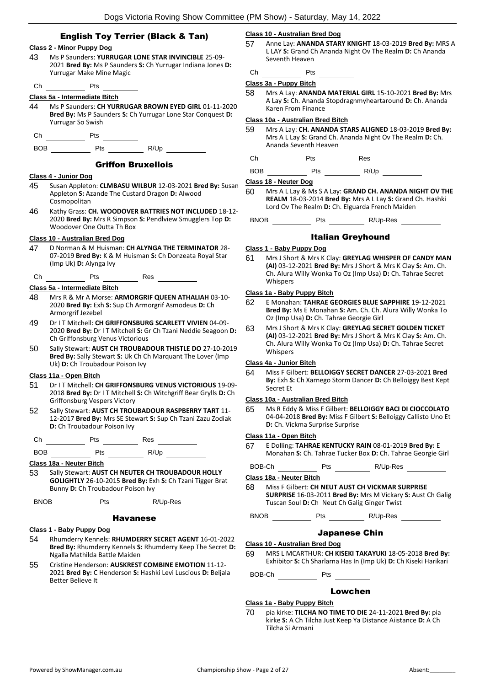## **Class 2 - Minor Puppy Dog**

- 43 Ms P Saunders: **YURRUGAR LONE STAR INVINCIBLE** 25-09- 2021 **Bred By:** Ms P Saunders **S:** Ch Yurrugar Indiana Jones **D:**  Yurrugar Make Mine Magic
- Ch Pts

## **Class 5a - Intermediate Bitch**

- 44 Ms P Saunders: **CH YURRUGAR BROWN EYED GIRL** 01-11-2020 **Bred By:** Ms P Saunders **S:** Ch Yurrugar Lone Star Conquest **D:**  Yurrugar So Swish
- Ch Pts
- BOB Pts R/Up

## Griffon Bruxellois

### **Class 4 - Junior Dog**

- 45 Susan Appleton: **CLMBASU WILBUR** 12-03-2021 **Bred By:** Susan Appleton **S:** Azande The Custard Dragon **D:** Alwood Cosmopolitan
- 46 Kathy Grass: **CH. WOODOVER BATTRIES NOT INCLUDED** 18-12- 2020 **Bred By:** Mrs R Simpson **S:** Pendlview Smugglers Top **D:**  Woodover One Outta Th Box

## **Class 10 - Australian Bred Dog**

47 D Norman & M Huisman: **CH ALYNGA THE TERMINATOR** 28- 07-2019 **Bred By:** K & M Huisman **S:** Ch Donzeata Royal Star (Imp Uk) **D:** Alynga Ivy

Ch Pts Res

## **Class 5a - Intermediate Bitch**

- 48 Mrs R & Mr A Morse: **ARMORGRIF QUEEN ATHALIAH** 03-10- 2020 **Bred By:** Exh **S:** Sup Ch Armorgrif Asmodeus **D:** Ch Armorgrif Jezebel
- 49 Dr I T Mitchell: **CH GRIFFONSBURG SCARLETT VIVIEN** 04-09- 2020 **Bred By:** Dr I T Mitchell **S:** Gr Ch Tzani Neddie Seagoon **D:**  Ch Griffonsburg Venus Victorious
- 50 Sally Stewart: **AUST CH TROUBADOUR THISTLE DO** 27-10-2019 **Bred By:** Sally Stewart **S:** Uk Ch Ch Marquant The Lover (Imp Uk) **D:** Ch Troubadour Poison Ivy

#### **Class 11a - Open Bitch**

- 51 Dr I T Mitchell: **CH GRIFFONSBURG VENUS VICTORIOUS** 19-09- 2018 **Bred By:** Dr I T Mitchell **S:** Ch Witchgriff Bear Grylls **D:** Ch Griffonsburg Vespers Victory
- 52 Sally Stewart: **AUST CH TROUBADOUR RASPBERRY TART** 11- 12-2017 **Bred By:** Mrs SE Stewart **S:** Sup Ch Tzani Zazu Zodiak **D:** Ch Troubadour Poison Ivy

Ch Pts Res

BOB Pts R/Up

#### **Class 18a - Neuter Bitch**

53 Sally Stewart: **AUST CH NEUTER CH TROUBADOUR HOLLY GOLIGHTLY** 26-10-2015 **Bred By:** Exh **S:** Ch Tzani Tigger Brat Bunny **D:** Ch Troubadour Poison Ivy

BNOB Pts R/Up-Res

## Havanese

## **Class 1 - Baby Puppy Dog**

- 54 Rhumderry Kennels: **RHUMDERRY SECRET AGENT** 16-01-2022 **Bred By:** Rhumderry Kennels **S:** Rhumderry Keep The Secret **D:**  Ngalla Mathilda Battle Maiden
- 55 Cristine Henderson: **AUSKREST COMBINE EMOTION** 11-12- 2021 **Bred By:** C Henderson **S:** Hashki Levi Luscious **D:** Beljala Better Believe It

## **Class 10 - Australian Bred Dog**

57 Anne Lay: **ANANDA STARY KNIGHT** 18-03-2019 **Bred By:** MRS A L LAY **S:** Grand Ch Ananda Night Ov The Realm **D:** Ch Ananda Seventh Heaven

 $Ch$  Pts  $I$ 

## **Class 3a - Puppy Bitch**

58 Mrs A Lay: **ANANDA MATERIAL GIRL** 15-10-2021 **Bred By:** Mrs A Lay **S:** Ch. Ananda Stopdragnmyheartaround **D:** Ch. Ananda Karen From Finance

## **Class 10a - Australian Bred Bitch**

59 Mrs A Lay: **CH. ANANDA STARS ALIGNED** 18-03-2019 **Bred By:** Mrs A L Lay **S:** Grand Ch. Ananda Night Ov The Realm **D:** Ch. Ananda Seventh Heaven

Ch Pts Res

BOB Pts R/Up

#### **Class 18 - Neuter Dog**

60 Mrs A L Lay & Ms S A Lay: **GRAND CH. ANANDA NIGHT OV THE REALM** 18-03-2014 **Bred By:** Mrs A L Lay **S:** Grand Ch. Hashki Lord Ov The Realm **D:** Ch. Elguarda French Maiden

BNOB Pts R/Up-Res

## Italian Greyhound

#### **Class 1 - Baby Puppy Dog**

61 Mrs J Short & Mrs K Clay: **GREYLAG WHISPER OF CANDY MAN (AI)** 03-12-2021 **Bred By:** Mrs J Short & Mrs K Clay **S:** Am. Ch. Ch. Alura Willy Wonka To Oz (Imp Usa) **D:** Ch. Tahrae Secret Whispers

## **Class 1a - Baby Puppy Bitch**

- 62 E Monahan: **TAHRAE GEORGIES BLUE SAPPHIRE** 19-12-2021 **Bred By:** Ms E Monahan **S:** Am. Ch. Ch. Alura Willy Wonka To Oz (Imp Usa) **D:** Ch. Tahrae Georgie Girl
- 63 Mrs J Short & Mrs K Clay: **GREYLAG SECRET GOLDEN TICKET (AI)** 03-12-2021 **Bred By:** Mrs J Short & Mrs K Clay **S:** Am. Ch. Ch. Alura Willy Wonka To Oz (Imp Usa) **D:** Ch. Tahrae Secret Whispers

## **Class 4a - Junior Bitch**

64 Miss F Gilbert: **BELLOIGGY SECRET DANCER** 27-03-2021 **Bred By:** Exh **S:** Ch Xarnego Storm Dancer **D:** Ch Belloiggy Best Kept Secret Et

## **Class 10a - Australian Bred Bitch**

65 Ms R Eddy & Miss F Gilbert: **BELLOIGGY BACI DI CIOCCOLATO** 04-04-2018 **Bred By:** Miss F Gilbert **S:** Belloiggy Callisto Uno Et **D:** Ch. Vickma Surprise Surprise

## **Class 11a - Open Bitch**

- 67 E Dolling: **TAHRAE KENTUCKY RAIN** 08-01-2019 **Bred By:** E Monahan **S:** Ch. Tahrae Tucker Box **D:** Ch. Tahrae Georgie Girl
- BOB-Ch Pts R/Up-Res R

## **Class 18a - Neuter Bitch**

- 68 Miss F Gilbert: **CH NEUT AUST CH VICKMAR SURPRISE SURPRISE** 16-03-2011 **Bred By:** Mrs M Vickary **S:** Aust Ch Galig Tuscan Soul **D:** Ch Neut Ch Galig Ginger Twist
- BNOB Pts R/Up-Res

## Japanese Chin

#### **Class 10 - Australian Bred Dog**

69 MRS L MCARTHUR: **CH KISEKI TAKAYUKI** 18-05-2018 **Bred By:** Exhibitor **S:** Ch Sharlarna Has In (Imp Uk) **D:** Ch Kiseki Harikari

## BOB-Ch Pts

## Lowchen

## **Class 1a - Baby Puppy Bitch**

70 pia kirke: **TILCHA NO TIME TO DIE** 24-11-2021 **Bred By:** pia kirke **S:** A Ch Tilcha Just Keep Ya Distance Aiistance **D:** A Ch Tilcha Si Armani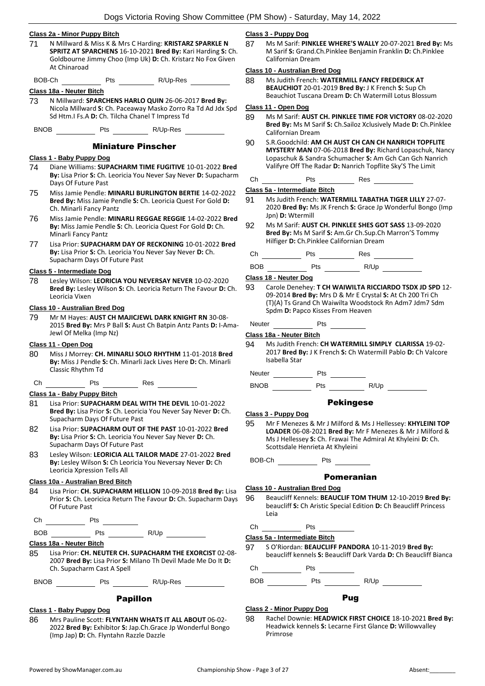#### **Class 2a - Minor Puppy Bitch**

- 71 N Millward & Miss K & Mrs C Harding: **KRISTARZ SPARKLE N SPRITZ AT SPARCHENS** 16-10-2021 **Bred By:** Kari Harding **S:** Ch. Goldbourne Jimmy Choo (Imp Uk) **D:** Ch. Kristarz No Fox Given At Chinaroad
- BOB-Ch Pts Pts R/Up-Res

#### **Class 18a - Neuter Bitch**

73 N Millward: **SPARCHENS HARLO QUIN** 26-06-2017 **Bred By:** Nicola Millward **S:** Ch. Paceaway Masko Zorro Ra Td Ad Jdx Spd Sd Htm.I Fs.A **D:** Ch. Tilcha Chanel T Impress Td

BNOB Pts R/Up-Res

## Miniature Pinscher

## **Class 1 - Baby Puppy Dog**

- 74 Diane Williams: **SUPACHARM TIME FUGITIVE** 10-01-2022 **Bred By:** Lisa Prior **S:** Ch. Leoricia You Never Say Never **D:** Supacharm Days Of Future Past
- 75 Miss Jamie Pendle: **MINARLI BURLINGTON BERTIE** 14-02-2022 **Bred By:** Miss Jamie Pendle **S:** Ch. Leoricia Quest For Gold **D:**  Ch. Minarli Fancy Pantz
- 76 Miss Jamie Pendle: **MINARLI REGGAE REGGIE** 14-02-2022 **Bred By:** Miss Jamie Pendle **S:** Ch. Leoricia Quest For Gold **D:** Ch. Minarli Fancy Pantz
- 77 Lisa Prior: **SUPACHARM DAY OF RECKONING** 10-01-2022 **Bred By:** Lisa Prior **S:** Ch. Leoricia You Never Say Never **D:** Ch. Supacharm Days Of Future Past

## **Class 5 - Intermediate Dog**

78 Lesley Wilson: **LEORICIA YOU NEVERSAY NEVER** 10-02-2020 **Bred By:** Lesley Wilson **S:** Ch. Leoricia Return The Favour **D:** Ch. Leoricia Vixen

## **Class 10 - Australian Bred Dog**

79 Mr M Hayes: **AUST CH MAJICJEWL DARK KNIGHT RN** 30-08- 2015 **Bred By:** Mrs P Ball **S:** Aust Ch Batpin Antz Pants **D:** I-Ama-Jewl Of Melka (Imp Nz)

## **Class 11 - Open Dog**

- 80 Miss J Morrey: **CH. MINARLI SOLO RHYTHM** 11-01-2018 **Bred By:** Miss J Pendle **S:** Ch. Minarli Jack Lives Here **D:** Ch. Minarli Classic Rhythm Td
- Ch Pts Res

## **Class 1a - Baby Puppy Bitch**

- 81 Lisa Prior: **SUPACHARM DEAL WITH THE DEVIL** 10-01-2022 **Bred By:** Lisa Prior **S:** Ch. Leoricia You Never Say Never **D:** Ch. Supacharm Days Of Future Past
- 82 Lisa Prior: **SUPACHARM OUT OF THE PAST** 10-01-2022 **Bred By:** Lisa Prior **S:** Ch. Leoricia You Never Say Never **D:** Ch. Supacharm Days Of Future Past
- 83 Lesley Wilson: **LEORICIA ALL TAILOR MADE** 27-01-2022 **Bred By:** Lesley Wilson **S:** Ch Leoricia You Neversay Never **D:** Ch Leoricia Xpression Tells All

#### **Class 10a - Australian Bred Bitch**

84 Lisa Prior: **CH. SUPACHARM HELLION** 10-09-2018 **Bred By:** Lisa Prior **S:** Ch. Leoricica Return The Favour **D:** Ch. Supacharm Days Of Future Past

| $\sim$ | $-$ |  |
|--------|-----|--|
|        |     |  |

BOB Pts R/Up

## **Class 18a - Neuter Bitch**

85 Lisa Prior: **CH. NEUTER CH. SUPACHARM THE EXORCIST** 02-08- 2007 **Bred By:** Lisa Prior **S:** Milano Th Devil Made Me Do It **D:**  Ch. Supacharm Cast A Spell

BNOB Pts R/Up-Res

## Papillon

#### **Class 1 - Baby Puppy Dog**

86 Mrs Pauline Scott: **FLYNTAHN WHATS IT ALL ABOUT** 06-02- 2022 **Bred By:** Exhibitor **S:** Jap.Ch.Grace Jp Wonderful Bongo (Imp Jap) **D:** Ch. Flyntahn Razzle Dazzle

## **Class 3 - Puppy Dog**

87 Ms M Sarif: **PINKLEE WHERE'S WALLY** 20-07-2021 **Bred By:** Ms M Sarif **S:** Grand.Ch.Pinklee Benjamin Franklin **D:** Ch.Pinklee Californian Dream

#### **Class 10 - Australian Bred Dog**

88 Ms Judith French: **WATERMILL FANCY FREDERICK AT BEAUCHIOT** 20-01-2019 **Bred By:** J K French **S:** Sup Ch Beauchiot Tuscana Dream **D:** Ch Watermill Lotus Blossum

## **Class 11 - Open Dog**

- 89 Ms M Sarif: **AUST CH. PINKLEE TIME FOR VICTORY** 08-02-2020 **Bred By:** Ms M Sarif **S:** Ch.Sailoz Xclusively Made **D:** Ch.Pinklee Californian Dream
- 90 S.R.Goodchild: **AM CH AUST CH CAN CH NANRICH TOPFLITE MYSTERY MAN** 07-06-2018 **Bred By:** Richard Lopaschuk, Nancy Lopaschuk & Sandra Schumacher **S:** Am Gch Can Gch Nanrich Valifyre Off The Radar **D:** Nanrich Topflite Sky'S The Limit

## Ch Pts Res

#### **Class 5a - Intermediate Bitch**

- 91 Ms Judith French: **WATERMILL TABATHA TIGER LILLY** 27-07- 2020 **Bred By:** Ms JK French **S:** Grace Jp Wonderful Bongo (Imp Jpn) **D:** Wtermill
- 92 Ms M Sarif: **AUST CH. PINKLEE SHES GOT SASS** 13-09-2020 **Bred By:** Ms M Sarif **S:** Am.Gr Ch.Sup.Ch Marron'S Tommy Hilfiger **D:** Ch.Pinklee Californian Dream

Ch Pts Res

| <b>BOB</b><br>--- | ີ<br>$ -$ | " In<br>$\cdot$ $\cdot$ |
|-------------------|-----------|-------------------------|
|                   |           |                         |

#### **Class 18 - Neuter Dog**

93 Carole Denehey: **T CH WAIWILTA RICCIARDO TSDX JD SPD** 12- 09-2014 **Bred By:** Mrs D & Mr E Crystal **S:** At Ch 200 Tri Ch (T)(A) Ts Grand Ch Waiwilta Woodstock Rn Adm7 Jdm7 Sdm Spdm **D:** Papco Kisses From Heaven

Neuter Pts

#### **Class 18a - Neuter Bitch**

94 Ms Judith French: **CH WATERMILL SIMPLY CLARISSA** 19-02- 2017 **Bred By:** J K French **S:** Ch Watermill Pablo **D:** Ch Valcore Isabella Star

Neuter Pts

BNOB Pts R/Up

## Pekingese

#### **Class 3 - Puppy Dog**

95 Mr F Menezes & Mr J Milford & Ms J Hellessey: **KHYLEINI TOP LOADER** 06-08-2021 **Bred By:** Mr F Menezes & Mr J Milford & Ms J Hellessey **S:** Ch. Frawai The Admiral At Khyleini **D:** Ch. Scottsdale Henrieta At Khyleini

## Pomeranian

#### **Class 10 - Australian Bred Dog**

- 96 Beaucliff Kennels: **BEAUCLIF TOM THUM** 12-10-2019 **Bred By:** beaucliff **S:** Ch Aristic Special Edition **D:** Ch Beaucliff Princess Leia
- $Ch$  Pts  $I$

## **Class 5a - Intermediate Bitch**

97 S O'Riordan: **BEAUCLIFF PANDORA** 10-11-2019 **Bred By:** beaucliff kennels **S:** Beaucliff Dark Varda **D:** Ch Beaucliff Bianca

 $Ch$  Pts

BOB Pts R/Up

## Pug

## **Class 2 - Minor Puppy Dog**

98 Rachel Downie: **HEADWICK FIRST CHOICE** 18-10-2021 **Bred By:** Headwick kennels **S:** Lecarne First Glance **D:** Willowvalley Primrose

BOB-Ch Pts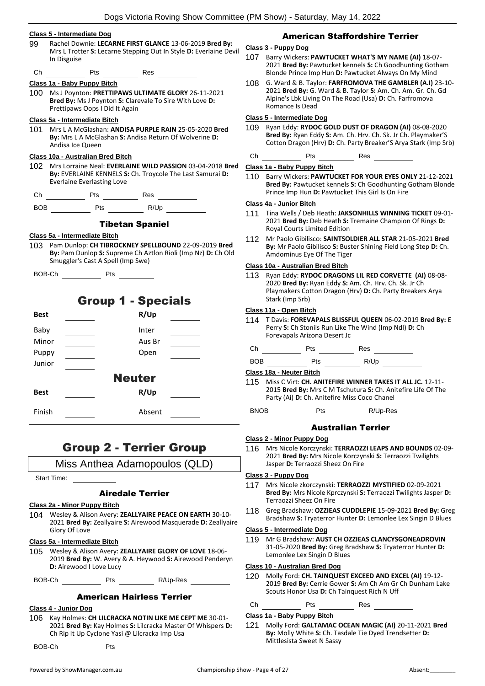|             |                                   |                                                         | Dogs Victoria Roving Show Committee                                                                                          |
|-------------|-----------------------------------|---------------------------------------------------------|------------------------------------------------------------------------------------------------------------------------------|
|             | Class 5 - Intermediate Dog        |                                                         |                                                                                                                              |
| 99          | In Disguise                       |                                                         | Rachel Downie: LECARNE FIRST GLANCE 13-06-2019 Bred By:<br>Mrs L Trotter S: Lecarne Stepping Out In Style D: Everlaine Devil |
|             |                                   |                                                         |                                                                                                                              |
|             | Class 1a - Baby Puppy Bitch       |                                                         |                                                                                                                              |
|             | Prettipaws Oops I Did It Again    | Bred By: Ms J Poynton S: Clarevale To Sire With Love D: | 100 Ms J Poynton: PRETTIPAWS ULTIMATE GLORY 26-11-2021                                                                       |
|             | Class 5a - Intermediate Bitch     |                                                         |                                                                                                                              |
| 101         | Andisa Ice Queen                  |                                                         | Mrs L A McGlashan: ANDISA PURPLE RAIN 25-05-2020 Bred<br>By: Mrs L A McGlashan S: Andisa Return Of Wolverine D:              |
|             | Class 10a - Australian Bred Bitch |                                                         |                                                                                                                              |
| 102         | <b>Everlaine Everlasting Love</b> |                                                         | Mrs Lorraine Neal: EVERLAINE WILD PASSION 03-04-2018 Bred<br>By: EVERLAINE KENNELS S: Ch. Troycole The Last Samurai D:       |
|             |                                   |                                                         |                                                                                                                              |
|             |                                   |                                                         |                                                                                                                              |
|             |                                   | <b>Tibetan Spaniel</b>                                  |                                                                                                                              |
|             |                                   |                                                         |                                                                                                                              |
|             | Class 5a - Intermediate Bitch     |                                                         |                                                                                                                              |
|             | Smuggler's Cast A Spell (Imp Swe) |                                                         |                                                                                                                              |
|             | BOB-Ch Pts                        |                                                         |                                                                                                                              |
|             |                                   |                                                         |                                                                                                                              |
| <b>Best</b> |                                   | <b>Group 1 - Specials</b><br>R/Up                       |                                                                                                                              |
| Baby        |                                   | Inter                                                   |                                                                                                                              |
| Minor       |                                   | Aus Br                                                  |                                                                                                                              |
| Puppy       |                                   | Open                                                    | 103 Pam Dunlop: CH TIBROCKNEY SPELLBOUND 22-09-2019 Bred                                                                     |
| Junior      |                                   |                                                         | By: Pam Dunlop S: Supreme Ch Aztlon Rioli (Imp Nz) D: Ch Old                                                                 |

## Group 2 - Terrier Group

Miss Anthea Adamopoulos (QLD)

Start Time:

## Airedale Terrier

## **Class 2a - Minor Puppy Bitch**

**Best R/Up**

Finish Absent

104 Wesley & Alison Avery: **ZEALLYAIRE PEACE ON EARTH** 30-10- 2021 **Bred By:** Zeallyaire **S:** Airewood Masquerade **D:** Zeallyaire Glory Of Love

## **Class 5a - Intermediate Bitch**

105 Wesley & Alison Avery: **ZEALLYAIRE GLORY OF LOVE** 18-06- 2019 **Bred By:** W. Avery & A. Heywood **S:** Airewood Penderyn **D:** Airewood I Love Lucy

BOB-Ch Pts R/Up-Res

## American Hairless Terrier

#### **Class 4 - Junior Dog**

106 Kay Holmes: **CH LILCRACKA NOTIN LIKE ME CEPT ME** 30-01- 2021 **Bred By:** Kay Holmes **S:** Lilcracka Master Of Whispers **D:**  Ch Rip It Up Cyclone Yasi @ Lilcracka Imp Usa

BOB-Ch Pts

## American Staffordshire Terrier

## **Class 3 - Puppy Dog**

- 107 Barry Wickers: **PAWTUCKET WHAT'S MY NAME (AI)** 18-07- 2021 **Bred By:** Pawtucket kennels **S:** Ch Goodhunting Gotham Blonde Prince Imp Hun **D:** Pawtucket Always On My Mind
- 108 G. Ward & B. Taylor: **FARFROMOVA THE GAMBLER (A.I)** 23-10- 2021 **Bred By:** G. Ward & B. Taylor **S:** Am. Ch. Am. Gr. Ch. Gd Alpine's Lbk Living On The Road (Usa) **D:** Ch. Farfromova Romance Is Dead

#### **Class 5 - Intermediate Dog**

109 Ryan Eddy: **RYDOC GOLD DUST OF DRAGON (AI)** 08-08-2020 **Bred By:** Ryan Eddy **S:** Am. Ch. Hrv. Ch. Sk. Jr Ch. Playmaker'S Cotton Dragon (Hrv) **D:** Ch. Party Breaker'S Arya Stark (Imp Srb)

## Ch Pts Res

## **Class 1a - Baby Puppy Bitch**

110 Barry Wickers: **PAWTUCKET FOR YOUR EYES ONLY** 21-12-2021 **Bred By:** Pawtucket kennels **S:** Ch Goodhunting Gotham Blonde Prince Imp Hun **D:** Pawtucket This Girl Is On Fire

## **Class 4a - Junior Bitch**

- 111 Tina Wells / Deb Heath: **JAKSONHILLS WINNING TICKET** 09-01- 2021 **Bred By:** Deb Heath **S:** Tremaine Champion Of Rings **D:**  Royal Courts Limited Edition
- 112 Mr Paolo Gibilisco: **SAINTSOLDIER ALL STAR** 21-05-2021 **Bred By:** Mr Paolo Gibilisco **S:** Buster Shining Field Long Step **D:** Ch. Amdominus Eye Of The Tiger

## **Class 10a - Australian Bred Bitch**

113 Ryan Eddy: **RYDOC DRAGONS LIL RED CORVETTE (AI)** 08-08- 2020 **Bred By:** Ryan Eddy **S:** Am. Ch. Hrv. Ch. Sk. Jr Ch Playmakers Cotton Dragon (Hrv) **D:** Ch. Party Breakers Arya Stark (Imp Srb)

#### **Class 11a - Open Bitch**

114 T Davis: **FOREVAPALS BLISSFUL QUEEN** 06-02-2019 **Bred By:** E Perry **S:** Ch Stonils Run Like The Wind (Imp Ndl) **D:** Ch Forevapals Arizona Desert Jc

| Сh         | Pts | Res  |
|------------|-----|------|
| <b>BOB</b> | Pts | R/Up |

#### **Class 18a - Neuter Bitch**

- 115 Miss C Virt: **CH. ANITEFIRE WINNER TAKES IT ALL JC.** 12-11- 2015 **Bred By:** Mrs C M Tschutura **S:** Ch. Anitefire Life Of The Party (Ai) **D:** Ch. Anitefire Miss Coco Chanel
- BNOB Pts R/Up-Res

## Australian Terrier

#### **Class 2 - Minor Puppy Dog**

116 Mrs Nicole Korczynski: **TERRAOZZI LEAPS AND BOUNDS** 02-09- 2021 **Bred By:** Mrs Nicole Korczynski **S:** Terraozzi Twilights Jasper **D:** Terraozzi Sheez On Fire

## **Class 3 - Puppy Dog**

- 117 Mrs Nicole zkorczynski: **TERRAOZZI MYSTIFIED** 02-09-2021 **Bred By:** Mrs Nicole Kprczynski **S:** Terraozzi Twilights Jasper **D:**  Terraozzi Sheez On Fire
- 118 Greg Bradshaw: **OZZIEAS CUDDLEPIE** 15-09-2021 **Bred By:** Greg Bradshaw **S:** Tryaterror Hunter **D:** Lemonlee Lex Singin D Blues

#### **Class 5 - Intermediate Dog**

119 Mr G Bradshaw: **AUST CH OZZIEAS CLANCYSGONEADROVIN** 31-05-2020 **Bred By:** Greg Bradshaw **S:** Tryaterror Hunter **D:**  Lemonlee Lex Singin D Blues

#### **Class 10 - Australian Bred Dog**

120 Molly Ford: **CH. TAINQUEST EXCEED AND EXCEL (AI)** 19-12- 2019 **Bred By:** Cerrie Gower **S:** Am Ch Am Gr Ch Dunham Lake Scouts Honor Usa **D:** Ch Tainquest Rich N Uff

## Ch Pts Res

#### **Class 1a - Baby Puppy Bitch**

121 Molly Ford: **GALTAMAC OCEAN MAGIC (AI)** 20-11-2021 **Bred By:** Molly White **S:** Ch. Tasdale Tie Dyed Trendsetter **D:**  Mittlesista Sweet N Sassy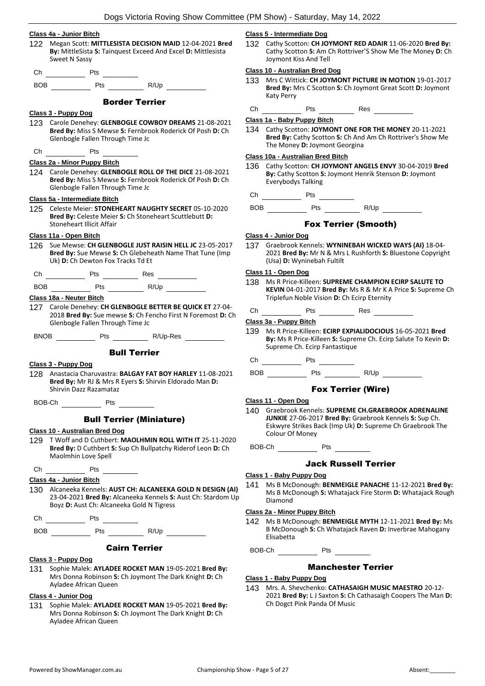#### **Class 4a - Junior Bitch**

- 122 Megan Scott: **MITTLESISTA DECISION MAID** 12-04-2021 **Bred By:** MittleSista **S:** Tainquest Exceed And Excel **D:** Mittlesista Sweet N Sassy
- Ch Pts

BOB Pts R/Up

## Border Terrier

## **Class 3 - Puppy Dog**

123 Carole Denehey: **GLENBOGLE COWBOY DREAMS** 21-08-2021 **Bred By:** Miss S Mewse **S:** Fernbrook Roderick Of Posh **D:** Ch Glenbogle Fallen Through Time Jc

## $\overline{\phantom{a}}$  Pts  $\overline{\phantom{a}}$

## **Class 2a - Minor Puppy Bitch**

124 Carole Denehey: **GLENBOGLE ROLL OF THE DICE** 21-08-2021 **Bred By:** Miss S Mewse **S:** Fernbrook Roderick Of Posh **D:** Ch Glenbogle Fallen Through Time Jc

## **Class 5a - Intermediate Bitch**

125 Celeste Meier: **STONEHEART NAUGHTY SECRET** 05-10-2020 **Bred By:** Celeste Meier **S:** Ch Stoneheart Scuttlebutt **D:**  Stoneheart Illicit Affair

## **Class 11a - Open Bitch**

126 Sue Mewse: **CH GLENBOGLE JUST RAISIN HELL JC** 23-05-2017 **Bred By:** Sue Mewse **S:** Ch Glebeheath Name That Tune (Imp Uk) **D:** Ch Dewton Fox Tracks Td Et

Ch Pts Res

BOB Pts R/Up

**Class 18a - Neuter Bitch**

127 Carole Denehey: **CH GLENBOGLE BETTER BE QUICK ET** 27-04- 2018 **Bred By:** Sue mewse **S:** Ch Fencho First N Foremost **D:** Ch Glenbogle Fallen Through Time Jc

BNOB Pts R/Up-Res

## Bull Terrier

#### **Class 3 - Puppy Dog**

128 Anastacia Charuvastra: **BALGAY FAT BOY HARLEY** 11-08-2021 **Bred By:** Mr RJ & Mrs R Eyers **S:** Shirvin Eldorado Man **D:**  Shirvin Dazz Razamataz

BOB-Ch Pts

## Bull Terrier (Miniature)

## **Class 10 - Australian Bred Dog**

129 T Woff and D Cuthbert: **MAOLHMIN ROLL WITH IT** 25-11-2020 **Bred By:** D Cuthbert **S:** Sup Ch Bullpatchy Riderof Leon **D:** Ch Maolmhin Love Spell

## Ch Pts

## **Class 4a - Junior Bitch**

130 Alcaneeka Kennels: **AUST CH: ALCANEEKA GOLD N DESIGN (AI)** 23-04-2021 **Bred By:** Alcaneeka Kennels **S:** Aust Ch: Stardom Up Boyz **D:** Aust Ch: Alcaneeka Gold N Tigress

| -r<br>---<br>__ | -- |  |
|-----------------|----|--|
|                 |    |  |

BOB Pts R/Up

## Cairn Terrier

## **Class 3 - Puppy Dog**

131 Sophie Malek: **AYLADEE ROCKET MAN** 19-05-2021 **Bred By:** Mrs Donna Robinson **S:** Ch Joymont The Dark Knight **D:** Ch Ayladee African Queen

## **Class 4 - Junior Dog**

131 Sophie Malek: **AYLADEE ROCKET MAN** 19-05-2021 **Bred By:** Mrs Donna Robinson **S:** Ch Joymont The Dark Knight **D:** Ch Ayladee African Queen

#### **Class 5 - Intermediate Dog**

132 Cathy Scotton: **CH JOYMONT RED ADAIR** 11-06-2020 **Bred By:** Cathy Scotton **S:** Am Ch Rottriver'S Show Me The Money **D:** Ch Joymont Kiss And Tell

## **Class 10 - Australian Bred Dog**

- 133 Mrs C Wittick: **CH JOYMONT PICTURE IN MOTION** 19-01-2017 **Bred By:** Mrs C Scotton **S:** Ch Joymont Great Scott **D:** Joymont Katy Perry
- Ch Pts Res

**Class 1a - Baby Puppy Bitch**

134 Cathy Scotton: **JOYMONT ONE FOR THE MONEY** 20-11-2021 **Bred By:** Cathy Scotton **S:** Ch And Am Ch Rottriver's Show Me The Money **D:** Joymont Georgina

## **Class 10a - Australian Bred Bitch**

- 136 Cathy Scotton: **CH JOYMONT ANGELS ENVY** 30-04-2019 **Bred By:** Cathy Scotton **S:** Joymont Henrik Stenson **D:** Joymont Everybodys Talking
- Ch Pts
- BOB Pts R/Up

## Fox Terrier (Smooth)

#### **Class 4 - Junior Dog**

137 Graebrook Kennels: **WYNINEBAH WICKED WAYS (AI)** 18-04- 2021 **Bred By:** Mr N & Mrs L Rushforth **S:** Bluestone Copyright (Usa) **D:** Wyninebah Fultilt

## **Class 11 - Open Dog**

- 138 Ms R Price-Killeen: **SUPREME CHAMPION ECIRP SALUTE TO KEVIN** 04-01-2017 **Bred By:** Ms R & Mr K A Price **S:** Supreme Ch Triplefun Noble Vision **D:** Ch Ecirp Eternity
- Ch Pts Res

## **Class 3a - Puppy Bitch**

139 Ms R Price-Killeen: **ECIRP EXPIALIDOCIOUS** 16-05-2021 **Bred By:** Ms R Price-Killeen **S:** Supreme Ch. Ecirp Salute To Kevin **D:**  Supreme Ch. Ecirp Fantastique

Ch Pts

BOB Pts R/Up

## Fox Terrier (Wire)

#### **Class 11 - Open Dog**

140 Graebrook Kennels: **SUPREME CH.GRAEBROOK ADRENALINE JUNKIE** 27-06-2017 **Bred By:** Graebrook Kennels **S:** Sup Ch. Eskwyre Strikes Back (Imp Uk) **D:** Supreme Ch Graebrook The Colour Of Money

BOB-Ch Pts

## Jack Russell Terrier

## **Class 1 - Baby Puppy Dog**

141 Ms B McDonough: **BENMEIGLE PANACHE** 11-12-2021 **Bred By:** Ms B McDonough **S:** Whatajack Fire Storm **D:** Whatajack Rough Diamond

## **Class 2a - Minor Puppy Bitch**

142 Ms B McDonough: **BENMEIGLE MYTH** 12-11-2021 **Bred By:** Ms B McDonough **S:** Ch Whatajack Raven **D:** Inverbrae Mahogany Elisabetta

BOB-Ch Pts

## Manchester Terrier

#### **Class 1 - Baby Puppy Dog**

143 Mrs. A. Shevchenko: **CATHASAIGH MUSIC MAESTRO** 20-12- 2021 **Bred By:** L J Saxton **S:** Ch Cathasaigh Coopers The Man **D:**  Ch Dogct Pink Panda Of Music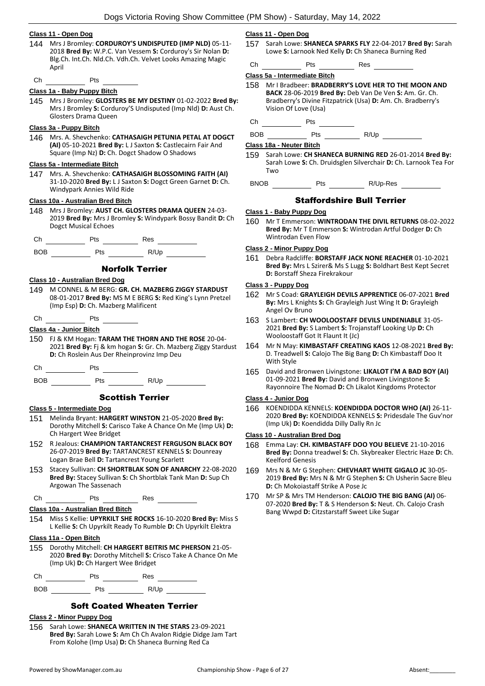## **Class 11 - Open Dog**

- 144 Mrs J Bromley: **CORDUROY'S UNDISPUTED (IMP NLD)** 05-11- 2018 **Bred By:** W.P.C. Van Vessem **S:** Corduroy's Sir Nolan **D:**  Blg.Ch. Int.Ch. Nld.Ch. Vdh.Ch. Velvet Looks Amazing Magic April
- Ch Pts

#### **Class 1a - Baby Puppy Bitch**

145 Mrs J Bromley: **GLOSTERS BE MY DESTINY** 01-02-2022 **Bred By:** Mrs J Bromley **S:** Corduroy'S Undisputed (Imp Nld) **D:** Aust Ch. Glosters Drama Queen

## **Class 3a - Puppy Bitch**

146 Mrs. A. Shevchenko: **CATHASAIGH PETUNIA PETAL AT DOGCT (AI)** 05-10-2021 **Bred By:** L J Saxton **S:** Castlecairn Fair And Square (Imp Nz) **D:** Ch. Dogct Shadow O Shadows

## **Class 5a - Intermediate Bitch**

147 Mrs. A. Shevchenko: **CATHASAIGH BLOSSOMING FAITH (AI)** 31-10-2020 **Bred By:** L J Saxton **S:** Dogct Green Garnet **D:** Ch. Windypark Annies Wild Ride

#### **Class 10a - Australian Bred Bitch**

148 Mrs J Bromley: **AUST CH. GLOSTERS DRAMA QUEEN** 24-03- 2019 **Bred By:** Mrs J Bromley **S:** Windypark Bossy Bandit **D:** Ch Dogct Musical Echoes

| C<br>.n<br>$\cdot$ |  | RAS<br>__ |  |
|--------------------|--|-----------|--|
|                    |  |           |  |

| ROR<br>____ | 'ts<br>$-$ | $R/1$ In<br>$\cdot$ v $\sim$ $\cdot$ |  |
|-------------|------------|--------------------------------------|--|
|             |            |                                      |  |

## Norfolk Terrier

## **Class 10 - Australian Bred Dog**

- 149 M CONNEL & M BERG: **GR. CH. MAZBERG ZIGGY STARDUST** 08-01-2017 **Bred By:** MS M E BERG **S:** Red King's Lynn Pretzel (Imp Esp) **D:** Ch. Mazberg Malificent
- $ch$  Pts

## **Class 4a - Junior Bitch**

- 150 FJ & KM Hogan: **TARAM THE THORN AND THE ROSE** 20-04- 2021 **Bred By:** Fj & km hogan **S:** Gr. Ch. Mazberg Ziggy Stardust **D:** Ch Roslein Aus Der Rheinprovinz Imp Deu
- $Ch$  Pts  $I$
- BOB Pts R/Up

## Scottish Terrier

## **Class 5 - Intermediate Dog**

- 151 Melinda Bryant: **HARGERT WINSTON** 21-05-2020 **Bred By:** Dorothy Mitchell **S:** Carisco Take A Chance On Me (Imp Uk) **D:**  Ch Hargert Wee Bridget
- 152 R Jealous: **CHAMPION TARTANCREST FERGUSON BLACK BOY** 26-07-2019 **Bred By:** TARTANCREST KENNELS **S:** Dounreay Logan Brae Bell **D:** Tartancrest Young Scarlett
- 153 Stacey Sullivan: **CH SHORTBLAK SON OF ANARCHY** 22-08-2020 **Bred By:** Stacey Sullivan **S:** Ch Shortblak Tank Man **D:** Sup Ch Argowan The Sassenach
- $Ch$   $N_{\text{R}}$  Pts  $\frac{1}{1-\frac{1}{2}}$  Res

#### **Class 10a - Australian Bred Bitch**

154 Miss S Kellie: **UPYRKILT SHE ROCKS** 16-10-2020 **Bred By:** Miss S L Kellie **S:** Ch Upyrkilt Ready To Rumble **D:** Ch Upyrkilt Elektra

#### **Class 11a - Open Bitch**

155 Dorothy Mitchell: **CH HARGERT BEITRIS MC PHERSON** 21-05- 2020 **Bred By:** Dorothy Mitchell **S:** Crisco Take A Chance On Me (Imp Uk) **D:** Ch Hargert Wee Bridget

Ch Pts Res

BOB Pts R/Up

## Soft Coated Wheaten Terrier

## **Class 2 - Minor Puppy Dog**

156 Sarah Lowe: **SHANECA WRITTEN IN THE STARS** 23-09-2021 **Bred By:** Sarah Lowe **S:** Am Ch Ch Avalon Ridgie Didge Jam Tart From Kolohe (Imp Usa) **D:** Ch Shaneca Burning Red Ca

## **Class 11 - Open Dog**

- 157 Sarah Lowe: **SHANECA SPARKS FLY** 22-04-2017 **Bred By:** Sarah Lowe **S:** Larnook Ned Kelly **D:** Ch Shaneca Burning Red
- Ch Pts Res

```
Class 5a - Intermediate Bitch
```
- 158 Mr I Bradbeer: **BRADBERRY'S LOVE HER TO THE MOON AND BACK** 28-06-2019 **Bred By:** Deb Van De Ven **S:** Am. Gr. Ch. Bradberry's Divine Fitzpatrick (Usa) **D:** Am. Ch. Bradberry's Vision Of Love (Usa)
- Ch Pts

BOB Pts R/Up

## **Class 18a - Neuter Bitch**

159 Sarah Lowe: **CH SHANECA BURNING RED** 26-01-2014 **Bred By:** Sarah Lowe **S:** Ch. Druidsglen Silverchair **D:** Ch. Larnook Tea For Two

```
BNOB Pts R/Up-Res
```
## Staffordshire Bull Terrier

#### **Class 1 - Baby Puppy Dog**

160 Mr T Emmerson: **WINTRODAN THE DIVIL RETURNS** 08-02-2022 **Bred By:** Mr T Emmerson **S:** Wintrodan Artful Dodger **D:** Ch Wintrodan Even Flow

## **Class 2 - Minor Puppy Dog**

161 Debra Radcliffe: **BORSTAFF JACK NONE REACHER** 01-10-2021 **Bred By:** Mrs L Szirer& Ms S Lugg **S:** Boldhart Best Kept Secret **D:** Borstaff Sheza Firekrakour

## **Class 3 - Puppy Dog**

- 162 Mr S Coad: **GRAYLEIGH DEVILS APPRENTICE** 06-07-2021 **Bred By:** Mrs L Knights **S:** Ch Grayleigh Just Wing It **D:** Grayleigh Angel Ov Bruno
- 163 S Lambert: **CH WOOLOOSTAFF DEVILS UNDENIABLE** 31-05- 2021 **Bred By:** S Lambert **S:** Trojanstaff Looking Up **D:** Ch Wooloostaff Got It Flaunt It (Jc)
- 164 Mr N May: **KIMBASTAFF CREATING KAOS** 12-08-2021 **Bred By:** D. Treadwell **S:** Calojo The Big Bang **D:** Ch Kimbastaff Doo It With Style
- 165 David and Bronwen Livingstone: **LIKALOT I'M A BAD BOY (AI)** 01-09-2021 **Bred By:** David and Bronwen Livingstone **S:**  Rayonnoire The Nomad **D:** Ch Likalot Kingdoms Protector

## **Class 4 - Junior Dog**

166 KOENDIDDA KENNELS: **KOENDIDDA DOCTOR WHO (AI)** 26-11- 2020 **Bred By:** KOENDIDDA KENNELS **S:** Pridesdale The Guv'nor (Imp Uk) **D:** Koendidda Dilly Dally Rn Jc

## **Class 10 - Australian Bred Dog**

- 168 Emma Lay: **CH. KIMBASTAFF DOO YOU BELIEVE** 21-10-2016 **Bred By:** Donna treadwel **S:** Ch. Skybreaker Electric Haze **D:** Ch. Keelford Genesis
- 169 Mrs N & Mr G Stephen: **CHEVHART WHITE GIGALO JC** 30-05- 2019 **Bred By:** Mrs N & Mr G Stephen **S:** Ch Usherin Sacre Bleu **D:** Ch Mokoiastaff Strike A Pose Jc
- 170 Mr SP & Mrs TM Henderson: **CALOJO THE BIG BANG (AI)** 06- 07-2020 **Bred By:** T & S Henderson **S:** Neut. Ch. Calojo Crash Bang Wwpd **D:** Citzstarstaff Sweet Like Sugar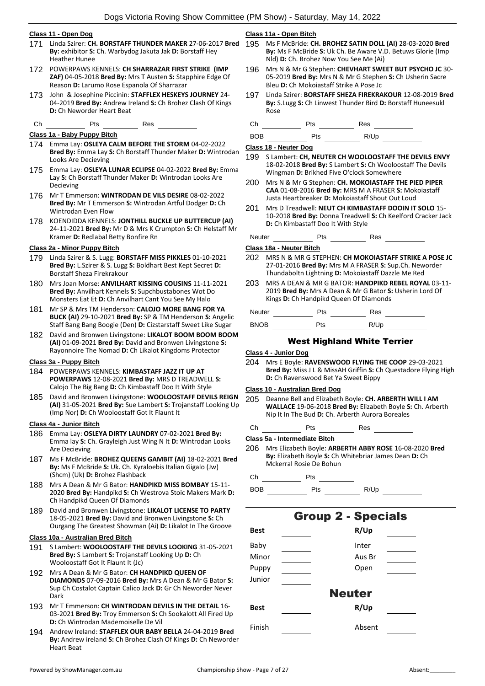## **Class 11 - Open Dog**

- 171 Linda Szirer: **CH. BORSTAFF THUNDER MAKER** 27-06-2017 **Bred By:** exhibitor **S:** Ch. Warbydog Jakuta Jak **D:** Borstaff Hey Heather Hunee
- 172 POWERPAWS KENNELS: **CH SHARRAZAR FIRST STRIKE (IMP ZAF)** 04-05-2018 **Bred By:** Mrs T Austen **S:** Stapphire Edge Of Reason **D:** Larumo Rose Espanola Of Sharrazar
- 173 John & Josephine Piccinin: **STAFFLEX HESKEYS JOURNEY** 24- 04-2019 **Bred By:** Andrew Ireland **S:** Ch Brohez Clash Of Kings **D:** Ch Neworder Heart Beat
- Ch Pts Res

## **Class 1a - Baby Puppy Bitch**

- 174 Emma Lay: **OSLEYA CALM BEFORE THE STORM** 04-02-2022 **Bred By:** Emma Lay **S:** Ch Borstaff Thunder Maker **D:** Wintrodan Looks Are Decieving
- 175 Emma Lay: **OSLEYA LUNAR ECLIPSE** 04-02-2022 **Bred By:** Emma Lay **S:** Ch Borstaff Thunder Maker **D:** Wintrodan Looks Are Decieving
- 176 Mr T Emmerson: **WINTRODAN DE VILS DESIRE** 08-02-2022 **Bred By:** Mr T Emmerson **S:** Wintrodan Artful Dodger **D:** Ch Wintrodan Even Flow
- 178 KOENDIDDA KENNELS: **JONTHILL BUCKLE UP BUTTERCUP (AI)** 24-11-2021 **Bred By:** Mr D & Mrs K Crumpton **S:** Ch Helstaff Mr Kramer **D:** Redlabal Betty Bonfire Rn

#### **Class 2a - Minor Puppy Bitch**

- 179 Linda Szirer & S. Lugg: **BORSTAFF MISS PIKKLES** 01-10-2021 **Bred By:** L.Szirer & S. Lugg **S:** Boldhart Best Kept Secret **D:**  Borstaff Sheza Firekrakour
- 180 Mrs Joan Morse: **ANVILHART KISSING COUSINS** 11-11-2021 **Bred By:** Anvilhart Kennels **S:** Supchbustabones Wot Do Monsters Eat Et **D:** Ch Anvilhart Cant You See My Halo
- 181 Mr SP & Mrs TM Henderson: **CALOJO MORE BANG FOR YA BUCK (AI)** 29-10-2021 **Bred By:** SP & TM Henderson **S:** Angelic Staff Bang Bang Boogie (Den) **D:** Cizstarstaff Sweet Like Sugar
- 182 David and Bronwen Livingstone: **LIKALOT BOOM BOOM BOOM (AI)** 01-09-2021 **Bred By:** David and Bronwen Livingstone **S:**  Rayonnoire The Nomad **D:** Ch Likalot Kingdoms Protector

## **Class 3a - Puppy Bitch**

- 184 POWERPAWS KENNELS: **KIMBASTAFF JAZZ IT UP AT POWERPAWS** 12-08-2021 **Bred By:** MRS D TREADWELL **S:**  Calojo The Big Bang **D:** Ch Kimbastaff Doo It With Style
- 185 David and Bronwen Livingstone: **WOOLOOSTAFF DEVILS REIGN (AI)** 31-05-2021 **Bred By:** Sue Lambert **S:** Trojanstaff Looking Up (Imp Nor) **D:** Ch Wooloostaff Got It Flaunt It

#### **Class 4a - Junior Bitch**

- 186 Emma Lay: **OSLEYA DIRTY LAUNDRY** 07-02-2021 **Bred By:** Emma lay **S:** Ch. Grayleigh Just Wing N It **D:** Wintrodan Looks Are Decieving
- 187 Ms F McBride: **BROHEZ QUEENS GAMBIT (AI)** 18-02-2021 **Bred By:** Ms F McBride **S:** Uk. Ch. Kyraloebis Italian Gigalo (Jw) (Shcm) (Uk) **D:** Brohez Flashback
- 188 Mrs A Dean & Mr G Bator: **HANDPIKD MISS BOMBAY** 15-11- 2020 **Bred By:** Handpikd **S:** Ch Westrova Stoic Makers Mark **D:**  Ch Handpikd Queen Of Diamonds
- 189 David and Bronwen Livingstone: **LIKALOT LICENSE TO PARTY** 18-05-2021 **Bred By:** David and Bronwen Livingstone **S:** Ch Ourgang The Greatest Showman (Ai) **D:** Likalot In The Groove

## **Class 10a - Australian Bred Bitch**

- 191 S Lambert: **WOOLOOSTAFF THE DEVILS LOOKING** 31-05-2021 **Bred By:** S Lambert **S:** Trojanstaff Looking Up **D:** Ch Wooloostaff Got It Flaunt It (Jc)
- 192 Mrs A Dean & Mr G Bator: **CH HANDPIKD QUEEN OF DIAMONDS** 07-09-2016 **Bred By:** Mrs A Dean & Mr G Bator **S:**  Sup Ch Costalot Captain Calico Jack **D:** Gr Ch Neworder Never Dark
- 193 Mr T Emmerson: **CH WINTRODAN DEVILS IN THE DETAIL** 16- 03-2021 **Bred By:** Troy Emmerson **S:** Ch Sookalott All Fired Up **D:** Ch Wintrodan Mademoiselle De Vil
- 194 Andrew Ireland: **STAFFLEX OUR BABY BELLA** 24-04-2019 **Bred By:** Andrew ireland **S:** Ch Brohez Clash Of Kings **D:** Ch Neworder Heart Beat

## **Class 11a - Open Bitch**

- 195 Ms F McBride: **CH. BROHEZ SATIN DOLL (AI)** 28-03-2020 **Bred By:** Ms F McBride **S:** Uk Ch. Be Aware V.D. Betuws Glorie (Imp Nld) **D:** Ch. Brohez Now You See Me (Ai)
- 196 Mrs N & Mr G Stephen: **CHEVHART SWEET BUT PSYCHO JC** 30- 05-2019 **Bred By:** Mrs N & Mr G Stephen **S:** Ch Usherin Sacre Bleu **D:** Ch Mokoiastaff Strike A Pose Jc
- 197 Linda Szirer: **BORSTAFF SHEZA FIREKRAKOUR** 12-08-2019 **Bred By:** S.Lugg **S:** Ch Linwest Thunder Bird **D:** Borstaff Huneesukl Rose

Ch Pts Res

BOB Pts R/Up

#### **Class 18 - Neuter Dog**

- 199 S Lambert: **CH, NEUTER CH WOOLOOSTAFF THE DEVILS ENVY** 18-02-2018 **Bred By:** S Lambert **S:** Ch Wooloostaff The Devils Wingman **D:** Brikhed Five O'clock Somewhere
- 200 Mrs N & Mr G Stephen: **CH. MOKOIASTAFF THE PIED PIPER CAA** 01-08-2016 **Bred By:** MRS M A FRASER **S:** Mokoiastaff Justa Heartbreaker **D:** Mokoiastaff Shout Out Loud
- 201 Mrs D Treadwell: **NEUT CH KIMBASTAFF DOOIN IT SOLO** 15- 10-2018 **Bred By:** Donna Treadwell **S:** Ch Keelford Cracker Jack **D:** Ch Kimbastaff Doo It With Style

Neuter Pts Res Res

**Class 18a - Neuter Bitch**

- 202 MRS N & MR G STEPHEN: **CH MOKOIASTAFF STRIKE A POSE JC** 27-01-2016 **Bred By:** Mrs M A FRASER **S:** Sup.Ch. Neworder Thundaboltn Lightning **D:** Mokoiastaff Dazzle Me Red
- 203 MRS A DEAN & MR G BATOR: **HANDPIKD REBEL ROYAL** 03-11- 2019 **Bred By:** Mrs A Dean & Mr G Bator **S:** Usherin Lord Of Kings **D:** Ch Handpikd Queen Of Diamonds

| <b>Neuter</b> | ⊃ts | Res  |  |
|---------------|-----|------|--|
| <b>BNOB</b>   | ⊃ts | R/Up |  |

West Highland White Terrier

## **Class 4 - Junior Dog**

204 Mrs E Boyle: **RAVENSWOOD FLYING THE COOP** 29-03-2021 **Bred By:** Miss J L & MissAH Griffin **S:** Ch Questadore Flying High **D:** Ch Ravenswood Bet Ya Sweet Bippy

## **Class 10 - Australian Bred Dog**

205 Deanne Bell and Elizabeth Boyle: **CH. ARBERTH WILL I AM WALLACE** 19-06-2018 **Bred By:** Elizabeth Boyle **S:** Ch. Arberth Nip It In The Bud **D:** Ch. Arberth Aurora Boreales

Ch Pts Res

**Class 5a - Intermediate Bitch**

206 Mrs Elizabeth Boyle: **ARBERTH ABBY ROSE** 16-08-2020 **Bred By:** Elizabeth Boyle **S:** Ch Whitebriar James Dean **D:** Ch Mckerral Rosie De Bohun

Ch Pts BOB Pts R/Up

Group 2 - Specials **Best R/Up** Baby Inter Minor Aus Br Puppy Dpen Junior Neuter

| Best   | R/Up   |  |
|--------|--------|--|
| Finish | Absent |  |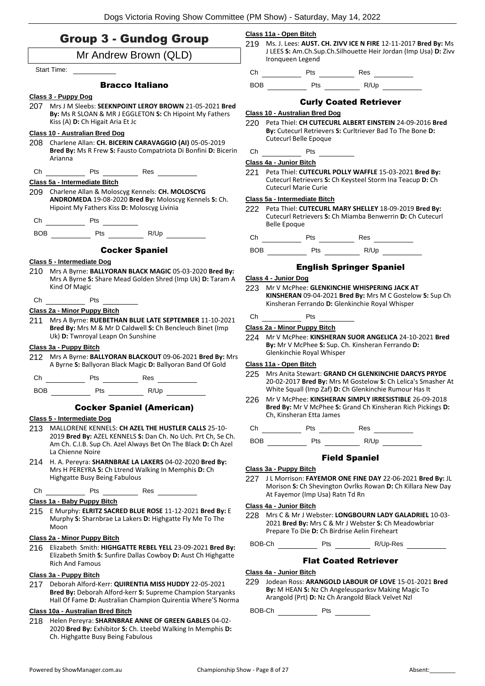|  |  | <b>Group 3 - Gundog Group</b> |  |
|--|--|-------------------------------|--|
|--|--|-------------------------------|--|

## Mr Andrew Brown (QLD)

Start Time:

## Bracco Italiano

**Class 3 - Puppy Dog**

207 Mrs J M Sleebs: **SEEKNPOINT LEROY BROWN** 21-05-2021 **Bred By:** Ms R SLOAN & MR J EGGLETON **S:** Ch Hipoint My Fathers Kiss (A) **D:** Ch Higait Aria Et Jc

## **Class 10 - Australian Bred Dog**

- 208 Charlene Allan: **CH. BICERIN CARAVAGGIO (AI)** 05-05-2019 **Bred By:** Ms R Frew **S:** Fausto Compatriota Di Bonfini **D:** Bicerin Arianna
- Ch Pts Res

## **Class 5a - Intermediate Bitch**

- 209 Charlene Allan & Moloscyg Kennels: **CH. MOLOSCYG ANDROMEDA** 19-08-2020 **Bred By:** Moloscyg Kennels **S:** Ch. Hipoint My Fathers Kiss **D:** Moloscyg Livinia
- Ch Pts

| <b>BOB</b> | Pts | R/Up |
|------------|-----|------|
|------------|-----|------|

## Cocker Spaniel

## **Class 5 - Intermediate Dog**

210 Mrs A Byrne: **BALLYORAN BLACK MAGIC** 05-03-2020 **Bred By:** Mrs A Byrne **S:** Share Mead Golden Shred (Imp Uk) **D:** Taram A Kind Of Magic

## $\overline{\phantom{a}}$  Pts  $\overline{\phantom{a}}$

## **Class 2a - Minor Puppy Bitch**

211 Mrs A Byrne: **RUEBETHAN BLUE LATE SEPTEMBER** 11-10-2021 **Bred By:** Mrs M & Mr D Caldwell **S:** Ch Bencleuch Binet (Imp Uk) **D:** Twnroyal Leapn On Sunshine

## **Class 3a - Puppy Bitch**

212 Mrs A Byrne: **BALLYORAN BLACKOUT** 09-06-2021 **Bred By:** Mrs A Byrne **S:** Ballyoran Black Magic **D:** Ballyoran Band Of Gold

Ch Pts Res

BOB Pts R/Up

## Cocker Spaniel (American)

#### **Class 5 - Intermediate Dog**

- 213 MALLORENE KENNELS: **CH AZEL THE HUSTLER CALLS** 25-10- 2019 **Bred By:** AZEL KENNELS **S:** Dan Ch. No Uch. Prt Ch, Se Ch. Am Ch. C.I.B. Sup Ch. Azel Always Bet On The Black **D:** Ch Azel La Chienne Noire
- 214 H. A. Pereyra: **SHARNBRAE LA LAKERS** 04-02-2020 **Bred By:** Mrs H PEREYRA **S:** Ch Ltrend Walking In Memphis **D:** Ch Highgatte Busy Being Fabulous

Ch Pts Res

#### **Class 1a - Baby Puppy Bitch**

215 E Murphy: **ELRITZ SACRED BLUE ROSE** 11-12-2021 **Bred By:** E Murphy **S:** Sharnbrae La Lakers **D:** Highgatte Fly Me To The Moon

## **Class 2a - Minor Puppy Bitch**

216 Elizabeth Smith: **HIGHGATTE REBEL YELL** 23-09-2021 **Bred By:** Elizabeth Smith **S:** Sunfire Dallas Cowboy **D:** Aust Ch Highgatte Rich And Famous

## **Class 3a - Puppy Bitch**

217 Deborah Alford-Kerr: **QUIRENTIA MISS HUDDY** 22-05-2021 **Bred By:** Deborah Alford-kerr **S:** Supreme Champion Staryanks Hall Of Fame **D:** Australian Champion Quirentia Where'S Norma

## **Class 10a - Australian Bred Bitch**

218 Helen Pereyra: **SHARNBRAE ANNE OF GREEN GABLES** 04-02- 2020 **Bred By:** Exhibitor **S:** Ch. Lteebd Walking In Memphis **D:**  Ch. Highgatte Busy Being Fabulous

## **Class 11a - Open Bitch**

219 Ms. J. Lees: **AUST. CH. ZIVV ICE N FIRE** 12-11-2017 **Bred By:** Ms J LEES **S:** Am.Ch.Sup.Ch.Silhouette Heir Jordan (Imp Usa) **D:** Zivv Ironqueen Legend

Ch Pts Res

BOB Pts R/Up

## Curly Coated Retriever

## **Class 10 - Australian Bred Dog**

220 Peta Thiel: **CH CUTECURL ALBERT EINSTEIN** 24-09-2016 **Bred By:** Cutecurl Retrievers **S:** Curltriever Bad To The Bone **D:**  Cutecurl Belle Epoque

| $\sim$<br>$-$ | $\sim$<br>Pts<br>Сh |
|---------------|---------------------|
|---------------|---------------------|

#### **Class 4a - Junior Bitch**

221 Peta Thiel: **CUTECURL POLLY WAFFLE** 15-03-2021 **Bred By:** Cutecurl Retrievers **S:** Ch Keysteel Storm Ina Teacup **D:** Ch Cutecurl Marie Curie

## **Class 5a - Intermediate Bitch**

222 Peta Thiel: **CUTECURL MARY SHELLEY** 18-09-2019 **Bred By:** Cutecurl Retrievers **S:** Ch Miamba Benwerrin **D:** Ch Cutecurl Belle Epoque

Ch Pts Res

BOB Pts R/Up

## English Springer Spaniel

#### **Class 4 - Junior Dog**

- 223 Mr V McPhee: **GLENKINCHIE WHISPERING JACK AT KINSHERAN** 09-04-2021 **Bred By:** Mrs M C Gostelow **S:** Sup Ch Kinsheran Ferrando **D:** Glenkinchie Royal Whisper
- Ch Pts

## **Class 2a - Minor Puppy Bitch**

224 Mr V McPhee: **KINSHERAN SUOR ANGELICA** 24-10-2021 **Bred By:** Mr V McPhee **S:** Sup. Ch. Kinsheran Ferrando **D:**  Glenkinchie Royal Whisper

## **Class 11a - Open Bitch**

- 225 Mrs Anita Stewart: **GRAND CH GLENKINCHIE DARCYS PRYDE** 20-02-2017 **Bred By:** Mrs M Gostelow **S:** Ch Lelica's Smasher At White Squall (Imp Zaf) **D:** Ch Glenkinchie Rumour Has It
- 226 Mr V McPhee: **KINSHERAN SIMPLY IRRESISTIBLE** 26-09-2018 **Bred By:** Mr V McPhee **S:** Grand Ch Kinsheran Rich Pickings **D:**  Ch, Kinsheran Etta James

Ch Pts Res

BOB Pts R/Up

## Field Spaniel

#### **Class 3a - Puppy Bitch**

227 J L Morrison: **FAYEMOR ONE FINE DAY** 22-06-2021 **Bred By:** JL Morison **S:** Ch Shevington Ovrlks Rowan **D:** Ch Killara New Day At Fayemor (Imp Usa) Ratn Td Rn

## **Class 4a - Junior Bitch**

228 Mrs C & Mr J Webster: **LONGBOURN LADY GALADRIEL** 10-03- 2021 **Bred By:** Mrs C & Mr J Webster **S:** Ch Meadowbriar Prepare To Die **D:** Ch Birdrise Aelin Fireheart

BOB-Ch Pts R/Up-Res

## Flat Coated Retriever

#### **Class 4a - Junior Bitch**

229 Jodean Ross: **ARANGOLD LABOUR OF LOVE** 15-01-2021 **Bred By:** M HEAN **S:** Nz Ch Angeleusparksv Making Magic To Arangold (Prt) **D:** Nz Ch Arangold Black Velvet Nzl

BOB-Ch Pts

| Mr J Webster: LONGBOURN LAI                      |  |
|--------------------------------------------------|--|
| <b>ad Ry</b> • Mrc ۲ & Mr I Wahctar <b>۲</b> ۰ ( |  |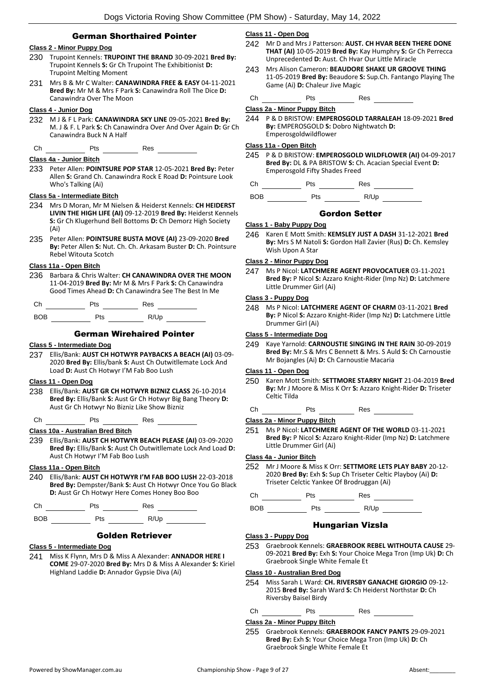## German Shorthaired Pointer

## **Class 2 - Minor Puppy Dog**

- 230 Trupoint Kennels: **TRUPOINT THE BRAND** 30-09-2021 **Bred By:** Trupoint Kennels **S:** Gr Ch Trupoint The Exhibitionist **D:**  Trupoint Melting Moment
- 231 Mrs B & Mr C Walter: **CANAWINDRA FREE & EASY** 04-11-2021 **Bred By:** Mr M & Mrs F Park **S:** Canawindra Roll The Dice **D:**  Canawindra Over The Moon

#### **Class 4 - Junior Dog**

232 M J & F L Park: **CANAWINDRA SKY LINE** 09-05-2021 **Bred By:** M. J & F. L Park **S:** Ch Canawindra Over And Over Again **D:** Gr Ch Canawindra Buck N A Half

Ch Pts Res

#### **Class 4a - Junior Bitch**

233 Peter Allen: **POINTSURE POP STAR** 12-05-2021 **Bred By:** Peter Allen **S:** Grand Ch. Canawindra Rock E Road **D:** Pointsure Look Who's Talking (Ai)

#### **Class 5a - Intermediate Bitch**

- 234 Mrs D Moran, Mr M Nielsen & Heiderst Kennels: **CH HEIDERST LIVIN THE HIGH LIFE (AI)** 09-12-2019 **Bred By:** Heiderst Kennels **S:** Gr Ch Klugerhund Bell Bottoms **D:** Ch Demorz High Society (Ai)
- 235 Peter Allen: **POINTSURE BUSTA MOVE (AI)** 23-09-2020 **Bred By:** Peter Allen **S:** Nut. Ch. Ch. Arkasam Buster **D:** Ch. Pointsure Rebel Witouta Scotch

## **Class 11a - Open Bitch**

236 Barbara & Chris Walter: **CH CANAWINDRA OVER THE MOON** 11-04-2019 **Bred By:** Mr M & Mrs F Park **S:** Ch Canawindra Good Times Ahead **D:** Ch Canawindra See The Best In Me

| Ch         | Pts | Res  |
|------------|-----|------|
| <b>BOB</b> | ⊵ts | R/Up |

## German Wirehaired Pointer

#### **Class 5 - Intermediate Dog**

237 Ellis/Bank: **AUST CH HOTWYR PAYBACKS A BEACH (AI)** 03-09- 2020 **Bred By:** Ellis/bank **S:** Aust Ch Outwitllemate Lock And Load **D:** Aust Ch Hotwyr I'M Fab Boo Lush

#### **Class 11 - Open Dog**

238 Ellis/Bank: **AUST GR CH HOTWYR BIZNIZ CLASS** 26-10-2014 **Bred By:** Ellis/Bank **S:** Aust Gr Ch Hotwyr Big Bang Theory **D:**  Aust Gr Ch Hotwyr No Bizniz Like Show Bizniz

 $Ch$  Pts  $Res$  Res

## **Class 10a - Australian Bred Bitch**

239 Ellis/Bank: **AUST CH HOTWYR BEACH PLEASE (AI)** 03-09-2020 **Bred By:** Ellis/Bank **S:** Aust Ch Outwitllemate Lock And Load **D:**  Aust Ch Hotwyr I'M Fab Boo Lush

## **Class 11a - Open Bitch**

240 Ellis/Bank: **AUST CH HOTWYR I'M FAB BOO LUSH** 22-03-2018 **Bred By:** Dempster/Bank **S:** Aust Ch Hotwyr Once You Go Black **D:** Aust Gr Ch Hotwyr Here Comes Honey Boo Boo

Ch Pts Res

BOB Pts R/Up

## Golden Retriever

### **Class 5 - Intermediate Dog**

241 Miss K Flynn, Mrs D & Miss A Alexander: **ANNADOR HERE I COME** 29-07-2020 **Bred By:** Mrs D & Miss A Alexander **S:** Kiriel Highland Laddie **D:** Annador Gypsie Diva (Ai)

## **Class 11 - Open Dog**

- 242 Mr D and Mrs J Patterson: **AUST. CH HVAR BEEN THERE DONE THAT (AI)** 10-05-2019 **Bred By:** Kay Humphry **S:** Gr Ch Perrecca Unprecedented **D:** Aust. Ch Hvar Our Little Miracle
- 243 Mrs Alison Cameron: **BEAUDORE SHAKE UR GROOVE THING** 11-05-2019 **Bred By:** Beaudore **S:** Sup.Ch. Fantango Playing The Game (Ai) **D:** Chaleur Jive Magic

## $Ch$   $I\longrightarrow$  Pts  $I\longrightarrow$  Res

## **Class 2a - Minor Puppy Bitch**

244 P & D BRISTOW: **EMPEROSGOLD TARRALEAH** 18-09-2021 **Bred By:** EMPEROSGOLD **S:** Dobro Nightwatch **D:**  Emperosgoldwildflower

## **Class 11a - Open Bitch**

245 P & D BRISTOW: **EMPEROSGOLD WILDFLOWER (AI)** 04-09-2017 **Bred By:** DL & PA BRISTOW **S:** Ch. Acacian Special Event **D:**  Emperosgold Fifty Shades Freed

Ch Pts Res

BOB Pts R/Up

## Gordon Setter

#### **Class 1 - Baby Puppy Dog**

246 Karen E Mott Smith: **KEMSLEY JUST A DASH** 31-12-2021 **Bred By:** Mrs S M Natoli **S:** Gordon Hall Zavier (Rus) **D:** Ch. Kemsley Wish Upon A Star

## **Class 2 - Minor Puppy Dog**

247 Ms P Nicol: **LATCHMERE AGENT PROVOCATUER** 03-11-2021 **Bred By:** P Nicol **S:** Azzaro Knight-Rider (Imp Nz) **D:** Latchmere Little Drummer Girl (Ai)

#### **Class 3 - Puppy Dog**

248 Ms P Nicol: **LATCHMERE AGENT OF CHARM** 03-11-2021 **Bred By:** P Nicol **S:** Azzaro Knight-Rider (Imp Nz) **D:** Latchmere Little Drummer Girl (Ai)

## **Class 5 - Intermediate Dog**

249 Kaye Yarnold: **CARNOUSTIE SINGING IN THE RAIN** 30-09-2019 **Bred By:** Mr.S & Mrs C Bennett & Mrs. S Auld **S:** Ch Carnoustie Mr Bojangles (Ai) **D:** Ch Carnoustie Macaria

#### **Class 11 - Open Dog**

- 250 Karen Mott Smith: **SETTMORE STARRY NIGHT** 21-04-2019 **Bred By:** Mr J Moore & Miss K Orr **S:** Azzaro Knight-Rider **D:** Triseter Celtic Tilda
- $Ch$  Pts  $Res$  Res

#### **Class 2a - Minor Puppy Bitch**

251 Ms P Nicol: **LATCHMERE AGENT OF THE WORLD** 03-11-2021 **Bred By:** P Nicol **S:** Azzaro Knight-Rider (Imp Nz) **D:** Latchmere Little Drummer Girl (Ai)

## **Class 4a - Junior Bitch**

252 Mr J Moore & Miss K Orr: **SETTMORE LETS PLAY BABY** 20-12- 2020 **Bred By:** Exh **S:** Sup Ch Triseter Celtic Playboy (Ai) **D:**  Triseter Celctic Yankee Of Brodruggan (Ai)

Ch Pts Res

BOB Pts R/Up

## Hungarian Vizsla

#### **Class 3 - Puppy Dog**

253 Graebrook Kennels: **GRAEBROOK REBEL WITHOUTA CAUSE** 29- 09-2021 **Bred By:** Exh **S:** Your Choice Mega Tron (Imp Uk) **D:** Ch Graebrook Single White Female Et

#### **Class 10 - Australian Bred Dog**

- 254 Miss Sarah L Ward: **CH. RIVERSBY GANACHE GIORGIO** 09-12- 2015 **Bred By:** Sarah Ward **S:** Ch Heiderst Northstar **D:** Ch Riversby Baisel Birdy
- Ch Pts Res

## **Class 2a - Minor Puppy Bitch**

255 Graebrook Kennels: **GRAEBROOK FANCY PANTS** 29-09-2021 **Bred By:** Exh **S:** Your Choice Mega Tron (Imp Uk) **D:** Ch Graebrook Single White Female Et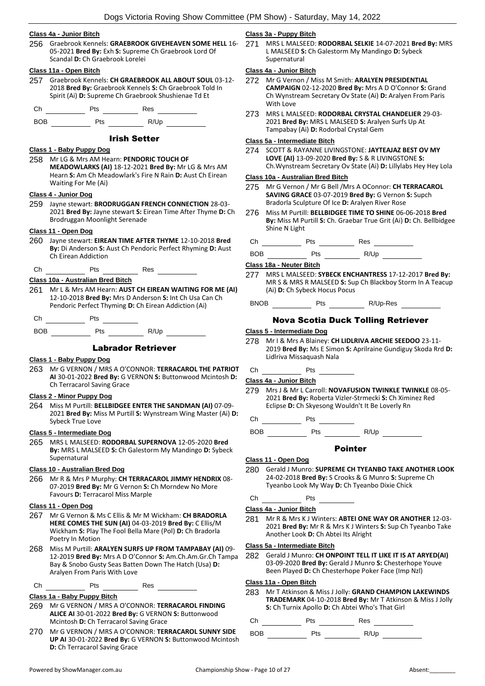## **Class 4a - Junior Bitch**

256 Graebrook Kennels: **GRAEBROOK GIVEHEAVEN SOME HELL** 16- 05-2021 **Bred By:** Exh **S:** Supreme Ch Graebrook Lord Of Scandal **D:** Ch Graebrook Lorelei

#### **Class 11a - Open Bitch**

257 Graebrook Kennels: **CH GRAEBROOK ALL ABOUT SOUL** 03-12- 2018 **Bred By:** Graebrook Kennels **S:** Ch Graebrook Told In Spirit (Ai) **D:** Supreme Ch Graebrook Shushienae Td Et

Ch Pts Res

BOB Pts R/Up

## Irish Setter

#### **Class 1 - Baby Puppy Dog**

258 Mr LG & Mrs AM Hearn: **PENDORIC TOUCH OF MEADOWLARKS (AI)** 18-12-2021 **Bred By:** Mr LG & Mrs AM Hearn **S:** Am Ch Meadowlark's Fire N Rain **D:** Aust Ch Eirean Waiting For Me (Ai)

## **Class 4 - Junior Dog**

259 Jayne stewart: **BRODRUGGAN FRENCH CONNECTION** 28-03- 2021 **Bred By:** Jayne stewart **S:** Eirean Time After Thyme **D:** Ch Brodruggan Moonlight Serenade

## **Class 11 - Open Dog**

- 260 Jayne stewart: **EIREAN TIME AFTER THYME** 12-10-2018 **Bred By:** Di Anderson **S:** Aust Ch Pendoric Perfect Rhyming **D:** Aust Ch Eirean Addiction
- Ch Pts Res

## **Class 10a - Australian Bred Bitch**

- 261 Mr L & Mrs AM Hearn: **AUST CH EIREAN WAITING FOR ME (AI)** 12-10-2018 **Bred By:** Mrs D Anderson **S:** Int Ch Usa Can Ch Pendoric Perfect Thyming **D:** Ch Eirean Addiction (Ai)
- Ch Pts

BOB Pts R/Up

## Labrador Retriever

#### **Class 1 - Baby Puppy Dog**

263 Mr G VERNON / MRS A O'CONNOR: **TERRACAROL THE PATRIOT AI** 30-01-2022 **Bred By:** G VERNON **S:** Buttonwood Mcintosh **D:**  Ch Terracarol Saving Grace

#### **Class 2 - Minor Puppy Dog**

264 Miss M Purtill: **BELLBIDGEE ENTER THE SANDMAN (AI)** 07-09- 2021 **Bred By:** Miss M Purtill **S:** Wynstream Wing Master (Ai) **D:**  Sybeck True Love

## **Class 5 - Intermediate Dog**

265 MRS L MALSEED: **RODORBAL SUPERNOVA** 12-05-2020 **Bred By:** MRS L MALSEED **S:** Ch Galestorm My Mandingo **D:** Sybeck Supernatural

## **Class 10 - Australian Bred Dog**

266 Mr R & Mrs P Murphy: **CH TERRACAROL JIMMY HENDRIX** 08- 07-2019 **Bred By:** Mr G Vernon **S:** Ch Morndew No More Favours **D:** Terracarol Miss Marple

## **Class 11 - Open Dog**

- 267 Mr G Vernon & Ms C Ellis & Mr M Wickham: **CH BRADORLA HERE COMES THE SUN (AI)** 04-03-2019 **Bred By:** C Ellis/M Wickham **S:** Play The Fool Bella Mare (Pol) **D:** Ch Bradorla Poetry In Motion
- 268 Miss M Purtill: **ARALYEN SURFS UP FROM TAMPABAY (AI)** 09- 12-2019 **Bred By:** Mrs A D O'Connor **S:** Am.Ch.Am.Gr.Ch Tampa Bay & Snobo Gusty Seas Batten Down The Hatch (Usa) **D:**  Aralyen From Paris With Love

## Ch Pts Res

## **Class 1a - Baby Puppy Bitch**

- 269 Mr G VERNON / MRS A O'CONNOR: **TERRACAROL FINDING ALICE AI** 30-01-2022 **Bred By:** G VERNON **S:** Buttonwood Mcintosh **D:** Ch Terracarol Saving Grace
- 270 Mr G VERNON / MRS A O'CONNOR: **TERRACAROL SUNNY SIDE UP AI** 30-01-2022 **Bred By:** G VERNON **S:** Buttonwood Mcintosh **D:** Ch Terracarol Saving Grace

## **Class 3a - Puppy Bitch**

271 MRS L MALSEED: **RODORBAL SELKIE** 14-07-2021 **Bred By:** MRS L MALSEED **S:** Ch Galestorm My Mandingo **D:** Sybeck Supernatural

#### **Class 4a - Junior Bitch**

- 272 Mr G Vernon / Miss M Smith: **ARALYEN PRESIDENTIAL CAMPAIGN** 02-12-2020 **Bred By:** Mrs A D O'Connor **S:** Grand Ch Wynstream Secretary Ov State (Ai) **D:** Aralyen From Paris With Love
- 273 MRS L MALSEED: **RODORBAL CRYSTAL CHANDELIER** 29-03- 2021 **Bred By:** MRS L MALSEED **S:** Aralyen Surfs Up At Tampabay (Ai) **D:** Rodorbal Crystal Gem

## **Class 5a - Intermediate Bitch**

274 SCOTT & RAYANNE LIVINGSTONE: **JAYTEAJAZ BEST OV MY LOVE (AI)** 13-09-2020 **Bred By:** S & R LIVINGSTONE **S:**  Ch.Wynstream Secretary Ov State (Ai) **D:** Lillylabs Hey Hey Lola

#### **Class 10a - Australian Bred Bitch**

- 275 Mr G Vernon / Mr G Bell /Mrs A OConnor: **CH TERRACAROL SAVING GRACE** 03-07-2019 **Bred By:** G Vernon **S:** Supch Bradorla Sculpture Of Ice **D:** Aralyen River Rose
- 276 Miss M Purtill: **BELLBIDGEE TIME TO SHINE** 06-06-2018 **Bred By:** Miss M Purtill **S:** Ch. Graebar True Grit (Ai) **D:** Ch. Bellbidgee Shine N Light

| . | <br>__ |
|---|--------|
|   |        |

BOB Pts R/Up

#### **Class 18a - Neuter Bitch**

- 277 MRS L MALSEED: **SYBECK ENCHANTRESS** 17-12-2017 **Bred By:** MR S & MRS R MALSEED **S:** Sup Ch Blackboy Storm In A Teacup (Ai) **D:** Ch Sybeck Hocus Pocus
- BNOB Pts R/Up-Res

## Nova Scotia Duck Tolling Retriever

#### **Class 5 - Intermediate Dog**

- 278 Mr I & Mrs A Blainey: **CH LIDLRIVA ARCHIE SEEDOO** 23-11- 2019 **Bred By:** Ms E Simon **S:** Aprilraine Gundiguy Skoda Rrd **D:**  Lidlriva Missaquash Nala
- Ch Pts

**Class 4a - Junior Bitch**

- 279 Mrs J & Mr L Carroll: **NOVAFUSION TWINKLE TWINKLE** 08-05- 2021 **Bred By:** Roberta Vizler-Strmecki **S:** Ch Ximinez Red Eclipse **D:** Ch Skyesong Wouldn't It Be Loverly Rn
- Ch Pts

 $BOB$  Pts  $R/Up$   $\longrightarrow$ 

## Pointer

#### **Class 11 - Open Dog**

280 Gerald J Munro: **SUPREME CH TYEANBO TAKE ANOTHER LOOK** 24-02-2018 **Bred By:** S Crooks & G Munro **S:** Supreme Ch Tyeanbo Look My Way **D:** Ch Tyeanbo Dixie Chick

## $Ch$  Pts  $I$

## **Class 4a - Junior Bitch**

281 Mr R & Mrs K J Winters: **ABTEI ONE WAY OR ANOTHER** 12-03- 2021 **Bred By:** Mr R & Mrs K J Winters **S:** Sup Ch Tyeanbo Take Another Look **D:** Ch Abtei Its Alright

#### **Class 5a - Intermediate Bitch**

282 Gerald J Munro: **CH ONPOINT TELL IT LIKE IT IS AT ARYED(AI)** 03-09-2020 **Bred By:** Gerald J Munro **S:** Chesterhope Youve Been Played **D:** Ch Chesterhope Poker Face (Imp Nzl)

## **Class 11a - Open Bitch**

283 Mr T Atkinson & Miss J Jolly: **GRAND CHAMPION LAKEWINDS TRADEMARK** 04-10-2018 **Bred By:** Mr T Atkinson & Miss J Jolly **S:** Ch Turnix Apollo **D:** Ch Abtei Who's That Girl

Ch Pts Res

BOB Pts R/Up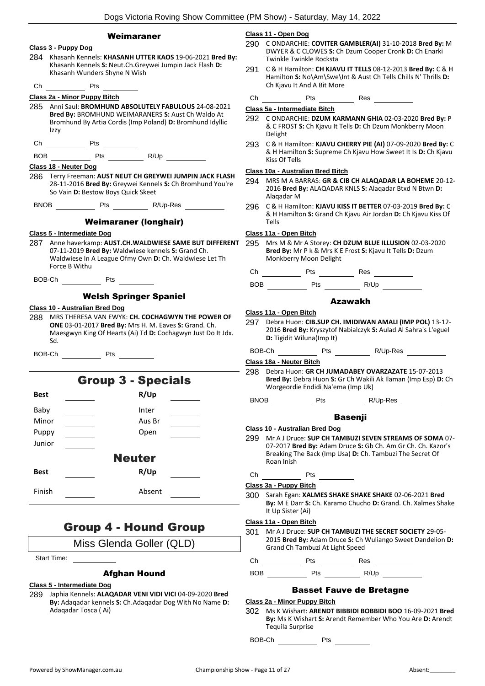|                                                                                                                                                                                           | Dogs victoria Koving Silow Committee (Fivi Silow) - Saturday, May 14, 2022                                                                                                                                                                |
|-------------------------------------------------------------------------------------------------------------------------------------------------------------------------------------------|-------------------------------------------------------------------------------------------------------------------------------------------------------------------------------------------------------------------------------------------|
| Weimaraner<br>Class 3 - Puppy Dog                                                                                                                                                         | Class 11 - Open Dog<br>290 C ONDARCHIE: COVITER GAMBLER(AI) 31-10-2018 Bred By: M                                                                                                                                                         |
| 284 Khasanh Kennels: KHASANH UTTER KAOS 19-06-2021 Bred By:<br>Khasanh Kennels S: Neut.Ch.Greywei Jumpin Jack Flash D:                                                                    | DWYER & C CLOWES S: Ch Dzum Cooper Cronk D: Ch Enarki<br>Twinkle Twinkle Rocksta                                                                                                                                                          |
| Khasanh Wunders Shyne N Wish<br>Pts                                                                                                                                                       | C & H Hamilton: CH KJAVU IT TELLS 08-12-2013 Bred By: C & H<br>291<br>Hamilton S: No\Am\Swe\Int & Aust Ch Tells Chills N' Thrills D:<br>Ch Kjavu It And A Bit More                                                                        |
| Ch<br>Class 2a - Minor Puppy Bitch                                                                                                                                                        |                                                                                                                                                                                                                                           |
| 285 Anni Saul: BROMHUND ABSOLUTELY FABULOUS 24-08-2021                                                                                                                                    | Pts Res<br>Change of the control of the control of the control of the control of the control of the control of the control of the control of the control of the control of the control of the control of the control of the control of th |
| Bred By: BROMHUND WEIMARANERS S: Aust Ch Waldo At<br>Bromhund By Artia Cordis (Imp Poland) D: Bromhund Idyllic<br>Izzy                                                                    | Class 5a - Intermediate Bitch<br>292 C ONDARCHIE: DZUM KARMANN GHIA 02-03-2020 Bred By: P<br>& C FROST S: Ch Kjavu It Tells D: Ch Dzum Monkberry Moon<br>Delight                                                                          |
|                                                                                                                                                                                           | 293 C & H Hamilton: KJAVU CHERRY PIE (AI) 07-09-2020 Bred By: C                                                                                                                                                                           |
|                                                                                                                                                                                           | & H Hamilton S: Supreme Ch Kjavu How Sweet It Is D: Ch Kjavu<br>Kiss Of Tells                                                                                                                                                             |
| Class 18 - Neuter Dog                                                                                                                                                                     | Class 10a - Australian Bred Bitch                                                                                                                                                                                                         |
| 286 Terry Freeman: AUST NEUT CH GREYWEI JUMPIN JACK FLASH<br>28-11-2016 Bred By: Greywei Kennels S: Ch Bromhund You're<br>So Vain D: Bestow Boys Quick Skeet                              | 294<br>MRS M A BARRAS: GR & CIB CH ALAQADAR LA BOHEME 20-12-<br>2016 Bred By: ALAQADAR KNLS S: Alaqadar Btxd N Btwn D:<br>Alaqadar M                                                                                                      |
| BNOB Pts R/Up-Res                                                                                                                                                                         | 296 C & H Hamilton: KJAVU KISS IT BETTER 07-03-2019 Bred By: C<br>& H Hamilton S: Grand Ch Kjavu Air Jordan D: Ch Kjavu Kiss Of                                                                                                           |
| <b>Weimaraner (longhair)</b>                                                                                                                                                              | Tells                                                                                                                                                                                                                                     |
| Class 5 - Intermediate Dog                                                                                                                                                                | Class 11a - Open Bitch                                                                                                                                                                                                                    |
| 287 Anne haverkamp: AUST.CH.WALDWIESE SAME BUT DIFFERENT<br>07-11-2019 Bred By: Waldwiese kennels S: Grand Ch.<br>Waldwiese In A League Ofmy Own D: Ch. Waldwiese Let Th<br>Force B Withu | 295 Mrs M & Mr A Storey: CH DZUM BLUE ILLUSION 02-03-2020<br>Bred By: Mr P k & Mrs K E Frost S: Kjavu It Tells D: Dzum<br>Monkberry Moon Delight                                                                                          |
|                                                                                                                                                                                           |                                                                                                                                                                                                                                           |
| BOB-Ch Pts                                                                                                                                                                                |                                                                                                                                                                                                                                           |
| <b>Welsh Springer Spaniel</b>                                                                                                                                                             |                                                                                                                                                                                                                                           |
| Class 10 - Australian Bred Dog                                                                                                                                                            | <b>Azawakh</b>                                                                                                                                                                                                                            |
| MRS THERESA VAN EWYK: CH. COCHAGWYN THE POWER OF<br>288<br>ONE 03-01-2017 Bred By: Mrs H. M. Eaves S: Grand. Ch.<br>Maesgwyn King Of Hearts (Ai) Td D: Cochagwyn Just Do It Jdx.<br>Sd.   | Class 11a - Open Bitch<br>Debra Huon: CIB.SUP CH. IMIDIWAN AMALI (IMP POL) 13-12-<br>297<br>2016 Bred By: Kryszytof Nabialczyk S: Aulad Al Sahra's L'eguel<br>D: Tigidit Wiluna(Imp It)                                                   |
| Pts<br>BOB-Ch                                                                                                                                                                             | BOB-Ch Pts R/Up-Res                                                                                                                                                                                                                       |
|                                                                                                                                                                                           | Class 18a - Neuter Bitch                                                                                                                                                                                                                  |
| <b>Group 3 - Specials</b>                                                                                                                                                                 | Debra Huon: GR CH JUMADABEY OVARZAZATE 15-07-2013<br>298<br>Bred By: Debra Huon S: Gr Ch Wakili Ak Ilaman (Imp Esp) D: Ch<br>Worgeordie Endidi Na'ema (Imp Uk)                                                                            |
| R/Up<br><b>Best</b>                                                                                                                                                                       | BNOB Pts R/Up-Res                                                                                                                                                                                                                         |
| Baby<br>Inter                                                                                                                                                                             |                                                                                                                                                                                                                                           |
| Minor<br>Aus Br                                                                                                                                                                           | <b>Basenji</b>                                                                                                                                                                                                                            |
| $\frac{1}{\sqrt{1-\frac{1}{2}}}$<br>Puppy<br>Open                                                                                                                                         | <b>Class 10 - Australian Bred Dog</b>                                                                                                                                                                                                     |
| Junior                                                                                                                                                                                    | 299 Mr A J Druce: SUP CH TAMBUZI SEVEN STREAMS OF SOMA 07-<br>07-2017 Bred By: Adam Druce S: Gb Ch. Am Gr Ch. Ch. Kazor's                                                                                                                 |
| <b>Neuter</b>                                                                                                                                                                             | Breaking The Back (Imp Usa) D: Ch. Tambuzi The Secret Of<br>Roan Inish                                                                                                                                                                    |
| R/Up<br><b>Best</b>                                                                                                                                                                       |                                                                                                                                                                                                                                           |
|                                                                                                                                                                                           | Class 3a - Puppy Bitch                                                                                                                                                                                                                    |
| Finish<br>Absent                                                                                                                                                                          | 300 Sarah Egan: XALMES SHAKE SHAKE SHAKE 02-06-2021 Bred<br>By: M E Darr S: Ch. Karamo Chucho D: Grand. Ch. Xalmes Shake<br>It Up Sister (Ai)                                                                                             |
| <b>Group 4 - Hound Group</b>                                                                                                                                                              | Class 11a - Open Bitch                                                                                                                                                                                                                    |
| Miss Glenda Goller (QLD)                                                                                                                                                                  | Mr A J Druce: SUP CH TAMBUZI THE SECRET SOCIETY 29-05-<br>301<br>2015 Bred By: Adam Druce S: Ch Wuliango Sweet Dandelion D:                                                                                                               |
| Start Time:                                                                                                                                                                               | Grand Ch Tambuzi At Light Speed                                                                                                                                                                                                           |
|                                                                                                                                                                                           |                                                                                                                                                                                                                                           |
| <b>Afghan Hound</b>                                                                                                                                                                       |                                                                                                                                                                                                                                           |
| <b>Class 5 - Intermediate Dog</b><br>289 Japhia Kennels: ALAQADAR VENI VIDI VICI 04-09-2020 Bred<br>By: Adaqadar kennels S: Ch.Adaqadar Dog With No Name D:<br>Adagadar Tosca (Ai)        | <b>Basset Fauve de Bretagne</b><br>Class 2a - Minor Puppy Bitch<br>302 Ms K Wishart: ARENDT BIBBIDI BOBBIDI BOO 16-09-2021 Bred                                                                                                           |
|                                                                                                                                                                                           |                                                                                                                                                                                                                                           |

302 Ms K Wishart: **ARENDT BIBBIDI BOBBIDI BOO** 16-09-2021 **Bred By:** Ms K Wishart **S:** Arendt Remember Who You Are **D:** Arendt Tequila Surprise

BOB-Ch Pts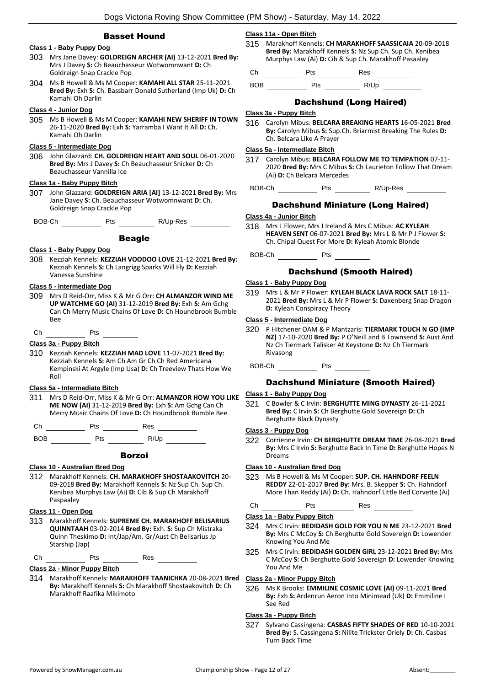## Basset Hound

## **Class 1 - Baby Puppy Dog**

- 303 Mrs Jane Davey: **GOLDREIGN ARCHER (AI)** 13-12-2021 **Bred By:** Mrs J Davey **S:** Ch Beauchasseur Wotwomnwant **D:** Ch Goldreign Snap Crackle Pop
- 304 Ms B Howell & Ms M Cooper: **KAMAHI ALL STAR** 25-11-2021 **Bred By:** Exh **S:** Ch. Bassbarr Donald Sutherland (Imp Uk) **D:** Ch Kamahi Oh Darlin

## **Class 4 - Junior Dog**

305 Ms B Howell & Ms M Cooper: **KAMAHI NEW SHERIFF IN TOWN** 26-11-2020 **Bred By:** Exh **S:** Yarramba I Want It All **D:** Ch. Kamahi Oh Darlin

## **Class 5 - Intermediate Dog**

306 John Glazzard: **CH. GOLDREIGN HEART AND SOUL** 06-01-2020 **Bred By:** Mrs J Davey **S:** Ch Beauchasseur Snicker **D:** Ch Beauchasseur Vannilla Ice

## **Class 1a - Baby Puppy Bitch**

307 John Glazzard: **GOLDREIGN ARIA [AI]** 13-12-2021 **Bred By:** Mrs Jane Davey **S:** Ch. Beauchasseur Wotwomnwant **D:** Ch. Goldreign Snap Crackle Pop

BOB-Ch Pts R/Up-Res

#### Beagle

#### **Class 1 - Baby Puppy Dog**

308 Kezziah Kennels: **KEZZIAH VOODOO LOVE** 21-12-2021 **Bred By:** Kezziah Kennels **S:** Ch Langrigg Sparks Will Fly **D:** Kezziah Vanessa Sunshine

#### **Class 5 - Intermediate Dog**

309 Mrs D Reid-Orr, Miss K & Mr G Orr: **CH ALMANZOR WIND ME UP WATCHME GO (AI)** 31-12-2019 **Bred By:** Exh **S:** Am Gchg Can Ch Merry Music Chains Of Love **D:** Ch Houndbrook Bumble Bee

Ch Pts

## **Class 3a - Puppy Bitch**

310 Kezziah Kennels: **KEZZIAH MAD LOVE** 11-07-2021 **Bred By:** Kezziah Kennels **S:** Am Ch Am Gr Ch Ch Red Americana Kempinski At Argyle (Imp Usa) **D:** Ch Treeview Thats How We Roll

#### **Class 5a - Intermediate Bitch**

311 Mrs D Reid-Orr, Miss K & Mr G Orr: **ALMANZOR HOW YOU LIKE ME NOW (AI)** 31-12-2019 **Bred By:** Exh **S:** Am Gchg Can Ch Merry Music Chains Of Love **D:** Ch Houndbrook Bumble Bee

| - - - | $-$ | --<br>__ |  |
|-------|-----|----------|--|
|       |     |          |  |

BOB Pts R/Up

#### **Class 10 - Australian Bred Dog**

312 Marakhoff Kennels: **CH. MARAKHOFF SHOSTAAKOVITCH** 20- 09-2018 **Bred By:** Marakhoff Kennels **S:** Nz Sup Ch. Sup Ch. Kenibea Murphys Law (Ai) **D:** Cib & Sup Ch Marakhoff Paspaaley

## **Class 11 - Open Dog**

313 Marakhoff Kennels: **SUPREME CH. MARAKHOFF BELISARIUS QUINNTAAH** 03-02-2014 **Bred By:** Exh. **S:** Sup Ch Mistraka Quinn Theskimo **D:** Int/Jap/Am. Gr/Aust Ch Belisarius Jp Starship (Jap)

Ch Pts Res

#### **Class 2a - Minor Puppy Bitch**

314 Marakhoff Kennels: **MARAKHOFF TAANICHKA** 20-08-2021 **Bred By:** Marakhoff Kennels **S:** Ch Marakhoff Shostaakovitch **D:** Ch Marakhoff Raafika Mikimoto

## **Class 11a - Open Bitch**

315 Marakhoff Kennels: **CH MARAKHOFF SAASSICAIA** 20-09-2018 **Bred By:** Marakhoff Kennels **S:** Nz Sup Ch. Sup Ch. Kenibea Murphys Law (Ai) **D:** Cib & Sup Ch. Marakhoff Pasaaley

Ch Pts Res

BOB Pts R/Up

## Dachshund (Long Haired)

#### **Class 3a - Puppy Bitch**

316 Carolyn Mibus: **BELCARA BREAKING HEARTS** 16-05-2021 **Bred By:** Carolyn Mibus **S:** Sup.Ch. Briarmist Breaking The Rules **D:**  Ch. Belcara Like A Prayer

#### **Class 5a - Intermediate Bitch**

- 317 Carolyn Mibus: **BELCARA FOLLOW ME TO TEMPATION** 07-11- 2020 **Bred By:** Mrs C Mibus **S:** Ch Laurieton Follow That Dream (Ai) **D:** Ch Belcara Mercedes
	- BOB-Ch Pts R/Up-Res

## Dachshund Miniature (Long Haired)

## **Class 4a - Junior Bitch**

318 Mrs L Flower, Mrs J Ireland & Mrs C Mibus: **AC KYLEAH HEAVEN SENT** 06-07-2021 **Bred By:** Mrs L & Mr P J Flower **S:**  Ch. Chipal Quest For More **D:** Kyleah Atomic Blonde

BOB-Ch Pts

## Dachshund (Smooth Haired)

## **Class 1 - Baby Puppy Dog**

319 Mrs L & Mr P Flower: **KYLEAH BLACK LAVA ROCK SALT** 18-11- 2021 **Bred By:** Mrs L & Mr P Flower **S:** Daxenberg Snap Dragon **D:** Kyleah Conspiracy Theory

## **Class 5 - Intermediate Dog**

320 P Hitchener OAM & P Mantzaris: **TIERMARK TOUCH N GO (IMP NZ)** 17-10-2020 **Bred By:** P O'Neill and B Townsend **S:** Aust And Nz Ch Tiermark Talisker At Keystone **D:** Nz Ch Tiermark Rivasong

BOB-Ch Pts

## Dachshund Miniature (Smooth Haired)

#### **Class 1 - Baby Puppy Dog**

321 C Bowler & C Irvin: **BERGHUTTE MING DYNASTY** 26-11-2021 **Bred By:** C Irvin **S:** Ch Berghutte Gold Sovereign **D:** Ch Berghutte Black Dynasty

#### **Class 3 - Puppy Dog**

322 Corrienne Irvin: **CH BERGHUTTE DREAM TIME** 26-08-2021 **Bred By:** Mrs C Irvin **S:** Berghutte Back In Time **D:** Berghutte Hopes N Dreams

## **Class 10 - Australian Bred Dog**

323 Ms B Howell & Ms M Cooper: **SUP. CH. HAHNDORF FEELN REDDY** 22-01-2017 **Bred By:** Mrs. B. Skepper **S:** Ch. Hahndorf More Than Reddy (Ai) **D:** Ch. Hahndorf Little Red Corvette (Ai)

Ch Pts Res

## **Class 1a - Baby Puppy Bitch**

- 324 Mrs C Irvin: **BEDIDASH GOLD FOR YOU N ME** 23-12-2021 **Bred By:** Mrs C McCoy **S:** Ch Berghutte Gold Sovereign **D:** Lowender Knowing You And Me
- 325 Mrs C Irvin: **BEDIDASH GOLDEN GIRL** 23-12-2021 **Bred By:** Mrs C McCoy **S:** Ch Berghutte Gold Sovereign **D:** Lowender Knowing You And Me

## **Class 2a - Minor Puppy Bitch**

326 Ms K Brooks: **EMMILINE COSMIC LOVE (AI)** 09-11-2021 **Bred By:** Exh **S:** Ardenrun Aeron Into Minimead (Uk) **D:** Emmiline I See Red

#### **Class 3a - Puppy Bitch**

327 Sylvano Cassingena: **CASBAS FIFTY SHADES OF RED** 10-10-2021 **Bred By:** S. Cassingena **S:** Nilite Trickster Oriely **D:** Ch. Casbas Turn Back Time

Borzoi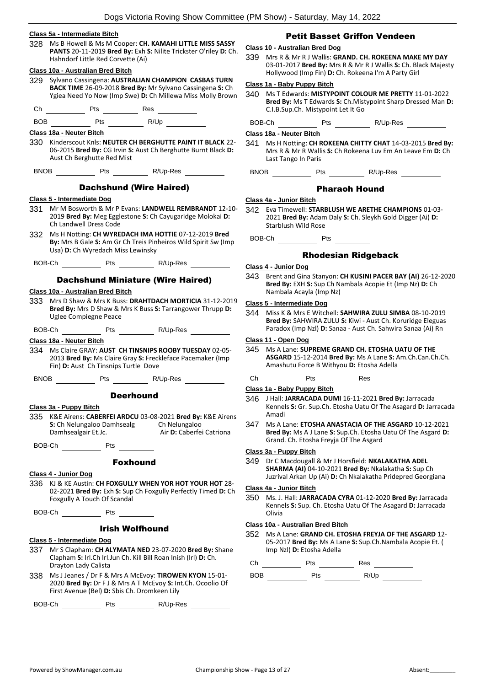## **Class 5a - Intermediate Bitch**

328 Ms B Howell & Ms M Cooper: **CH. KAMAHI LITTLE MISS SASSY PANTS** 20-11-2019 **Bred By:** Exh **S:** Nilite Trickster O'riley **D:** Ch. Hahndorf Little Red Corvette (Ai)

#### **Class 10a - Australian Bred Bitch**

329 Sylvano Cassingena: **AUSTRALIAN CHAMPION CASBAS TURN BACK TIME** 26-09-2018 **Bred By:** Mr Sylvano Cassingena **S:** Ch Ygiea Need Yo Now (Imp Swe) **D:** Ch Millewa Miss Molly Brown

Ch Pts Res

BOB Pts R/Up

## **Class 18a - Neuter Bitch**

330 Kinderscout Knls: **NEUTER CH BERGHUTTE PAINT IT BLACK** 22- 06-2015 **Bred By:** CG Irvin **S:** Aust Ch Berghutte Burnt Black **D:**  Aust Ch Berghutte Red Mist

BNOB Pts R/Up-Res

## Dachshund (Wire Haired)

## **Class 5 - Intermediate Dog**

- 331 Mr M Bosworth & Mr P Evans: **LANDWELL REMBRANDT** 12-10- 2019 **Bred By:** Meg Egglestone **S:** Ch Cayugaridge Molokai **D:**  Ch Landwell Dress Code
- 332 Ms H Notting: **CH WYREDACH IMA HOTTIE** 07-12-2019 **Bred By:** Mrs B Gale **S:** Am Gr Ch Treis Pinheiros Wild Spirit Sw (Imp Usa) **D:** Ch Wyredach Miss Lewinsky
- BOB-Ch Pts R/Up-Res

## Dachshund Miniature (Wire Haired)

## **Class 10a - Australian Bred Bitch**

333 Mrs D Shaw & Mrs K Buss: **DRAHTDACH MORTICIA** 31-12-2019 **Bred By:** Mrs D Shaw & Mrs K Buss **S:** Tarrangower Thrupp **D:**  Uglee Compiegne Peace

BOB-Ch Pts R/Up-Res R

**Class 18a - Neuter Bitch**

334 Ms Claire GRAY: **AUST CH TINSNIPS ROOBY TUESDAY** 02-05- 2013 **Bred By:** Ms Claire Gray **S:** Freckleface Pacemaker (Imp Fin) **D:** Aust Ch Tinsnips Turtle Dove

BNOB Pts R/Up-Res

## **Deerhound**

- **Class 3a - Puppy Bitch**
- 335 K&E Airens: **CABERFEI ARDCU** 03-08-2021 **Bred By:** K&E Airens **S: Ch Nelungaloo Damhsealg Damhsealgair Et.Jc.** Air D: Caberfei Catriona

BOB-Ch Pts Pts

## Foxhound

- **Class 4 - Junior Dog**
- 336 KJ & KE Austin: **CH FOXGULLY WHEN YOR HOT YOUR HOT** 28- 02-2021 **Bred By:** Exh **S:** Sup Ch Foxgully Perfectly Timed **D:** Ch Foxgully A Touch Of Scandal
- BOB-Ch Pts

## Irish Wolfhound

## **Class 5 - Intermediate Dog**

- 337 Mr S Clapham: **CH ALYMATA NED** 23-07-2020 **Bred By:** Shane Clapham **S:** Irl.Ch Irl.Jun Ch. Kill Bill Roan Inish (Irl) **D:** Ch. Drayton Lady Calista
- 338 Ms J Jeanes / Dr F & Mrs A McEvoy: **TIROWEN KYON** 15-01- 2020 **Bred By:** Dr F J & Mrs A T McEvoy **S:** Int.Ch. Ocoolio Of First Avenue (Bel) **D:** Sbis Ch. Dromkeen Lily

BOB-Ch Pts R/Up-Res

## Petit Basset Griffon Vendeen

## **Class 10 - Australian Bred Dog**

339 Mrs R & Mr R J Wallis: **GRAND. CH. ROKEENA MAKE MY DAY** 03-01-2017 **Bred By:** Mrs R & Mr R J Wallis **S:** Ch. Black Majesty Hollywood (Imp Fin) **D:** Ch. Rokeena I'm A Party Girl

## **Class 1a - Baby Puppy Bitch**

340 Ms T Edwards: **MISTYPOINT COLOUR ME PRETTY** 11-01-2022 **Bred By:** Ms T Edwards **S:** Ch.Mistypoint Sharp Dressed Man **D:**  C.I.B.Sup.Ch. Mistypoint Let It Go

BOB-Ch Pts R/Up-Res

#### **Class 18a - Neuter Bitch**

341 Ms H Notting: **CH ROKEENA CHITTY CHAT** 14-03-2015 **Bred By:** Mrs R & Mr R Wallis **S:** Ch Rokeena Luv Em An Leave Em **D:** Ch Last Tango In Paris

BNOB Pts R/Up-Res

## Pharaoh Hound

#### **Class 4a - Junior Bitch**

342 Eva Timewell: **STARBLUSH WE ARETHE CHAMPIONS** 01-03- 2021 **Bred By:** Adam Daly **S:** Ch. Sleykh Gold Digger (Ai) **D:**  Starblush Wild Rose

BOB-Ch Pts

## Rhodesian Ridgeback

## **Class 4 - Junior Dog**

343 Brent and Gina Stanyon: **CH KUSINI PACER BAY (AI)** 26-12-2020 **Bred By:** EXH **S:** Sup Ch Nambala Acopie Et (Imp Nz) **D:** Ch Nambala Acayla (Imp Nz)

## **Class 5 - Intermediate Dog**

344 Miss K & Mrs E Witchell: **SAHWIRA ZULU SIMBA** 08-10-2019 **Bred By:** SAHWIRA ZULU **S:** Kiwi - Aust Ch. Koruridge Eleguas Paradox (Imp Nzl) **D:** Sanaa - Aust Ch. Sahwira Sanaa (Ai) Rn

## **Class 11 - Open Dog**

345 Ms A Lane: **SUPREME GRAND CH. ETOSHA UATU OF THE ASGARD** 15-12-2014 **Bred By:** Ms A Lane **S:** Am.Ch.Can.Ch.Ch. Amashutu Force B Withyou **D:** Etosha Adella

## Ch Pts Res

## **Class 1a - Baby Puppy Bitch**

- 346 J Hall: **JARRACADA DUMI** 16-11-2021 **Bred By:** Jarracada Kennels **S:** Gr. Sup.Ch. Etosha Uatu Of The Asagard **D:** Jarracada Amadi
- 347 Ms A Lane: **ETOSHA ANASTACIA OF THE ASGARD** 10-12-2021 **Bred By:** Ms A J Lane **S:** Sup.Ch. Etosha Uatu Of The Asgard **D:**  Grand. Ch. Etosha Freyja Of The Asgard

#### **Class 3a - Puppy Bitch**

349 Dr C Macdougall & Mr J Horsfield: **NKALAKATHA ADEL SHARMA (AI)** 04-10-2021 **Bred By:** Nkalakatha **S:** Sup Ch Juzrival Arkan Up (Ai) **D:** Ch Nkalakatha Pridepred Georgiana

## **Class 4a - Junior Bitch**

350 Ms. J. Hall: **JARRACADA CYRA** 01-12-2020 **Bred By:** Jarracada Kennels **S:** Sup. Ch. Etosha Uatu Of The Asagard **D:** Jarracada Olivia

#### **Class 10a - Australian Bred Bitch**

352 Ms A Lane: **GRAND CH. ETOSHA FREYJA OF THE ASGARD** 12- 05-2017 **Bred By:** Ms A Lane **S:** Sup.Ch.Nambala Acopie Et. ( Imp Nzl) **D:** Etosha Adella

Ch Pts Res

BOB Pts R/Up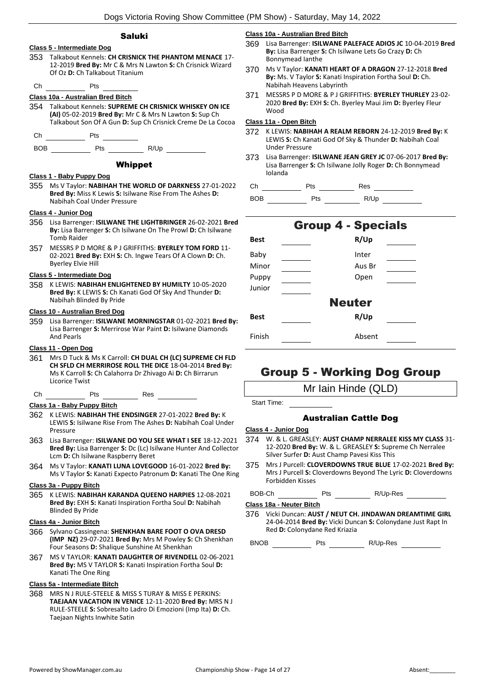## Saluki

## **Class 5 - Intermediate Dog** 353 Talkabout Kennels: **CH CRISNICK THE PHANTOM MENACE** 17- 12-2019 **Bred By:** Mr C & Mrs N Lawton **S:** Ch Crisnick Wizard Of Oz **D:** Ch Talkabout Titanium Ch Pts **Class 10a - Australian Bred Bitch** 354 Talkabout Kennels: **SUPREME CH CRISNICK WHISKEY ON ICE (AI)** 05-02-2019 **Bred By:** Mr C & Mrs N Lawton **S:** Sup Ch Talkabout Son Of A Gun **D:** Sup Ch Crisnick Creme De La Cocoa Ch Pts BOB Pts R/Up Whippet **Class 1 - Baby Puppy Dog** 355 Ms V Taylor: **NABIHAH THE WORLD OF DARKNESS** 27-01-2022 **Bred By:** Miss K Lewis **S:** Isilwane Rise From The Ashes **D:**  Nabihah Coal Under Pressure **Class 4 - Junior Dog** 356 Lisa Barrenger: **ISILWANE THE LIGHTBRINGER** 26-02-2021 **Bred By:** Lisa Barrenger **S:** Ch Isilwane On The Prowl **D:** Ch Isilwane Tomb Raider 357 MESSRS P D MORE & P J GRIFFITHS: **BYERLEY TOM FORD** 11- 02-2021 **Bred By:** EXH **S:** Ch. Ingwe Tears Of A Clown **D:** Ch. Byerley Elvie Hill **Class 5 - Intermediate Dog** 358 K LEWIS: **NABIHAH ENLIGHTENED BY HUMILTY** 10-05-2020 **Bred By:** K LEWIS **S:** Ch Kanati God Of Sky And Thunder **D:**  Nabihah Blinded By Pride **Class 10 - Australian Bred Dog** 359 Lisa Barrenger: **ISILWANE MORNINGSTAR** 01-02-2021 **Bred By:** Lisa Barrenger **S:** Merrirose War Paint **D:** Isilwane Diamonds And Pearls **Class 11 - Open Dog** 361 Mrs D Tuck & Ms K Carroll: **CH DUAL CH (LC) SUPREME CH FLD CH SFLD CH MERRIROSE ROLL THE DICE** 18-04-2014 **Bred By:** Ms K Carroll **S:** Ch Calahorra Dr Zhivago Ai **D:** Ch Birrarun Licorice Twist Ch Pts Res **Class 1a - Baby Puppy Bitch** 362 K LEWIS: **NABIHAH THE ENDSINGER** 27-01-2022 **Bred By:** K LEWIS **S:** Isilwane Rise From The Ashes **D:** Nabihah Coal Under Pressure 363 Lisa Barrenger: **ISILWANE DO YOU SEE WHAT I SEE** 18-12-2021 **Bred By:** Lisa Barrenger **S:** Dc (Lc) Isilwane Hunter And Collector Lcm **D:** Ch Isilwane Raspberry Beret 364 Ms V Taylor: **KANATI LUNA LOVEGOOD** 16-01-2022 **Bred By:** Ms V Taylor **S:** Kanati Expecto Patronum **D:** Kanati The One Ring **Class 3a - Puppy Bitch** 365 K LEWIS: **NABIHAH KARANDA QUEENO HARPIES** 12-08-2021 **Bred By:** EXH **S:** Kanati Inspiration Fortha Soul **D:** Nabihah Blinded By Pride **Class 4a - Junior Bitch**

- 366 Sylvano Cassingena: **SHENKHAN BARE FOOT O OVA DRESD (IMP NZ)** 29-07-2021 **Bred By:** Mrs M Powley **S:** Ch Shenkhan Four Seasons **D:** Shalique Sunshine At Shenkhan
- 367 MS V TAYLOR: **KANATI DAUGHTER OF RIVENDELL** 02-06-2021 **Bred By:** MS V TAYLOR **S:** Kanati Inspiration Fortha Soul **D:**  Kanati The One Ring

## **Class 5a - Intermediate Bitch**

368 MRS N J RULE-STEELE & MISS S TURAY & MISS E PERKINS: **TAEJAAN VACATION IN VENICE** 12-11-2020 **Bred By:** MRS N J RULE-STEELE **S:** Sobresalto Ladro Di Emozioni (Imp Ita) **D:** Ch. Taejaan Nights Inwhite Satin

### **Class 10a - Australian Bred Bitch**

- 369 Lisa Barrenger: **ISILWANE PALEFACE ADIOS JC** 10-04-2019 **Bred By:** Lisa Barrenger **S:** Ch Isilwane Lets Go Crazy **D:** Ch Bonnymead Ianthe
- 370 Ms V Taylor: **KANATI HEART OF A DRAGON** 27-12-2018 **Bred By:** Ms. V Taylor **S:** Kanati Inspiration Fortha Soul **D:** Ch. Nabihah Heavens Labyrinth
- 371 MESSRS P D MORE & P J GRIFFITHS: **BYERLEY THURLEY** 23-02- 2020 **Bred By:** EXH **S:** Ch. Byerley Maui Jim **D:** Byerley Fleur Wood

## **Class 11a - Open Bitch**

- 372 K LEWIS: **NABIHAH A REALM REBORN** 24-12-2019 **Bred By:** K LEWIS **S:** Ch Kanati God Of Sky & Thunder **D:** Nabihah Coal Under Pressure
- 373 Lisa Barrenger: **ISILWANE JEAN GREY JC** 07-06-2017 **Bred By:** Lisa Barrenger **S:** Ch Isilwane Jolly Roger **D:** Ch Bonnymead Iolanda

Ch Pts Res

BOB Pts R/Up

## Group 4 - Specials **Best R/Up** Baby Inter Minor Aus Br Puppy Open Junior Neuter **Best R/Up** Finish Absent

## Group 5 - Working Dog Group

Mr Iain Hinde (QLD)

Start Time:

## Australian Cattle Dog

#### **Class 4 - Junior Dog**

- 374 W. & L. GREASLEY: **AUST CHAMP NERRALEE KISS MY CLASS** 31- 12-2020 **Bred By:** W. & L. GREASLEY **S:** Supreme Ch Nerralee Silver Surfer **D:** Aust Champ Pavesi Kiss This
- 375 Mrs J Purcell: **CLOVERDOWNS TRUE BLUE** 17-02-2021 **Bred By:** Mrs J Purcell **S:** Cloverdowns Beyond The Lyric **D:** Cloverdowns Forbidden Kisses

BOB-Ch Pts N/Up-Res

## **Class 18a - Neuter Bitch**

376 Vicki Duncan: **AUST / NEUT CH. JINDAWAN DREAMTIME GIRL** 24-04-2014 **Bred By:** Vicki Duncan **S:** Colonydane Just Rapt In Red **D:** Colonydane Red Kriazia

BNOB Pts R/Up-Res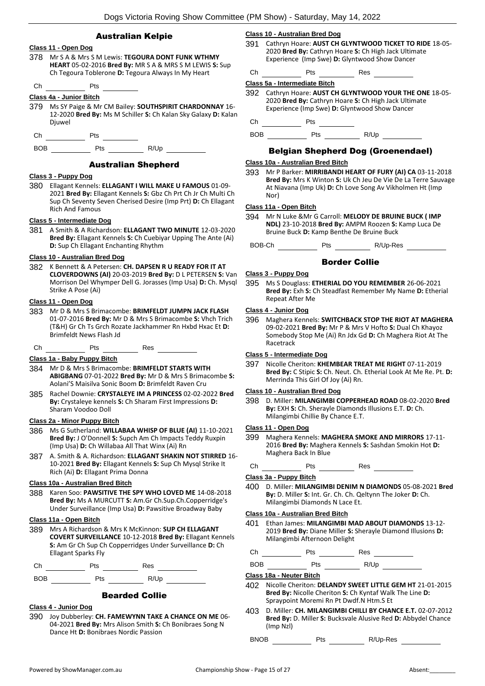| <b>Australian Kelpie</b> |  |
|--------------------------|--|
|                          |  |



378 Mr S A & Mrs S M Lewis: **TEGOURA DONT FUNK WTHMY HEART** 05-02-2016 **Bred By:** MR S A & MRS S M LEWIS **S:** Sup Ch Tegoura Toblerone **D:** Tegoura Always In My Heart

## Ch Pts

## **Class 4a - Junior Bitch**

379 Ms SY Paige & Mr CM Bailey: **SOUTHSPIRIT CHARDONNAY** 16- 12-2020 **Bred By:** Ms M Schiller **S:** Ch Kalan Sky Galaxy **D:** Kalan Djuwel

Ch Pts

BOB Pts R/Up

## Australian Shepherd

## **Class 3 - Puppy Dog**

380 Ellagant Kennels: **ELLAGANT I WILL MAKE U FAMOUS** 01-09- 2021 **Bred By:** Ellagant Kennels **S:** Gbz Ch Prt Ch Jr Ch Multi Ch Sup Ch Seventy Seven Cherised Desire (Imp Prt) **D:** Ch Ellagant Rich And Famous

## **Class 5 - Intermediate Dog**

381 A Smith & A Richardson: **ELLAGANT TWO MINUTE** 12-03-2020 **Bred By:** Ellagant Kennels **S:** Ch Cuebiyar Upping The Ante (Ai) **D:** Sup Ch Ellagant Enchanting Rhythm

## **Class 10 - Australian Bred Dog**

382 K Bennett & A Petersen: **CH. DAPSEN R U READY FOR IT AT CLOVERDOWNS (AI)** 20-03-2019 **Bred By:** D L PETERSEN **S:** Van Morrison Del Whymper Dell G. Jorasses (Imp Usa) **D:** Ch. Mysql Strike A Pose (Ai)

## **Class 11 - Open Dog**

383 Mr D & Mrs S Brimacombe: **BRIMFELDT JUMPN JACK FLASH** 01-07-2016 **Bred By:** Mr D & Mrs S Brimacombe **S:** Vhch Trich (T&H) Gr Ch Ts Grch Rozate Jackhammer Rn Hxbd Hxac Et **D:**  Brimfeldt News Flash Jd

Ch Pts Res

#### **Class 1a - Baby Puppy Bitch**

- 384 Mr D & Mrs S Brimacombe: **BRIMFELDT STARTS WITH ABIGBANG** 07-01-2022 **Bred By:** Mr D & Mrs S Brimacombe **S:**  Aolani'S Maisilva Sonic Boom **D:** Brimfeldt Raven Cru
- 385 Rachel Downie: **CRYSTALEYE IM A PRINCESS** 02-02-2022 **Bred By:** Crystaleye kennels **S:** Ch Sharam First Impressions **D:**  Sharam Voodoo Doll

#### **Class 2a - Minor Puppy Bitch**

- 386 Ms G Sutherland: **WILLABAA WHISP OF BLUE (AI)** 11-10-2021 **Bred By:** J O'Donnell **S:** Supch Am Ch Impacts Teddy Ruxpin (Imp Usa) **D:** Ch Willabaa All That Winx (Ai) Rn
- 387 A. Smith & A. Richardson: **ELLAGANT SHAKIN NOT STIRRED** 16- 10-2021 **Bred By:** Ellagant Kennels **S:** Sup Ch Mysql Strike It Rich (Ai) **D:** Ellagant Prima Donna

## **Class 10a - Australian Bred Bitch**

388 Karen Soo: **PAWSITIVE THE SPY WHO LOVED ME** 14-08-2018 **Bred By:** Ms A MURCUTT **S:** Am.Gr Ch.Sup.Ch.Copperridge's Under Surveillance (Imp Usa) **D:** Pawsitive Broadway Baby

## **Class 11a - Open Bitch**

389 Mrs A Richardson & Mrs K McKinnon: **SUP CH ELLAGANT COVERT SURVEILLANCE** 10-12-2018 **Bred By:** Ellagant Kennels **S:** Am Gr Ch Sup Ch Copperridges Under Surveillance **D:** Ch Ellagant Sparks Fly

Ch Pts Res

BOB Pts R/Up

## Bearded Collie

## **Class 4 - Junior Dog**

390 Joy Dubberley: **CH. FAMEWYNN TAKE A CHANCE ON ME** 06- 04-2021 **Bred By:** Mrs Alison Smith **S:** Ch Bonibraes Song N Dance Ht **D:** Bonibraes Nordic Passion

#### **Class 10 - Australian Bred Dog**

391 Cathryn Hoare: **AUST CH GLYNTWOOD TICKET TO RIDE** 18-05- 2020 **Bred By:** Cathryn Hoare **S:** Ch High Jack Ultimate Experience (Imp Swe) **D:** Glyntwood Show Dancer

| . г | $\sim$ | --<br>__ |  |
|-----|--------|----------|--|
|     |        |          |  |

**Class 5a - Intermediate Bitch**

392 Cathryn Hoare: **AUST CH GLYNTWOOD YOUR THE ONE** 18-05- 2020 **Bred By:** Cathryn Hoare **S:** Ch High Jack Ultimate Experience (Imp Swe) **D:** Glyntwood Show Dancer

Ch Pts

BOB Pts R/Up

## Belgian Shepherd Dog (Groenendael)

## **Class 10a - Australian Bred Bitch**

393 Mr P Barker: **MIRRIBANDI HEART OF FURY (AI) CA** 03-11-2018 **Bred By:** Mrs K Winton **S:** Uk Ch Jeu De Vie De La Terre Sauvage At Niavana (Imp Uk) **D:** Ch Love Song Av Vikholmen Ht (Imp Nor)

#### **Class 11a - Open Bitch**

394 Mr N Luke &Mr G Carroll: **MELODY DE BRUINE BUCK ( IMP NDL)** 23-10-2018 **Bred By:** AMPM Roozen **S:** Kamp Luca De Bruine Buck **D:** Kamp Benthe De Bruine Buck

BOB-Ch Pts R/Up-Res

## Border Collie

#### **Class 3 - Puppy Dog**

395 Ms S Douglass: **ETHERIAL DO YOU REMEMBER** 26-06-2021 **Bred By:** Exh **S:** Ch Steadfast Remember My Name **D:** Etherial Repeat After Me

#### **Class 4 - Junior Dog**

396 Maghera Kennels: **SWITCHBACK STOP THE RIOT AT MAGHERA** 09-02-2021 **Bred By:** Mr P & Mrs V Hofto **S:** Dual Ch Khayoz Somebody Stop Me (Ai) Rn Jdx Gd **D:** Ch Maghera Riot At The Racetrack

## **Class 5 - Intermediate Dog**

397 Nicolle Cheriton: **KHEMBEAR TREAT ME RIGHT** 07-11-2019 **Bred By:** C Stipic **S:** Ch. Neut. Ch. Etherial Look At Me Re. Pt. **D:**  Merrinda This Girl Of Joy (Ai) Rn.

## **Class 10 - Australian Bred Dog**

398 D. Miller: **MILANGIMBI COPPERHEAD ROAD** 08-02-2020 **Bred By:** EXH **S:** Ch. Sherayle Diamonds Illusions E.T. **D:** Ch. Milangimbi Chillie By Chance E.T.

## **Class 11 - Open Dog**

- 399 Maghera Kennels: **MAGHERA SMOKE AND MIRRORS** 17-11- 2016 **Bred By:** Maghera Kennels **S:** Sashdan Smokin Hot **D:**  Maghera Back In Blue
- Ch Pts Res

## **Class 3a - Puppy Bitch**

400 D. Miller: **MILANGIMBI DENIM N DIAMONDS** 05-08-2021 **Bred By:** D. Miller **S:** Int. Gr. Ch. Ch. Qeltynn The Joker **D:** Ch. Milangimbi Diamonds N Lace Et.

## **Class 10a - Australian Bred Bitch**

401 Ethan James: **MILANGIMBI MAD ABOUT DIAMONDS** 13-12- 2019 **Bred By:** Diane Miller **S:** Sherayle Diamond Illusions **D:**  Milangimbi Afternoon Delight

Ch Pts Res

BOB Pts R/Up

## **Class 18a - Neuter Bitch**

- 402 Nicolle Cheriton: **DELANDY SWEET LITTLE GEM HT** 21-01-2015 **Bred By:** Nicolle Cheriton **S:** Ch Kyntaf Walk The Line **D:**  Spraypoint Moremi Rn Pt Dwdf.N Htm.S Et
- 403 D. Miller: **CH. MILANGIMBI CHILLI BY CHANCE E.T.** 02-07-2012 **Bred By:** D. Miller **S:** Bucksvale Alusive Red **D:** Abbydel Chance (Imp Nzl)

BNOB Pts R/Up-Res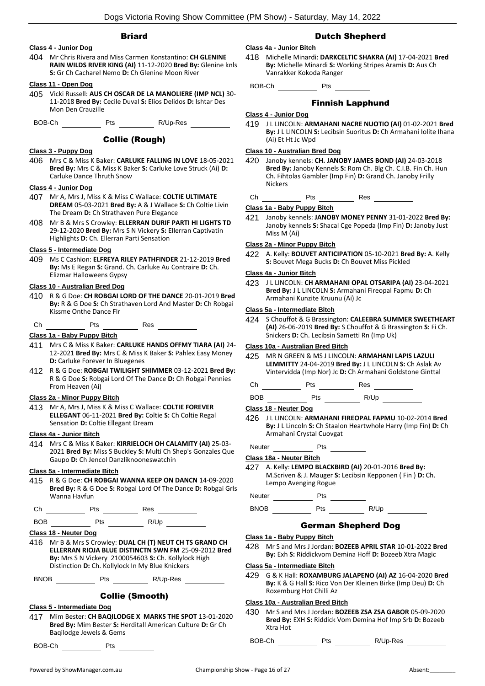## **Briard**

## **Class 4 - Junior Dog**

404 Mr Chris Rivera and Miss Carmen Konstantino: **CH GLENINE RAIN WILDS RIVER KING (AI)** 11-12-2020 **Bred By:** Glenine knls **S:** Gr Ch Cacharel Nemo **D:** Ch Glenine Moon River

## **Class 11 - Open Dog**

405 Vicki Russell: **AUS CH OSCAR DE LA MANOLIERE (IMP NCL)** 30- 11-2018 **Bred By:** Cecile Duval **S:** Elios Delidos **D:** Ishtar Des Mon Den Crauzille

BOB-Ch Pts R/Up-Res

## Collie (Rough)

## **Class 3 - Puppy Dog**

406 Mrs C & Miss K Baker: **CARLUKE FALLING IN LOVE** 18-05-2021 **Bred By:** Mrs C & Miss K Baker **S:** Carluke Love Struck (Ai) **D:**  Carluke Dance Thruth Snow

## **Class 4 - Junior Dog**

- 407 Mr A, Mrs J, Miss K & Miss C Wallace: **COLTIE ULTIMATE DREAM** 05-03-2021 **Bred By:** A & J Wallace **S:** Ch Coltie Livin The Dream **D:** Ch Strathaven Pure Elegance
- 408 Mr B & Mrs S Crowley: **ELLERRAN DURIF PARTI HI LIGHTS TD** 29-12-2020 **Bred By:** Mrs S N Vickery **S:** Ellerran Captivatin Highlights **D:** Ch. Ellerran Parti Sensation

#### **Class 5 - Intermediate Dog**

409 Ms C Cashion: **ELFREYA RILEY PATHFINDER** 21-12-2019 **Bred By:** Ms E Regan **S:** Grand. Ch. Carluke Au Contraire **D:** Ch. Elizmar Halloweens Gypsy

#### **Class 10 - Australian Bred Dog**

- 410 R & G Doe: **CH ROBGAI LORD OF THE DANCE** 20-01-2019 **Bred By:** R & G Doe **S:** Ch Strathaven Lord And Master **D:** Ch Robgai Kissme Onthe Dance Flr
- $Ch$   $Hs$   $Hs$   $Res$   $Hs$

## **Class 1a - Baby Puppy Bitch**

- 411 Mrs C & Miss K Baker: **CARLUKE HANDS OFFMY TIARA (AI)** 24- 12-2021 **Bred By:** Mrs C & Miss K Baker **S:** Pahlex Easy Money **D:** Carluke Forever In Bluegenes
- 412 R & G Doe: **ROBGAI TWILIGHT SHIMMER** 03-12-2021 **Bred By:** R & G Doe **S:** Robgai Lord Of The Dance **D:** Ch Robgai Pennies From Heaven (Ai)

## **Class 2a - Minor Puppy Bitch**

413 Mr A, Mrs J, Miss K & Miss C Wallace: **COLTIE FOREVER ELLEGANT** 06-11-2021 **Bred By:** Coltie **S:** Ch Coltie Regal Sensation **D:** Coltie Ellegant Dream

## **Class 4a - Junior Bitch**

414 Mrs C & Miss K Baker: **KIRRIELOCH OH CALAMITY (AI)** 25-03- 2021 **Bred By:** Miss S Buckley **S:** Multi Ch Shep's Gonzales Que Gaupo **D:** Ch Jencol Danzliknooneswatchin

## **Class 5a - Intermediate Bitch**

415 R & G Doe: **CH ROBGAI WANNA KEEP ON DANCN** 14-09-2020 **Bred By:** R & G Doe **S:** Robgai Lord Of The Dance **D:** Robgai Grls Wanna Havfun

Ch Pts Res

BOB Pts R/Up

## **Class 18 - Neuter Dog**

416 Mr B & Mrs S Crowley: **DUAL CH (T) NEUT CH TS GRAND CH ELLERRAN RIOJA BLUE DISTINCTN SWN FM** 25-09-2012 **Bred By:** Mrs S N Vickery 2100054603 **S:** Ch. Kollylock High Distinction **D:** Ch. Kollylock In My Blue Knickers

BNOB Pts R/Up-Res

## Collie (Smooth)

#### **Class 5 - Intermediate Dog**

417 Mim Bester: **CH BAQILODGE X MARKS THE SPOT** 13-01-2020 **Bred By:** Mim Bester **S:** Herditall American Culture **D:** Gr Ch Baqilodge Jewels & Gems

BOB-Ch Pts

## Dutch Shepherd

## **Class 4a - Junior Bitch**

418 Michelle Minardi: **DARKCELTIC SHAKRA (AI)** 17-04-2021 **Bred By:** Michelle Minardi **S:** Working Stripes Aramis **D:** Aus Ch Vanrakker Kokoda Ranger

BOB-Ch Pts

## Finnish Lapphund

## **Class 4 - Junior Dog**

419 J L LINCOLN: **ARMAHANI NACRE NUOTIO (AI)** 01-02-2021 **Bred By:** J L LINCOLN **S:** Lecibsin Suoritus **D:** Ch Armahani Iolite Ihana (Ai) Et Ht Jc Wpd

### **Class 10 - Australian Bred Dog**

- 420 Janoby kennels: **CH. JANOBY JAMES BOND (AI)** 24-03-2018 **Bred By:** Janoby Kennels **S:** Rom Ch. Blg Ch. C.I.B. Fin Ch. Hun Ch. Fihtolas Gambler (Imp Fin) **D:** Grand Ch. Janoby Frilly **Nickers**
- Ch Pts Res

**Class 1a - Baby Puppy Bitch**

421 Janoby kennels: **JANOBY MONEY PENNY** 31-01-2022 **Bred By:** Janoby kennels **S:** Shacal Cge Popeda (Imp Fin) **D:** Janoby Just Miss M (Ai)

## **Class 2a - Minor Puppy Bitch**

422 A. Kelly: **BOUVET ANTICIPATION** 05-10-2021 **Bred By:** A. Kelly **S:** Bouvet Mega Bucks **D:** Ch Bouvet Miss Pickled

## **Class 4a - Junior Bitch**

423 J L LINCOLN: **CH ARMAHANI OPAL OTSARIPA (AI)** 23-04-2021 **Bred By:** J L LINCOLN **S:** Armahani Fireopal Fapmu **D:** Ch Armahani Kunzite Kruunu (Ai) Jc

#### **Class 5a - Intermediate Bitch**

424 S Chouffot & G Brassington: **CALEEBRA SUMMER SWEETHEART (AI)** 26-06-2019 **Bred By:** S Chouffot & G Brassington **S:** Fi Ch. Snickers **D:** Ch. Lecibsin Sametti Rn (Imp Uk)

## **Class 10a - Australian Bred Bitch**

425 MR N GREEN & MS J LINCOLN: **ARMAHANI LAPIS LAZULI LEMMITTY** 24-04-2019 **Bred By:** J L LINCOLN **S:** Ch Aslak Av Vintervidda (Imp Nor) Jc **D:** Ch Armahani Goldstone Ginttal

Ch Pts Res

BOB Pts R/Up

## **Class 18 - Neuter Dog**

426 J L LINCOLN: **ARMAHANI FIREOPAL FAPMU** 10-02-2014 **Bred By:** J L Lincoln **S:** Ch Staalon Heartwhole Harry (Imp Fin) **D:** Ch Armahani Crystal Cuovgat

Neuter Pts

## **Class 18a - Neuter Bitch**

427 A. Kelly: **LEMPO BLACKBIRD (AI)** 20-01-2016 **Bred By:** M.Scriven & J. Mauger **S:** Lecibsin Kepponen ( Fin ) **D:** Ch. Lempo Avenging Rogue

## German Shepherd Dog

## **Class 1a - Baby Puppy Bitch**

428 Mr S and Mrs J Jordan: **BOZEEB APRIL STAR** 10-01-2022 **Bred By:** Exh **S:** Riddickvom Demina Hoff **D:** Bozeeb Xtra Magic

#### **Class 5a - Intermediate Bitch**

429 G & K Hall: **ROXAMBURG JALAPENO (AI) AZ** 16-04-2020 **Bred By:** K & G Hall **S:** Rico Von Der Kleinen Birke (Imp Deu) **D:** Ch Roxemburg Hot Chilli Az

## **Class 10a - Australian Bred Bitch**

430 Mr S and Mrs J Jordan: **BOZEEB ZSA ZSA GABOR** 05-09-2020 **Bred By:** EXH **S:** Riddick Vom Demina Hof Imp Srb **D:** Bozeeb Xtra Hot

BOB-Ch Pts R/Up-Res

Neuter Pts Pts BNOB Pts R/Up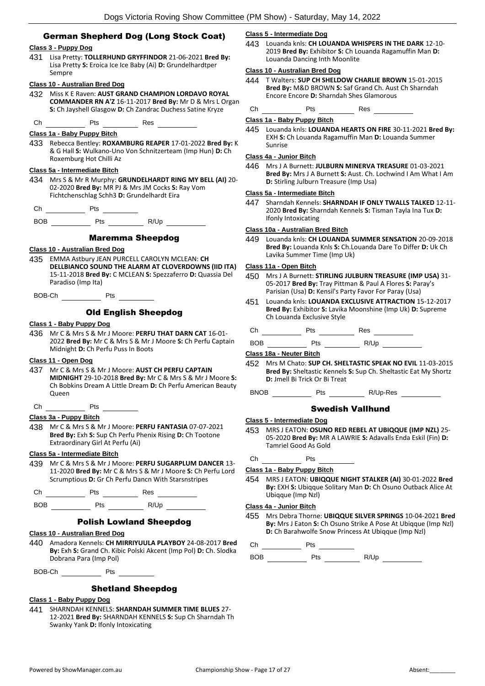## German Shepherd Dog (Long Stock Coat)

## **Class 3 - Puppy Dog**

431 Lisa Pretty: **TOLLERHUND GRYFFINDOR** 21-06-2021 **Bred By:** Lisa Pretty **S:** Eroica Ice Ice Baby (Ai) **D:** Grundelhardtper Sempre

## **Class 10 - Australian Bred Dog**

432 Miss K E Raven: **AUST GRAND CHAMPION LORDAVO ROYAL COMMANDER RN A'Z** 16-11-2017 **Bred By:** Mr D & Mrs L Organ **S:** Ch Jayshell Glasgow **D:** Ch Zandrac Duchess Satine Kryze

Ch Pts Res

## **Class 1a - Baby Puppy Bitch**

433 Rebecca Bentley: **ROXAMBURG REAPER** 17-01-2022 **Bred By:** K & G Hall **S:** Wulkano-Uno Von Schnitzerteam (Imp Hun) **D:** Ch Roxemburg Hot Chilli Az

## **Class 5a - Intermediate Bitch**

- 434 Mrs S & Mr R Murphy: **GRUNDELHARDT RING MY BELL (AI)** 20- 02-2020 **Bred By:** MR PJ & Mrs JM Cocks **S:** Ray Vom Fichtchenschlag Schh3 **D:** Grundelhardt Eira
- Ch Pts
- BOB Pts R/Up

## Maremma Sheepdog

## **Class 10 - Australian Bred Dog**

435 EMMA Astbury JEAN PURCELL CAROLYN MCLEAN: **CH DELLBIANCO SOUND THE ALARM AT CLOVERDOWNS (IID ITA)** 15-11-2018 **Bred By:** C MCLEAN **S:** Spezzaferro **D:** Quassia Del Paradiso (Imp Ita)

BOB-Ch Pts

## Old English Sheepdog

#### **Class 1 - Baby Puppy Dog**

436 Mr C & Mrs S & Mr J Moore: **PERFU THAT DARN CAT** 16-01- 2022 **Bred By:** Mr C & Mrs S & Mr J Moore **S:** Ch Perfu Captain Midnight **D:** Ch Perfu Puss In Boots

## **Class 11 - Open Dog**

437 Mr C & Mrs S & Mr J Moore: **AUST CH PERFU CAPTAIN MIDNIGHT** 29-10-2018 **Bred By:** Mr C & Mrs S & Mr J Moore **S:**  Ch Bobkins Dream A Little Dream **D:** Ch Perfu American Beauty **Oueen** 

Ch Pts

## **Class 3a - Puppy Bitch**

438 Mr C & Mrs S & Mr J Moore: **PERFU FANTASIA** 07-07-2021 **Bred By:** Exh **S:** Sup Ch Perfu Phenix Rising **D:** Ch Tootone Extraordinary Girl At Perfu (Ai)

## **Class 5a - Intermediate Bitch**

439 Mr C & Mrs S & Mr J Moore: **PERFU SUGARPLUM DANCER** 13- 11-2020 **Bred By:** Mr C & Mrs S & Mr J Moore **S:** Ch Perfu Lord Scrumptious **D:** Gr Ch Perfu Dancn With Starsnstripes

Ch Pts Res

BOB Pts R/Up

## Polish Lowland Sheepdog

## **Class 10 - Australian Bred Dog**

440 Amadora Kennels: **CH MIRRIYUULA PLAYBOY** 24-08-2017 **Bred By:** Exh **S:** Grand Ch. Kibic Polski Akcent (Imp Pol) **D:** Ch. Slodka Dobrana Para (Imp Pol)

BOB-Ch Pts

## Shetland Sheepdog

## **Class 1 - Baby Puppy Dog**

441 SHARNDAH KENNELS: **SHARNDAH SUMMER TIME BLUES** 27- 12-2021 **Bred By:** SHARNDAH KENNELS **S:** Sup Ch Sharndah Th Swanky Yank **D:** Ifonly Intoxicating

## **Class 5 - Intermediate Dog**

443 Louanda knls: **CH LOUANDA WHISPERS IN THE DARK** 12-10- 2019 **Bred By:** Exhibitor **S:** Ch Louanda Ragamuffin Man **D:**  Louanda Dancing Inth Moonlite

#### **Class 10 - Australian Bred Dog**

- 444 T Walters: **SUP CH SHELDOW CHARLIE BROWN** 15-01-2015 **Bred By:** M&D BROWN **S:** Saf Grand Ch. Aust Ch Sharndah Encore Encore **D:** Sharndah Shes Glamorous
- Ch Pts Res

## **Class 1a - Baby Puppy Bitch**

445 Louanda knls: **LOUANDA HEARTS ON FIRE** 30-11-2021 **Bred By:** EXH **S:** Ch Louanda Ragamuffin Man **D:** Louanda Summer Sunrise

## **Class 4a - Junior Bitch**

446 Mrs J A Burnett: **JULBURN MINERVA TREASURE** 01-03-2021 **Bred By:** Mrs J A Burnett **S:** Aust. Ch. Lochwind I Am What I Am **D:** Stirling Julburn Treasure (Imp Usa)

## **Class 5a - Intermediate Bitch**

447 Sharndah Kennels: **SHARNDAH IF ONLY TWALLS TALKED** 12-11- 2020 **Bred By:** Sharndah Kennels **S:** Tisman Tayla Ina Tux **D:**  Ifonly Intoxicating

## **Class 10a - Australian Bred Bitch**

449 Louanda knls: **CH LOUANDA SUMMER SENSATION** 20-09-2018 **Bred By:** Louanda Knls **S:** Ch.Louanda Dare To Differ **D:** Uk Ch Lavika Summer Time (Imp Uk)

## **Class 11a - Open Bitch**

- 450 Mrs J A Burnett: **STIRLING JULBURN TREASURE (IMP USA)** 31- 05-2017 **Bred By:** Tray Pittman & Paul A Flores **S:** Paray's Parisian (Usa) **D:** Kensil's Party Favor For Paray (Usa)
- 451 Louanda knls: **LOUANDA EXCLUSIVE ATTRACTION** 15-12-2017 **Bred By:** Exhibitor **S:** Lavika Moonshine (Imp Uk) **D:** Supreme Ch Louanda Exclusive Style

Ch Pts Res

BOB Pts R/Up

## **Class 18a - Neuter Bitch**

452 Mrs M Chato: **SUP CH. SHELTASTIC SPEAK NO EVIL** 11-03-2015 **Bred By:** Sheltastic Kennels **S:** Sup Ch. Sheltastic Eat My Shortz **D:** Jmell Bi Trick Or Bi Treat

BNOB Pts R/Up-Res

### Swedish Vallhund

#### **Class 5 - Intermediate Dog**

- 453 MRS J EATON: **OSUNO RED REBEL AT UBIQQUE (IMP NZL)** 25- 05-2020 **Bred By:** MR A LAWRIE **S:** Adavalls Enda Eskil (Fin) **D:**  Tamriel Good As Gold
- Ch Pts

## **Class 1a - Baby Puppy Bitch**

454 MRS J EATON: **UBIQQUE NIGHT STALKER (AI)** 30-01-2022 **Bred By:** EXH **S:** Ubiqque Solitary Man **D:** Ch Osuno Outback Alice At Ubiqque (Imp Nzl)

## **Class 4a - Junior Bitch**

455 Mrs Debra Thorne: **UBIQQUE SILVER SPRINGS** 10-04-2021 **Bred By:** Mrs J Eaton **S:** Ch Osuno Strike A Pose At Ubiqque (Imp Nzl) **D:** Ch Barahwolfe Snow Princess At Ubigque (Imp Nzl)

 $Ch$  Pts  $\_\_$ 

BOB Pts R/Up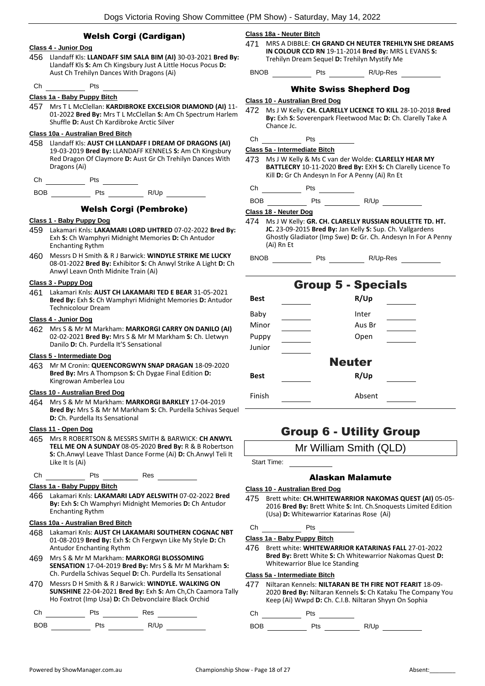|     |                                             | Dogs Victoria Roving Show Committee (PM Show) - \$                                                                               |               |                                       |
|-----|---------------------------------------------|----------------------------------------------------------------------------------------------------------------------------------|---------------|---------------------------------------|
|     |                                             | <b>Welsh Corgi (Cardigan)</b>                                                                                                    | 471           | Class 18a - Neut<br><b>MRS A DIB</b>  |
|     | Class 4 - Junior Dog                        | 456 Llandaff Kls: LLANDAFF SIM SALA BIM (AI) 30-03-2021 Bred By:<br>Llandaff Kls S: Am Ch Kingsbury Just A Little Hocus Pocus D: |               | <b>IN COLOU</b><br>Trehilyn D         |
|     | Aust Ch Trehilyn Dances With Dragons (Ai)   |                                                                                                                                  | <b>BNOB</b>   |                                       |
| Ch  | Pts                                         |                                                                                                                                  |               | W                                     |
|     | Class 1a - Baby Puppy Bitch                 |                                                                                                                                  |               | Class 10 - Austra                     |
| 457 | Shuffle D: Aust Ch Kardibroke Arctic Silver | Mrs T L McClellan: KARDIBROKE EXCELSIOR DIAMOND (AI) 11-<br>01-2022 Bred By: Mrs T L McClellan S: Am Ch Spectrum Harlem          | 472           | Ms J W Ke<br>By: Exh S:<br>Chance Jc. |
|     | Class 10a - Australian Bred Bitch           |                                                                                                                                  | Ch            |                                       |
|     |                                             | 458 Llandaff Kls: AUST CH LLANDAFF I DREAM OF DRAGONS (AI)<br>19-03-2019 Bred By: LLANDAFF KENNELS S: Am Ch Kingsbury            |               | Class 5a - Interm                     |
|     |                                             | Red Dragon Of Claymore D: Aust Gr Ch Trehilyn Dances With                                                                        |               | 473 MsJWKe                            |
|     | Dragons (Ai)                                |                                                                                                                                  |               | <b>BATTLECR</b>                       |
|     | Ch _________ Pts ________                   |                                                                                                                                  |               | Kill D: Gr C                          |
|     |                                             |                                                                                                                                  | Ch            |                                       |
|     |                                             |                                                                                                                                  | <b>BOB</b>    |                                       |
|     |                                             | <b>Welsh Corgi (Pembroke)</b>                                                                                                    |               | Class 18 - Neute                      |
|     | Class 1 - Baby Puppy Dog                    |                                                                                                                                  | 474           | Ms J W Ke                             |
| 459 |                                             | Lakamari Knls: LAKAMARI LORD UHTRED 07-02-2022 Bred By:<br>Exh S: Ch Wamphyri Midnight Memories D: Ch Antudor                    |               | JC. 23-09-2<br>Ghostly Gl             |
|     | <b>Enchanting Rythm</b>                     |                                                                                                                                  |               | (Ai) Rn Et                            |
| 460 |                                             | Messrs D H Smith & R J Barwick: WINDYLE STRIKE ME LUCKY                                                                          | <b>BNOB</b>   |                                       |
|     | Anwyl Leavn Onth Midnite Train (Ai)         | 08-01-2022 Bred By: Exhibitor S: Ch Anwyl Strike A Light D: Ch                                                                   |               |                                       |
|     | Class 3 - Puppy Dog                         |                                                                                                                                  |               |                                       |
| 461 | <b>Technicolour Dream</b>                   | Lakamari Knls: AUST CH LAKAMARI TED E BEAR 31-05-2021<br>Bred By: Exh S: Ch Wamphyri Midnight Memories D: Antudor                | <b>Best</b>   |                                       |
|     |                                             |                                                                                                                                  | Baby          |                                       |
| 462 | Class 4 - Junior Dog                        | Mrs S & Mr M Markham: MARKORGI CARRY ON DANILO (AI)                                                                              | Minor         |                                       |
|     |                                             | 02-02-2021 Bred By: Mrs S & Mr M Markham S: Ch. Lletwyn                                                                          | Puppy         |                                       |
|     | Danilo D: Ch. Purdella It'S Sensational     |                                                                                                                                  | <b>Junior</b> |                                       |

### **Class 5 - Intermediate Dog**

463 Mr M Cronin: **QUEENCORGWYN SNAP DRAGAN** 18-09-2020 **Bred By:** Mrs A Thompson **S:** Ch Dygae Final Edition **D:**  Kingrowan Amberlea Lou

#### **Class 10 - Australian Bred Dog**

464 Mrs S & Mr M Markham: **MARKORGI BARKLEY** 17-04-2019 **Bred By:** Mrs S & Mr M Markham **S:** Ch. Purdella Schivas Sequel **D:** Ch. Purdella Its Sensational

#### **Class 11 - Open Dog**

465 Mrs R ROBERTSON & MESSRS SMITH & BARWICK: **CH ANWYL TELL ME ON A SUNDAY** 08-05-2020 **Bred By:** R & B Robertson **S:** Ch.Anwyl Leave Thlast Dance Forme (Ai) **D:** Ch.Anwyl Teli It Like It Is (Ai)

| $\sim$<br>__<br>$\sim$ | Ch | ה+כ<br>เร | Res |
|------------------------|----|-----------|-----|
|------------------------|----|-----------|-----|

#### **Class 1a - Baby Puppy Bitch**

466 Lakamari Knls: **LAKAMARI LADY AELSWITH** 07-02-2022 **Bred By:** Exh **S:** Ch Wamphyri Midnight Memories **D:** Ch Antudor Enchanting Rythm

#### **Class 10a - Australian Bred Bitch**

- 468 Lakamari Knls: **AUST CH LAKAMARI SOUTHERN COGNAC NBT** 01-08-2019 **Bred By:** Exh **S:** Ch Fergwyn Like My Style **D:** Ch Antudor Enchanting Rythm
- 469 Mrs S & Mr M Markham: **MARKORGI BLOSSOMING SENSATION** 17-04-2019 **Bred By:** Mrs S & Mr M Markham **S:**  Ch. Purdella Schivas Sequel **D:** Ch. Purdella Its Sensational
- 470 Messrs D H Smith & R J Barwick: **WINDYLE. WALKING ON SUNSHINE** 22-04-2021 **Bred By:** Exh **S:** Am Ch,Ch Caamora Tally Ho Foxtrot (Imp Usa) **D:** Ch Debvonclaire Black Orchid

Ch Pts Res

BOB Pts R/Up

## **Class 18a - Neuter Bitch**

**BLE: CH GRAND CH NEUTER TREHILYN SHE DREAMS IN COLOUR CCD RN** 19-11-2014 **Bred By:** MRS L EVANS **S:**  ream Sequel **D:** Trehilyn Mystify Me

BNOB Pts R/Up-Res

## White Swiss Shepherd Dog

#### **Class 10 - Australian Bred Dog**

- **IIV: CH. CLARELLY LICENCE TO KILL 28-10-2018 Bred By:** Exh **S:** Soverenpark Fleetwood Mac **D:** Ch. Clarelly Take A
- Pts and the Pts and the Pts and the Pts and the Pts and the Pts and the Pts and the Pts and the Pts and the Pts and the Pts and the Pts and the Pts and the Pts and the Pts and the Pts and the Pts and the Pts and the Pts an

**Class 5a - Intermediate Bitch**

- $H$ ly & Ms C van der Wolde: CLARELLY HEAR MY **P** 10-11-2020 **Bred By:** EXH S: Ch Clarelly Licence To Ch Andesyn In For A Penny (Ai) Rn Et
- $P$ ts  $\overline{\phantom{0}}$

Pts R/Up

#### **Class 18 - Neuter Dog**

**Ily: GR. CH. CLARELLY RUSSIAN ROULETTE TD. HT. JC.** 23-09-2015 **Bred By:** Jan Kelly **S:** Sup. Ch. Vallgardens adiator (Imp Swe) **D:** Gr. Ch. Andesyn In For A Penny

BNOB Pts R/Up-Res

|             | <b>Group 5 - Specials</b> |
|-------------|---------------------------|
| <b>Best</b> | R/Up                      |
| Baby        | Inter                     |
| Minor       | Aus Br                    |
| Puppy       | Open                      |
| Junior      |                           |
|             | <b>Neuter</b>             |
| <b>Best</b> | R/Up                      |
| Finish      | Absent                    |
|             |                           |

## Group 6 - Utility Group

Mr William Smith (QLD)

**Start Tim** 

## Alaskan Malamute

## **Class 10 - Australian Bred Dog**

475 Brett white: **CH.WHITEWARRIOR NAKOMAS QUEST (AI)** 05-05- 2016 **Bred By:** Brett White **S:** Int. Ch.Snoquests Limited Edition (Usa) **D:** Whitewarrior Katarinas Rose (Ai)

## Ch Pts

**Class 1a - Baby Puppy Bitch**

476 Brett white: **WHITEWARRIOR KATARINAS FALL** 27-01-2022 **Bred By:** Brett White **S:** Ch Whitewarrior Nakomas Quest **D:**  Whitewarrior Blue Ice Standing

## **Class 5a - Intermediate Bitch**

477 Niltaran Kennels: **NILTARAN BE TH FIRE NOT FEARIT** 18-09- 2020 **Bred By:** Niltaran Kennels **S:** Ch Kataku The Company You Keep (Ai) Wwpd **D:** Ch. C.I.B. Niltaran Shyyn On Sophia

## Ch Pts

BOB Pts R/Up

| ıе: |  |  |  |
|-----|--|--|--|
|     |  |  |  |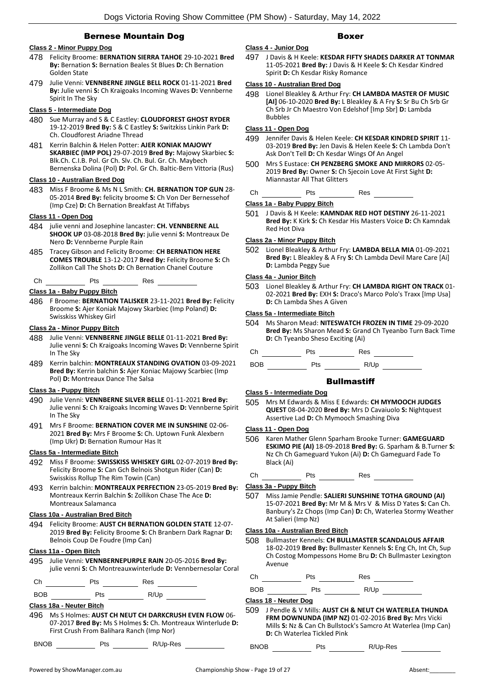## Bernese Mountain Dog

## **Class 2 - Minor Puppy Dog**

- 478 Felicity Broome: **BERNATION SIERRA TAHOE** 29-10-2021 **Bred By:** Bernation **S:** Bernation Beales St Blues **D:** Ch Bernation Golden State
- 479 Julie Venni: **VENNBERNE JINGLE BELL ROCK** 01-11-2021 **Bred By:** Julie venni **S:** Ch Kraigoaks Incoming Waves **D:** Vennberne Spirit In The Sky

## **Class 5 - Intermediate Dog**

- 480 Sue Murray and S & C Eastley: **CLOUDFOREST GHOST RYDER** 19-12-2019 **Bred By:** S & C Eastley **S:** Switzkiss Linkin Park **D:**  Ch. Cloudforest Ariadne Thread
- 481 Kerrin Balchin & Helen Potter: **AJER KONIAK MAJOWY SKARBIEC (IMP POL)** 29-07-2019 **Bred By:** Majowy Skarbiec **S:**  Blk.Ch. C.I.B. Pol. Gr Ch. Slv. Ch. Bul. Gr. Ch. Maybech Bernenska Dolina (Pol) **D:** Pol. Gr Ch. Baltic-Bern Vittoria (Rus)

## **Class 10 - Australian Bred Dog**

483 Miss F Broome & Ms N L Smith: **CH. BERNATION TOP GUN** 28- 05-2014 **Bred By:** felicity broome **S:** Ch Von Der Bernessehof (Imp Cze) **D:** Ch Bernation Breakfast At Tiffabys

## **Class 11 - Open Dog**

- 484 julie venni and Josephine lancaster: **CH. VENNBERNE ALL SHOOK UP** 03-08-2018 **Bred By:** julie venni **S:** Montreaux De Nero **D:** Vennberne Purple Rain
- 485 Tracey Gibson and Felicity Broome: **CH BERNATION HERE COMES TROUBLE** 13-12-2017 **Bred By:** Felicity Broome **S:** Ch Zollikon Call The Shots **D:** Ch Bernation Chanel Couture
- Ch  $Pts$   $Res$

## **Class 1a - Baby Puppy Bitch**

486 F Broome: **BERNATION TALISKER** 23-11-2021 **Bred By:** Felicity Broome **S:** Ajer Koniak Majowy Skarbiec (Imp Poland) **D:**  Swisskiss Whiskey Girl

#### **Class 2a - Minor Puppy Bitch**

- 488 Julie Venni: **VENNBERNE JINGLE BELLE** 01-11-2021 **Bred By:** Julie venni **S:** Ch Kraigoaks Incoming Waves **D:** Vennberne Spirit In The Sky
- 489 Kerrin balchin: **MONTREAUX STANDING OVATION** 03-09-2021 **Bred By:** Kerrin balchin **S:** Ajer Koniac Majowy Scarbiec (Imp Pol) **D:** Montreaux Dance The Salsa

## **Class 3a - Puppy Bitch**

- 490 Julie Venni: **VENNBERNE SILVER BELLE** 01-11-2021 **Bred By:** Julie venni **S:** Ch Kraigoaks Incoming Waves **D:** Vennberne Spirit In The Sky
- 491 Mrs F Broome: **BERNATION COVER ME IN SUNSHINE** 02-06- 2021 **Bred By:** Mrs F Broome **S:** Ch. Uptown Funk Alexbern (Imp Ukr) **D:** Bernation Rumour Has It

#### **Class 5a - Intermediate Bitch**

- 492 Miss F Broome: **SWISSKISS WHISKEY GIRL** 02-07-2019 **Bred By:** Felicity Broome **S:** Can Gch Belnois Shotgun Rider (Can) **D:**  Swisskiss Rollup The Rim Towin (Can)
- 493 Kerrin balchin: **MONTREAUX PERFECTION** 23-05-2019 **Bred By:** Montreaux Kerrin Balchin **S:** Zollikon Chase The Ace **D:**  Montreaux Salamanca

#### **Class 10a - Australian Bred Bitch**

494 Felicity Broome: **AUST CH BERNATION GOLDEN STATE** 12-07- 2019 **Bred By:** Felicity Broome **S:** Ch Branbern Dark Ragnar **D:**  Belnois Coup De Foudre (Imp Can)

## **Class 11a - Open Bitch**

495 Julie Venni: **VENNBERNEPURPLE RAIN** 20-05-2016 **Bred By:** julie venni **S:** Ch Montreauxwinterlude **D:** Vennbernesolar Coral

Ch Pts Res

BOB Pts R/Up

## **Class 18a - Neuter Bitch**

496 Ms S Holmes: **AUST CH NEUT CH DARKCRUSH EVEN FLOW** 06- 07-2017 **Bred By:** Ms S Holmes **S:** Ch. Montreaux Winterlude **D:**  First Crush From Balihara Ranch (Imp Nor)

BNOB Pts R/Up-Res

## Boxer

497 J Davis & H Keele: **KESDAR FIFTY SHADES DARKER AT TONMAR** 11-05-2021 **Bred By:** J Davis & H Keele **S:** Ch Kesdar Kindred Spirit **D:** Ch Kesdar Risky Romance

## **Class 10 - Australian Bred Dog**

498 Lionel Bleakley & Arthur Fry: **CH LAMBDA MASTER OF MUSIC [AI]** 06-10-2020 **Bred By:** L Bleakley & A Fry **S:** Sr Bu Ch Srb Gr Ch Srb Jr Ch Maestro Von Edelshof [Imp Sbr] **D:** Lambda Bubbles

## **Class 11 - Open Dog**

**Class 4 - Junior Dog**

- 499 Jennifer Davis & Helen Keele: **CH KESDAR KINDRED SPIRIT** 11- 03-2019 **Bred By:** Jen Davis & Helen Keele **S:** Ch Lambda Don't Ask Don't Tell **D:** Ch Kesdar Wings Of An Angel
- 500 Mrs S Eustace: **CH PENZBERG SMOKE AND MIRRORS** 02-05- 2019 **Bred By:** Owner **S:** Ch Sjecoin Love At First Sight **D:**  Miannastar All That Glitters

## Ch Pts Res Res

## **Class 1a - Baby Puppy Bitch**

501 J Davis & H Keele: **KAMNDAK RED HOT DESTINY** 26-11-2021 **Bred By:** K Kirk **S:** Ch Kesdar His Masters Voice **D:** Ch Kamndak Red Hot Diva

## **Class 2a - Minor Puppy Bitch**

502 Lionel Bleakley & Arthur Fry: **LAMBDA BELLA MIA** 01-09-2021 **Bred By:** L Bleakley & A Fry **S:** Ch Lambda Devil Mare Care [Ai] **D:** Lambda Peggy Sue

## **Class 4a - Junior Bitch**

503 Lionel Bleakley & Arthur Fry: **CH LAMBDA RIGHT ON TRACK** 01- 02-2021 **Bred By:** EXH **S:** Draco's Marco Polo's Traxx [Imp Usa] **D:** Ch Lambda Shes A Given

## **Class 5a - Intermediate Bitch**

504 Ms Sharon Mead: **NITESWATCH FROZEN IN TIME** 29-09-2020 **Bred By:** Ms Sharon Mead **S:** Grand Ch Tyeanbo Turn Back Time **D:** Ch Tyeanbo Sheso Exciting (Ai)

| Ch<br>Pts<br>$\sim$ $\sim$<br>__ | Res |
|----------------------------------|-----|
|----------------------------------|-----|

BOB Pts R/Up

## **Bullmastiff**

#### **Class 5 - Intermediate Dog**

505 Mrs M Edwards & Miss E Edwards: **CH MYMOOCH JUDGES QUEST** 08-04-2020 **Bred By:** Mrs D Cavaiuolo **S:** Nightquest Assertive Lad **D:** Ch Mymooch Smashing Diva

## **Class 11 - Open Dog**

- 506 Karen Mather Glenn Sparham Brooke Turner: **GAMEGUARD ESKIMO PIE (AI)** 18-09-2018 **Bred By:** G. Sparham & B.Turner **S:**  Nz Ch Ch Gameguard Yukon (Ai) **D:** Ch Gameguard Fade To Black (Ai)
- Ch Pts Res

## **Class 3a - Puppy Bitch**

507 Miss Jamie Pendle: **SALIERI SUNSHINE TOTHA GROUND (AI)** 15-07-2021 **Bred By:** Mr M & Mrs V & Miss D Yates **S:** Can Ch. Banbury's Zz Chops (Imp Can) **D:** Ch, Waterlea Stormy Weather At Salieri (Imp Nz)

#### **Class 10a - Australian Bred Bitch**

508 Bullmaster Kennels: **CH BULLMASTER SCANDALOUS AFFAIR** 18-02-2019 **Bred By:** Bullmaster Kennels **S:** Eng Ch, Int Ch, Sup Ch Costog Mompessons Home Bru **D:** Ch Bullmaster Lexington Avenue

Ch Pts Res

BOB Pts R/Up

**Class 18 - Neuter Dog**

509 J Pendle & V Mills: **AUST CH & NEUT CH WATERLEA THUNDA FRM DOWNUNDA (IMP NZ)** 01-02-2016 **Bred By:** Mrs Vicki Mills **S:** Nz & Can Ch Bullstock's Samcro At Waterlea (Imp Can) **D:** Ch Waterlea Tickled Pink

BNOB Pts R/Up-Res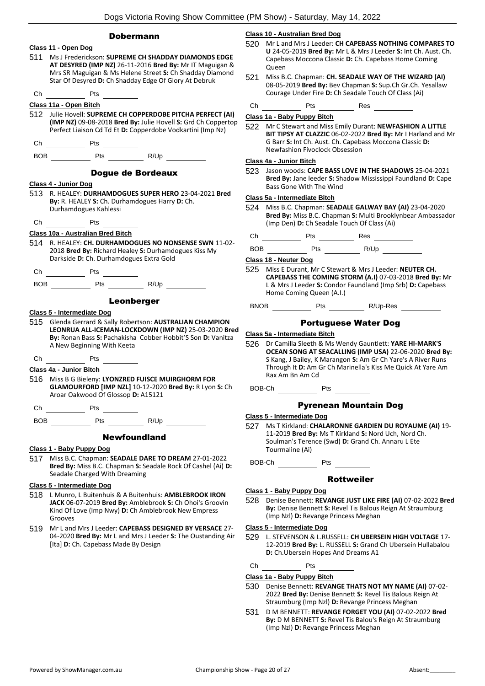## Dobermann



Grooves 519 Mr L and Mrs J Leeder: **CAPEBASS DESIGNED BY VERSACE** 27- 04-2020 **Bred By:** Mr L and Mrs J Leeder **S:** The Oustanding Air [Ita] **D:** Ch. Capebass Made By Design

#### **Class 10 - Australian Bred Dog**

- 520 Mr L and Mrs J Leeder: **CH CAPEBASS NOTHING COMPARES TO U** 24-05-2019 **Bred By:** Mr L & Mrs J Leeder **S:** Int Ch. Aust. Ch. Capebass Moccona Classic **D:** Ch. Capebass Home Coming **Oueen**
- 521 Miss B.C. Chapman: **CH. SEADALE WAY OF THE WIZARD (AI)** 08-05-2019 **Bred By:** Bev Chapman **S:** Sup.Ch Gr.Ch. Yesallaw Courage Under Fire **D:** Ch Seadale Touch Of Class (Ai)
- Ch Pts Res

## **Class 1a - Baby Puppy Bitch**

522 Mr C Stewart and Miss Emily Durant: **NEWFASHION A LITTLE BIT TIPSY AT CLAZZIC** 06-02-2022 **Bred By:** Mr I Harland and Mr G Barr **S:** Int Ch. Aust. Ch. Capebass Moccona Classic **D:**  Newfashion Fivoclock Obsession

## **Class 4a - Junior Bitch**

523 Jason woods: **CAPE BASS LOVE IN THE SHADOWS** 25-04-2021 **Bred By:** Jane leeder **S:** Shadow Mississippi Faundland **D:** Cape Bass Gone With The Wind

#### **Class 5a - Intermediate Bitch**

524 Miss B.C. Chapman: **SEADALE GALWAY BAY (AI)** 23-04-2020 **Bred By:** Miss B.C. Chapman **S:** Multi Brooklynbear Ambassador (Imp Den) **D:** Ch Seadale Touch Of Class (Ai)

Ch Pts Res

BOB Pts R/Up

## **Class 18 - Neuter Dog**

525 Miss E Durant, Mr C Stewart & Mrs J Leeder: **NEUTER CH. CAPEBASS THE COMING STORM (A.I)** 07-03-2018 **Bred By:** Mr L & Mrs J Leeder **S:** Condor Faundland (Imp Srb) **D:** Capebass Home Coming Queen (A.I.)

BNOB Pts R/Up-Res

## Portuguese Water Dog

- **Class 5a - Intermediate Bitch**
- 526 Dr Camilla Sleeth & Ms Wendy Gauntlett: **YARE HI-MARK'S OCEAN SONG AT SEACALLING (IMP USA)** 22-06-2020 **Bred By:** S Kang, J Bailey, K Marangon **S:** Am Gr Ch Yare's A River Runs Through It **D:** Am Gr Ch Marinella's Kiss Me Quick At Yare Am Rax Am Bn Am Cd

BOB-Ch Pts

## Pyrenean Mountain Dog

#### **Class 5 - Intermediate Dog**

527 Ms T Kirkland: **CHALARONNE GARDIEN DU ROYAUME (AI)** 19- 11-2019 **Bred By:** Ms T Kirkland **S:** Nord Uch, Nord Ch. Soulman's Terence (Swd) **D:** Grand Ch. Annaru L Ete Tourmaline (Ai)

BOB-Ch Pts

## Rottweiler

#### **Class 1 - Baby Puppy Dog**

528 Denise Bennett: **REVANGE JUST LIKE FIRE (AI)** 07-02-2022 **Bred By:** Denise Bennett **S:** Revel Tis Balous Reign At Straumburg (Imp Nzl) **D:** Revange Princess Meghan

#### **Class 5 - Intermediate Dog**

529 L. STEVENSON & L.RUSSELL: **CH UBERSEIN HIGH VOLTAGE** 17- 12-2019 **Bred By:** L. RUSSELL **S:** Grand Ch Ubersein Hullabalou **D:** Ch.Ubersein Hopes And Dreams A1

Ch Pts

## **Class 1a - Baby Puppy Bitch**

- 530 Denise Bennett: **REVANGE THATS NOT MY NAME (AI)** 07-02- 2022 **Bred By:** Denise Bennett **S:** Revel Tis Balous Reign At Straumburg (Imp Nzl) **D:** Revange Princess Meghan
- 531 D M BENNETT: **REVANGE FORGET YOU (AI)** 07-02-2022 **Bred By:** D M BENNETT **S:** Revel Tis Balou's Reign At Straumburg (Imp Nzl) **D:** Revange Princess Meghan

Kind Of Love (Imp Nwy) **D:** Ch Amblebrook New Empress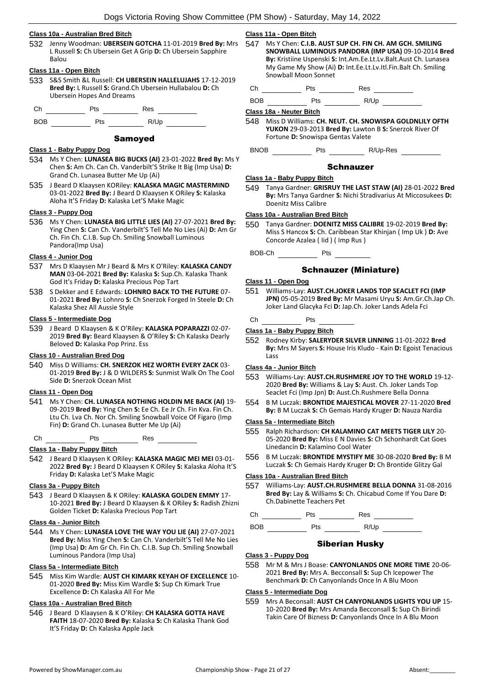## **Class 10a - Australian Bred Bitch**

532 Jenny Woodman: **UBERSEIN GOTCHA** 11-01-2019 **Bred By:** Mrs L Russell **S:** Ch Ubersein Get A Grip **D:** Ch Ubersein Sapphire Balou

#### **Class 11a - Open Bitch**

533 S&S Smith &L Russell: **CH UBERSEIN HALLELUJAHS** 17-12-2019 **Bred By:** L Russell **S:** Grand.Ch Ubersein Hullabalou **D:** Ch Ubersein Hopes And Dreams

Ch Pts Res

BOB Pts R/Up

## Samoyed

#### **Class 1 - Baby Puppy Dog**

- 534 Ms Y Chen: **LUNASEA BIG BUCKS (AI)** 23-01-2022 **Bred By:** Ms Y Chen **S:** Am Ch. Can Ch. Vanderbilt'S Strike It Big (Imp Usa) **D:**  Grand Ch. Lunasea Butter Me Up (Ai)
- 535 J Beard D Klaaysen KORiley: **KALASKA MAGIC MASTERMIND** 03-01-2022 **Bred By:** J Beard D Klaaysen K ORiley **S:** Kalaska Aloha It'S Friday **D:** Kalaska Let'S Make Magic

#### **Class 3 - Puppy Dog**

536 Ms Y Chen: **LUNASEA BIG LITTLE LIES (AI)** 27-07-2021 **Bred By:** Ying Chen **S:** Can Ch. Vanderbilt'S Tell Me No Lies (Ai) **D:** Am Gr Ch. Fin Ch. C.I.B. Sup Ch. Smiling Snowball Luminous Pandora(Imp Usa)

## **Class 4 - Junior Dog**

- 537 Mrs D Klaaysen Mr J Beard & Mrs K O'Riley: **KALASKA CANDY MAN** 03-04-2021 **Bred By:** Kalaska **S:** Sup.Ch. Kalaska Thank God It's Friday **D:** Kalaska Precious Pop Tart
- 538 S Dekker and E Edwards: **LOHNRO BACK TO THE FUTURE** 07- 01-2021 **Bred By:** Lohnro **S:** Ch Snerzok Forged In Steele **D:** Ch Kalaska Shez All Aussie Style

#### **Class 5 - Intermediate Dog**

539 J Beard D Klaaysen & K O'Riley: **KALASKA POPARAZZI** 02-07- 2019 **Bred By:** Beard Klaaysen & O'Riley **S:** Ch Kalaska Dearly Beloved **D:** Kalaska Pop Prinz. Ess

#### **Class 10 - Australian Bred Dog**

540 Miss D Williams: **CH. SNERZOK HEZ WORTH EVERY ZACK** 03- 01-2019 **Bred By:** J & D WILDERS **S:** Sunmist Walk On The Cool Side **D:** Snerzok Ocean Mist

#### **Class 11 - Open Dog**

541 Ms Y Chen: **CH. LUNASEA NOTHING HOLDIN ME BACK (AI)** 19- 09-2019 **Bred By:** Ying Chen **S:** Ee Ch. Ee Jr Ch. Fin Kva. Fin Ch. Ltu Ch. Lva Ch. Nor Ch. Smiling Snowball Voice Of Figaro (Imp Fin) **D:** Grand Ch. Lunasea Butter Me Up (Ai)

Ch Pts Res

## **Class 1a - Baby Puppy Bitch**

542 J Beard D Klaaysen K ORiley: **KALASKA MAGIC MEI MEI** 03-01- 2022 **Bred By:** J Beard D Klaaysen K ORiley **S:** Kalaska Aloha It'S Friday **D:** Kalaska Let'S Make Magic

## **Class 3a - Puppy Bitch**

543 J Beard D Klaaysen & K ORiley: **KALASKA GOLDEN EMMY** 17- 10-2021 **Bred By:** J Beard D Klaaysen & K ORiley **S:** Radish Zhizni Golden Ticket **D:** Kalaska Precious Pop Tart

#### **Class 4a - Junior Bitch**

544 Ms Y Chen: **LUNASEA LOVE THE WAY YOU LIE (AI)** 27-07-2021 **Bred By:** Miss Ying Chen **S:** Can Ch. Vanderbilt'S Tell Me No Lies (Imp Usa) **D:** Am Gr Ch. Fin Ch. C.I.B. Sup Ch. Smiling Snowball Luminous Pandora (Imp Usa)

#### **Class 5a - Intermediate Bitch**

545 Miss Kim Wardle: **AUST CH KIMARK KEYAH OF EXCELLENCE** 10- 01-2020 **Bred By:** Miss Kim Wardle **S:** Sup Ch Kimark True Excellence **D:** Ch Kalaska All For Me

## **Class 10a - Australian Bred Bitch**

546 J Beard D Klaaysen & K O'Riley: **CH KALASKA GOTTA HAVE FAITH** 18-07-2020 **Bred By:** Kalaska **S:** Ch Kalaska Thank God It'S Friday **D:** Ch Kalaska Apple Jack

#### **Class 11a - Open Bitch**

547 Ms Y Chen: **C.I.B. AUST SUP CH. FIN CH. AM GCH. SMILING SNOWBALL LUMINOUS PANDORA (IMP USA)** 09-10-2014 **Bred By:** Kristiine Uspenski **S:** Int.Am.Ee.Lt.Lv.Balt.Aust Ch. Lunasea My Game My Show (Ai) **D:** Int.Ee.Lt.Lv.Itl.Fin.Balt Ch. Smiling Snowball Moon Sonnet

Ch Pts Res

BOB Pts R/Up

## **Class 18a - Neuter Bitch**

548 Miss D Williams: **CH. NEUT. CH. SNOWISPA GOLDNLILY OFTH YUKON** 29-03-2013 **Bred By:** Lawton B **S:** Snerzok River Of Fortune **D:** Snowispa Gentas Valete

BNOB Pts R/Up-Res

#### Schnauzer

#### **Class 1a - Baby Puppy Bitch**

549 Tanya Gardner: **GRISRUY THE LAST STAW (AI)** 28-01-2022 **Bred By:** Mrs Tanya Gardner **S:** Nichi Stradivarius At Miccosukees **D:**  Doenitz Miss Calibre

#### **Class 10a - Australian Bred Bitch**

550 Tanya Gardner: **DOENITZ MISS CALIBRE** 19-02-2019 **Bred By:** Miss S Hancox **S:** Ch. Caribbean Star Khinjan ( Imp Uk ) **D:** Ave Concorde Azalea ( Iid ) ( Imp Rus )

BOB-Ch Pts

## Schnauzer (Miniature)

- **Class 11 - Open Dog**
- 551 Williams-Lay: **AUST.CH.JOKER LANDS TOP SEACLET FCI (IMP JPN)** 05-05-2019 **Bred By:** Mr Masami Uryu **S:** Am.Gr.Ch.Jap Ch. Joker Land Glacyka Fci **D:** Jap.Ch. Joker Lands Adela Fci

## Ch Pts

## **Class 1a - Baby Puppy Bitch**

552 Rodney Kirby: **SALERYDER SILVER LINNING** 11-01-2022 **Bred By:** Mrs M Sayers **S:** House Iris Kludo - Kain **D:** Egoist Tenacious Lass

#### **Class 4a - Junior Bitch**

- 553 Williams-Lay: **AUST.CH.RUSHMERE JOY TO THE WORLD** 19-12- 2020 **Bred By:** Williams & Lay **S:** Aust. Ch. Joker Lands Top Seaclet Fci (Imp Jpn) **D:** Aust.Ch.Rushmere Bella Donna
- 554 B M Luczak: **BRONTIDE MAJESTICAL MOVER** 27-11-2020 **Bred By:** B M Luczak **S:** Ch Gemais Hardy Kruger **D:** Nauza Nardia

#### **Class 5a - Intermediate Bitch**

- 555 Ralph Richardson: **CH KALAMINO CAT MEETS TIGER LILY** 20- 05-2020 **Bred By:** Miss E N Davies **S:** Ch Schonhardt Cat Goes Linedancin **D:** Kalamino Cool Water
- 556 B M Luczak: **BRONTIDE MYSTIFY ME** 30-08-2020 **Bred By:** B M Luczak **S:** Ch Gemais Hardy Kruger **D:** Ch Brontide Glitzy Gal

## **Class 10a - Australian Bred Bitch**

557 Williams-Lay: **AUST.CH.RUSHMERE BELLA DONNA** 31-08-2016 **Bred By:** Lay & Williams **S:** Ch. Chicabud Come If You Dare **D:**  Ch.Dabinette Teachers Pet

Ch Pts Res

BOB Pts R/Up

## Siberian Husky

#### **Class 3 - Puppy Dog**

558 Mr M & Mrs J Boase: **CANYONLANDS ONE MORE TIME** 20-06- 2021 **Bred By:** Mrs A. Becconsall **S:** Sup Ch Icepower The Benchmark **D:** Ch Canyonlands Once In A Blu Moon

## **Class 5 - Intermediate Dog**

559 Mrs A Beconsall: **AUST CH CANYONLANDS LIGHTS YOU UP** 15- 10-2020 **Bred By:** Mrs Amanda Becconsall **S:** Sup Ch Birindi Takin Care Of Bizness **D:** Canyonlands Once In A Blu Moon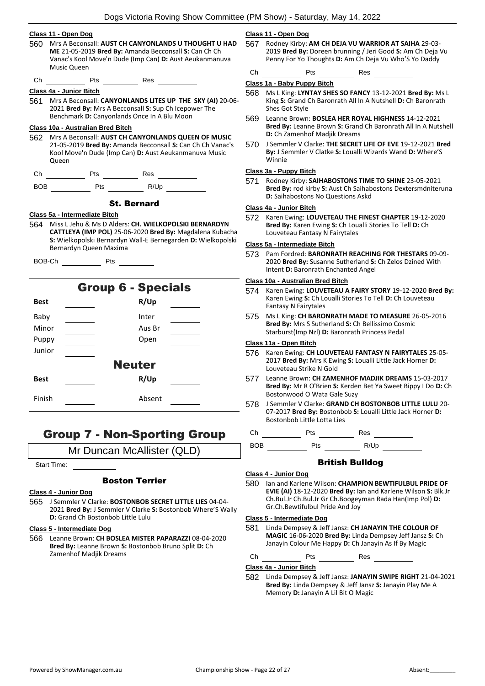#### **Class 11 - Open Dog**

- 560 Mrs A Beconsall: **AUST CH CANYONLANDS U THOUGHT U HAD ME** 21-05-2019 **Bred By:** Amanda Becconsall **S:** Can Ch Ch Vanac's Kool Move'n Dude (Imp Can) **D:** Aust Aeukanmanuva Music Queen
- Ch Pts Res

#### **Class 4a - Junior Bitch**

561 Mrs A Beconsall: **CANYONLANDS LITES UP THE SKY (AI)** 20-06- 2021 **Bred By:** Mrs A Becconsall **S:** Sup Ch Icepower The Benchmark **D:** Canyonlands Once In A Blu Moon

## **Class 10a - Australian Bred Bitch**

562 Mrs A Beconsall: **AUST CH CANYONLANDS QUEEN OF MUSIC** 21-05-2019 **Bred By:** Amanda Becconsall **S:** Can Ch Ch Vanac's Kool Move'n Dude (Imp Can) **D:** Aust Aeukanmanuva Music **Oueen** 

| . .<br>∴n<br>- - - - | ື | Res<br>. |  |
|----------------------|---|----------|--|
|                      |   |          |  |

| <b>BOB</b> | Pts | R/Up |
|------------|-----|------|
|            |     |      |

## St. Bernard

#### **Class 5a - Intermediate Bitch**

564 Miss L Jehu & Ms D Alders: **CH. WIELKOPOLSKI BERNARDYN CATTLEYA (IMP POL)** 25-06-2020 **Bred By:** Magdalena Kubacha **S:** Wielkopolski Bernardyn Wall-E Bernegarden **D:** Wielkopolski Bernardyn Queen Maxima

| <b>Group 6 - Specials</b> |        |  |  |  |
|---------------------------|--------|--|--|--|
| <b>Best</b>               | R/Up   |  |  |  |
| Baby                      | Inter  |  |  |  |
| Minor                     | Aus Br |  |  |  |
| Puppy                     | Open   |  |  |  |
| Junior                    |        |  |  |  |
| <b>Neuter</b>             |        |  |  |  |
| <b>Best</b>               | R/Up   |  |  |  |
| Finish                    | Absent |  |  |  |

## Group 7 - Non-Sporting Group

Mr Duncan McAllister (QLD)

Start Time:

## Boston Terrier

#### **Class 4 - Junior Dog**

565 J Semmler V Clarke: **BOSTONBOB SECRET LITTLE LIES** 04-04- 2021 **Bred By:** J Semmler V Clarke **S:** Bostonbob Where'S Wally **D:** Grand Ch Bostonbob Little Lulu

#### **Class 5 - Intermediate Dog**

566 Leanne Brown: **CH BOSLEA MISTER PAPARAZZI** 08-04-2020 **Bred By:** Leanne Brown **S:** Bostonbob Bruno Split **D:** Ch Zamenhof Madjik Dreams

## **Class 11 - Open Dog**

567 Rodney Kirby: **AM CH DEJA VU WARRIOR AT SAIHA** 29-03- 2019 **Bred By:** Doreen brunning / Jeri Good **S:** Am Ch Deja Vu Penny For Yo Thoughts **D:** Am Ch Deja Vu Who'S Yo Daddy

Ch Pts Res

## **Class 1a - Baby Puppy Bitch**

- 568 Ms L King: **LYNTAY SHES SO FANCY** 13-12-2021 **Bred By:** Ms L King **S:** Grand Ch Baronrath All In A Nutshell **D:** Ch Baronrath Shes Got Style
- 569 Leanne Brown: **BOSLEA HER ROYAL HIGHNESS** 14-12-2021 **Bred By:** Leanne Brown **S:** Grand Ch Baronrath All In A Nutshell **D:** Ch Zamenhof Madjik Dreams
- 570 J Semmler V Clarke: **THE SECRET LIFE OF EVE** 19-12-2021 **Bred By:** J Semmler V Clatke **S:** Loualli Wizards Wand **D:** Where'S Winnie

## **Class 3a - Puppy Bitch**

571 Rodney Kirby: **SAIHABOSTONS TIME TO SHINE** 23-05-2021 **Bred By:** rod kirby **S:** Aust Ch Saihabostons Dextersmdniteruna **D:** Saihabostons No Questions Askd

#### **Class 4a - Junior Bitch**

572 Karen Ewing: **LOUVETEAU THE FINEST CHAPTER** 19-12-2020 **Bred By:** Karen Ewing **S:** Ch Loualli Stories To Tell **D:** Ch Louveteau Fantasy N Fairytales

#### **Class 5a - Intermediate Bitch**

573 Pam Fordred: **BARONRATH REACHING FOR THESTARS** 09-09- 2020 **Bred By:** Susanne Sutherland **S:** Ch Zelos Dzined With Intent **D:** Baronrath Enchanted Angel

## **Class 10a - Australian Bred Bitch**

- 574 Karen Ewing: **LOUVETEAU A FAIRY STORY** 19-12-2020 **Bred By:** Karen Ewing **S:** Ch Loualli Stories To Tell **D:** Ch Louveteau Fantasy N Fairytales
- 575 Ms L King: **CH BARONRATH MADE TO MEASURE** 26-05-2016 **Bred By:** Mrs S Sutherland **S:** Ch Bellissimo Cosmic Starburst(Imp Nzl) **D:** Baronrath Princess Pedal

## **Class 11a - Open Bitch**

- 576 Karen Ewing: **CH LOUVETEAU FANTASY N FAIRYTALES** 25-05- 2017 **Bred By:** Mrs K Ewing **S:** Loualli Little Jack Horner **D:**  Louveteau Strike N Gold
- 577 Leanne Brown: **CH ZAMENHOF MADJIK DREAMS** 15-03-2017 **Bred By:** Mr R O'Brien **S:** Kerden Bet Ya Sweet Bippy I Do **D:** Ch Bostonwood O Wata Gale Suzy
- 578 J Semmler V Clarke: **GRAND CH BOSTONBOB LITTLE LULU** 20- 07-2017 **Bred By:** Bostonbob **S:** Loualli Little Jack Horner **D:**  Bostonbob Little Lotta Lies

Ch Pts Res

BOB Pts R/Up

## British Bulldog

#### **Class 4 - Junior Dog**

580 Ian and Karlene Wilson: **CHAMPION BEWTIFULBUL PRIDE OF EVIE (AI)** 18-12-2020 **Bred By:** Ian and Karlene Wilson **S:** Blk.Jr Ch.Bul.Jr Ch.Bul.Jr Gr Ch.Boogeyman Rada Han(Imp Pol) **D:**  Gr.Ch.Bewtifulbul Pride And Joy

#### **Class 5 - Intermediate Dog**

581 Linda Dempsey & Jeff Jansz: **CH JANAYIN THE COLOUR OF MAGIC** 16-06-2020 **Bred By:** Linda Dempsey Jeff Jansz **S:** Ch Janayin Colour Me Happy **D:** Ch Janayin As If By Magic

Ch Pts Res

**Class 4a - Junior Bitch**

582 Linda Dempsey & Jeff Jansz: **JANAYIN SWIPE RIGHT** 21-04-2021 **Bred By:** Linda Dempsey & Jeff Jansz **S:** Janayin Play Me A Memory **D:** Janayin A Lil Bit O Magic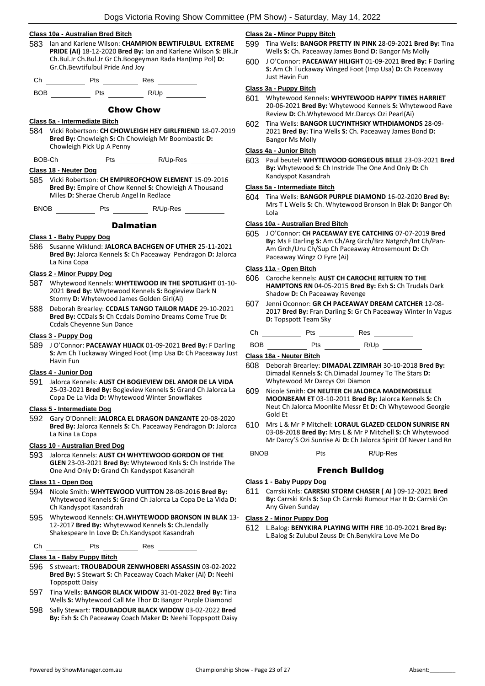## **Class 10a - Australian Bred Bitch**

- 583 Ian and Karlene Wilson: **CHAMPION BEWTIFULBUL EXTREME PRIDE (AI)** 18-12-2020 **Bred By:** Ian and Karlene Wilson **S:** Blk.Jr Ch.Bul.Jr Ch.Bul.Jr Gr Ch.Boogeyman Rada Han(Imp Pol) **D:**  Gr.Ch.Bewtifulbul Pride And Joy
- Ch Pts Res

BOB Pts R/Up

## Chow Chow

#### **Class 5a - Intermediate Bitch**

584 Vicki Robertson: **CH CHOWLEIGH HEY GIRLFRIEND** 18-07-2019 **Bred By:** Chowleigh **S:** Ch Chowleigh Mr Boombastic **D:**  Chowleigh Pick Up A Penny

BOB-Ch Pts R/Up-Res

#### **Class 18 - Neuter Dog**

585 Vicki Robertson: **CH EMPIREOFCHOW ELEMENT** 15-09-2016 **Bred By:** Empire of Chow Kennel **S:** Chowleigh A Thousand Miles **D:** Sherae Cherub Angel In Redlace

BNOB Pts R/Up-Res

## Dalmatian

#### **Class 1 - Baby Puppy Dog**

586 Susanne Wiklund: **JALORCA BACHGEN OF UTHER** 25-11-2021 **Bred By:** Jalorca Kennels **S:** Ch Paceaway Pendragon **D:** Jalorca La Nina Copa

#### **Class 2 - Minor Puppy Dog**

- 587 Whytewood Kennels: **WHYTEWOOD IN THE SPOTLIGHT** 01-10- 2021 **Bred By:** Whytewood Kennels **S:** Bogieview Dark N Stormy **D:** Whytewood James Golden Girl(Ai)
- 588 Deborah Brearley: **CCDALS TANGO TAILOR MADE** 29-10-2021 **Bred By:** CCDals **S:** Ch Ccdals Domino Dreams Come True **D:**  Ccdals Cheyenne Sun Dance

#### **Class 3 - Puppy Dog**

589 J O'Connor: **PACEAWAY HIJACK** 01-09-2021 **Bred By:** F Darling **S:** Am Ch Tuckaway Winged Foot (Imp Usa **D:** Ch Paceaway Just Havin Fun

#### **Class 4 - Junior Dog**

591 Jalorca Kennels: **AUST CH BOGIEVIEW DEL AMOR DE LA VIDA** 25-03-2021 **Bred By:** Bogieview Kennels **S:** Grand Ch Jalorca La Copa De La Vida **D:** Whytewood Winter Snowflakes

### **Class 5 - Intermediate Dog**

592 Gary O'Donnell: **JALORCA EL DRAGON DANZANTE** 20-08-2020 **Bred By:** Jalorca Kennels **S:** Ch. Paceaway Pendragon **D:** Jalorca La Nina La Copa

#### **Class 10 - Australian Bred Dog**

593 Jalorca Kennels: **AUST CH WHYTEWOOD GORDON OF THE GLEN** 23-03-2021 **Bred By:** Whytewood Knls **S:** Ch Instride The One And Only **D:** Grand Ch Kandyspot Kasandrah

#### **Class 11 - Open Dog**

- 594 Nicole Smith: **WHYTEWOOD VUITTON** 28-08-2016 **Bred By:** Whytewood Kennels **S:** Grand Ch Jalorca La Copa De La Vida **D:**  Ch Kandyspot Kasandrah
- 595 Whytewood Kennels: **CH.WHYTEWOOD BRONSON IN BLAK** 13- 12-2017 **Bred By:** Whytewwod Kennels **S:** Ch.Jendally Shakespeare In Love **D:** Ch.Kandyspot Kasandrah

Ch Pts Res

#### **Class 1a - Baby Puppy Bitch**

- 596 S stweart: **TROUBADOUR ZENWHOBERI ASSASSIN** 03-02-2022 **Bred By:** S Stewart **S:** Ch Paceaway Coach Maker (Ai) **D:** Neehi Toppspott Daisy
- 597 Tina Wells: **BANGOR BLACK WIDOW** 31-01-2022 **Bred By:** Tina Wells **S:** Whytewood Call Me Thor **D:** Bangor Purple Diamond
- 598 Sally Stewart: **TROUBADOUR BLACK WIDOW** 03-02-2022 **Bred By:** Exh **S:** Ch Paceaway Coach Maker **D:** Neehi Toppspott Daisy

## **Class 2a - Minor Puppy Bitch**

- 599 Tina Wells: **BANGOR PRETTY IN PINK** 28-09-2021 **Bred By:** Tina Wells **S:** Ch. Paceaway James Bond **D:** Bangor Ms Molly
- 600 J O'Connor: **PACEAWAY HILIGHT** 01-09-2021 **Bred By:** F Darling **S:** Am Ch Tuckaway Winged Foot (Imp Usa) **D:** Ch Paceaway Just Havin Fun

## **Class 3a - Puppy Bitch**

- 601 Whytewood Kennels: **WHYTEWOOD HAPPY TIMES HARRIET** 20-06-2021 **Bred By:** Whytewood Kennels **S:** Whytewood Rave Review **D:** Ch.Whytewood Mr.Darcys Ozi Pearl(Ai)
- 602 Tina Wells: **BANGOR LUCYINTHSKY WTHDIAMONDS** 28-09- 2021 **Bred By:** Tina Wells **S:** Ch. Paceaway James Bond **D:**  Bangor Ms Molly

#### **Class 4a - Junior Bitch**

603 Paul beutel: **WHYTEWOOD GORGEOUS BELLE** 23-03-2021 **Bred By:** Whytewood **S:** Ch Instride The One And Only **D:** Ch Kandyspot Kasandrah

#### **Class 5a - Intermediate Bitch**

604 Tina Wells: **BANGOR PURPLE DIAMOND** 16-02-2020 **Bred By:** Mrs T L Wells **S:** Ch. Whytewood Bronson In Blak **D:** Bangor Oh Lola

#### **Class 10a - Australian Bred Bitch**

605 J O'Connor: **CH PACEAWAY EYE CATCHING** 07-07-2019 **Bred By:** Ms F Darling **S:** Am Ch/Arg Grch/Brz Natgrch/Int Ch/Pan-Am Grch/Uru Ch/Sup Ch Paceaway Atrosemount **D:** Ch Paceaway Wingz O Fyre (Ai)

#### **Class 11a - Open Bitch**

- 606 Caroche kennels: **AUST CH CAROCHE RETURN TO THE HAMPTONS RN** 04-05-2015 **Bred By:** Exh **S:** Ch Trudals Dark Shadow **D:** Ch Paceaway Revenge
- 607 Jenni Oconnor: **GR CH PACEAWAY DREAM CATCHER** 12-08- 2017 **Bred By:** Fran Darling **S:** Gr Ch Paceaway Winter In Vagus **D:** Topspott Team Sky

| ı         | ູ | -- |
|-----------|---|----|
| $\ddotsc$ |   | __ |
|           |   |    |

## BOB Pts R/Up

#### **Class 18a - Neuter Bitch**

- 608 Deborah Brearley: **DIMADAL ZZIMRAH** 30-10-2018 **Bred By:** Dimadal Kennels **S:** Ch.Dimadal Journey To The Stars **D:**  Whytewood Mr Darcys Ozi Diamon
- 609 Nicole Smith: **CH NEUTER CH JALORCA MADEMOISELLE MOONBEAM ET** 03-10-2011 **Bred By:** Jalorca Kennels **S:** Ch Neut Ch Jalorca Moonlite Messr Et **D:** Ch Whytewood Georgie Gold Et
- 610 Mrs L & Mr P Mitchell: **LORAUL GLAZED CELDON SUNRISE RN** 03-08-2018 **Bred By:** Mrs L & Mr P Mitchell **S:** Ch Whytewood Mr Darcy'S Ozi Sunrise Ai **D:** Ch Jalorca Spirit Of Never Land Rn

BNOB Pts R/Up-Res

## French Bulldog

#### **Class 1 - Baby Puppy Dog**

611 Carrski Knls: **CARRSKI STORM CHASER ( AI )** 09-12-2021 **Bred By:** Carrski Knls **S:** Sup Ch Carrski Rumour Haz It **D:** Carrski On Any Given Sunday

#### **Class 2 - Minor Puppy Dog**

612 L.Balog: **BENYKIRA PLAYING WITH FIRE** 10-09-2021 **Bred By:** L.Balog **S:** Zulubul Zeuss **D:** Ch.Benykira Love Me Do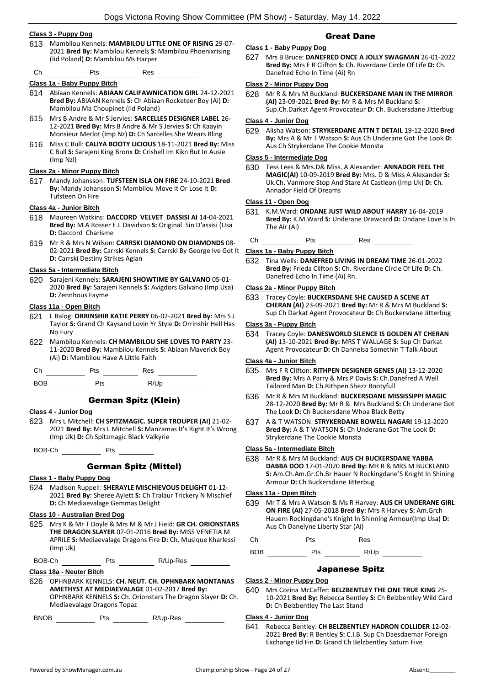## **Class 3 - Puppy Dog**

613 Mambilou Kennels: **MAMBILOU LITTLE ONE OF RISING** 29-07- 2021 **Bred By:** Mambilou Kennels **S:** Mambilou Phoenixrising (Iid Poland) **D:** Mambilou Ms Harper

Ch Pts Res

## **Class 1a - Baby Puppy Bitch**

- 614 Abiaan Kennels: **ABIAAN CALIFAWNICATION GIRL** 24-12-2021 **Bred By:** ABIAAN Kennels **S:** Ch Abiaan Rocketeer Boy (Ai) **D:**  Mambilou Ma Choupinet (Iid Poland)
- 615 Mrs B Andre & Mr S Jervies: **SARCELLES DESIGNER LABEL** 26- 12-2021 **Bred By:** Mrs B Andre & Mr S Jervies **S:** Ch Kaayin Monsieur Merlot (Imp Nz) **D:** Ch Sarcelles She Wears Bling
- 616 Miss C Bull: **CALIYA BOOTY LICIOUS** 18-11-2021 **Bred By:** Miss C Bull **S:** Sarajeni King Bronx **D:** Crishell Im Kikn But In Ausie (Imp Nzl)

#### **Class 2a - Minor Puppy Bitch**

617 Mandy Johansson: **TUFSTEEN ISLA ON FIRE** 24-10-2021 **Bred By:** Mandy Johansson **S:** Mambilou Move It Or Lose It **D:**  Tufsteen On Fire

#### **Class 4a - Junior Bitch**

- 618 Maureen Watkins: **DACCORD VELVET DASSISI AI** 14-04-2021 **Bred By:** M.A Rosser E.L Davidson **S:** Original Sin D'assisi (Usa **D:** Daccord Charisme
- 619 Mr R & Mrs N Wilson: **CARRSKI DIAMOND ON DIAMONDS** 08- 02-2021 **Bred By:** Carrski Kennels **S:** Carrski By George Ive Got It **D:** Carrski Destiny Strikes Agian

#### **Class 5a - Intermediate Bitch**

620 Sarajeni Kennels: **SARAJENI SHOWTIME BY GALVANO** 05-01- 2020 **Bred By:** Sarajeni Kennels **S:** Avigdors Galvano (Imp Usa) **D:** Zennhous Fayme

#### **Class 11a - Open Bitch**

- 621 L Balog: **ORRINSHIR KATIE PERRY** 06-02-2021 **Bred By:** Mrs S J Taylor **S:** Grand Ch Kaysand Lovin Yr Style **D:** Orrinshir Hell Has No Fury
- 622 Mambilou Kennels: **CH MAMBILOU SHE LOVES TO PARTY** 23- 11-2020 **Bred By:** Mambilou Kennels **S:** Abiaan Maverick Boy (Ai) **D:** Mambilou Have A Little Faith

Ch Pts Res

BOB Pts R/Up

## German Spitz (Klein)

- **Class 4 - Junior Dog**
- 623 Mrs L Mitchell: **CH SPITZMAGIC. SUPER TROUPER (AI)** 21-02- 2021 **Bred By:** Mrs L Mitchell **S:** Manzamas It's Right It's Wrong (Imp Uk) **D:** Ch Spitzmagic Black Valkyrie

BOB-Ch Pts

## German Spitz (Mittel)

#### **Class 1 - Baby Puppy Dog**

624 Madison Ruppell: **SHERAYLE MISCHIEVOUS DELIGHT** 01-12- 2021 **Bred By:** Sheree Aylett **S:** Ch Tralaur Trickery N Mischief **D:** Ch Mediaevalage Gemmas Delight

## **Class 10 - Australian Bred Dog**

625 Mrs K & Mr T Doyle & Mrs M & Mr J Field: **GR CH. ORIONSTARS THE DRAGON SLAYER** 07-01-2016 **Bred By:** MISS VENETIA M APRILE **S:** Mediaevalage Dragons Fire **D:** Ch. Musique Kharlessi (Imp Uk)

BOB-Ch Pts R/Up-Res RIUD-Res

## **Class 18a - Neuter Bitch**

626 OPHNBARK KENNELS: **CH. NEUT. CH. OPHNBARK MONTANAS AMETHYST AT MEDIAEVALAGE** 01-02-2017 **Bred By:** OPHNBARK KENNELS **S:** Ch. Orionstars The Dragon Slayer **D:** Ch. Mediaevalage Dragons Topaz

BNOB Pts R/Up-Res

## Great Dane

## **Class 1 - Baby Puppy Dog**

627 Mrs B Bruce: **DANEFRED ONCE A JOLLY SWAGMAN** 26-01-2022 **Bred By:** Mrs F R Clifton **S:** Ch. Riverdane Circle Of Life **D:** Ch. Danefred Echo In Time (Ai) Rn

## **Class 2 - Minor Puppy Dog**

628 Mr R & Mrs M Buckland: **BUCKERSDANE MAN IN THE MIRROR (AI)** 23-09-2021 **Bred By:** Mr R & Mrs M Buckland **S:**  Sup.Ch.Darkat Agent Provocateur **D:** Ch. Buckersdane Jitterbug

## **Class 4 - Junior Dog**

629 Alisha Watson: **STRYKERDANE ATTN T DETAIL** 19-12-2020 **Bred By:** Mrs A & Mr T Watson **S:** Aus Ch Underane Got The Look **D:**  Aus Ch Strykerdane The Cookie Monsta

## **Class 5 - Intermediate Dog**

630 Tess Lees & Mrs.D& Miss. A Alexander: **ANNADOR FEEL THE MAGIC(AI)** 10-09-2019 **Bred By:** Mrs. D & Miss A Alexander **S:**  Uk.Ch. Vanmore Stop And Stare At Castleon (Imp Uk) **D:** Ch. Annador Field Of Dreams

## **Class 11 - Open Dog**

- 631 K.M.Ward: **ONDANE JUST WILD ABOUT HARRY** 16-04-2019 **Bred By:** K.M.Ward **S:** Underane Drawcard **D:** Ondane Love Is In The Air (Ai)
- Ch Pts Res

## **Class 1a - Baby Puppy Bitch**

632 Tina Wells: **DANEFRED LIVING IN DREAM TIME** 26-01-2022 **Bred By:** Frieda Clifton **S:** Ch. Riverdane Circle Of Life **D:** Ch. Danefred Echo In Time (Ai) Rn.

## **Class 2a - Minor Puppy Bitch**

633 Tracey Coyle: **BUCKERSDANE SHE CAUSED A SCENE AT CHERAN (AI)** 23-09-2021 **Bred By:** Mr R & Mrs M Buckland **S:**  Sup Ch Darkat Agent Provocateur **D:** Ch Buckersdane Jitterbug

## **Class 3a - Puppy Bitch**

634 Tracey Coyle: **DANESWORLD SILENCE IS GOLDEN AT CHERAN (AI)** 13-10-2021 **Bred By:** MRS T WALLAGE **S:** Sup Ch Darkat Agent Provocateur **D:** Ch Dannelsa Somethin T Talk About

## **Class 4a - Junior Bitch**

- 635 Mrs F R Clifton: **RITHPEN DESIGNER GENES (AI)** 13-12-2020 **Bred By:** Mrs A Parry & Mrs P Davis **S:** Ch.Danefred A Well Tailored Man **D:** Ch.Rithpen Shezz Bootyfull
- 636 Mr R & Mrs M Buckland: **BUCKERSDANE MISSISSIPPI MAGIC** 28-12-2020 **Bred By:** Mr R & Mrs Buckland **S:** Ch Underane Got The Look **D:** Ch Buckersdane Whoa Black Betty
- 637 A & T WATSON: **STRYKERDANE BOWELL NAGARI** 19-12-2020 **Bred By:** A & T WATSON **S:** Ch Underane Got The Look **D:**  Strykerdane The Cookie Monsta

## **Class 5a - Intermediate Bitch**

638 Mr R & Mrs M Buckland: **AUS CH BUCKERSDANE YABBA DABBA DOO** 17-01-2020 **Bred By:** MR R & MRS M BUCKLAND **S:** Am.Ch.Am.Gr.Ch.Br Hauer N Rockingdane'S Knight In Shining Armour **D:** Ch Buckersdane Jitterbug

#### **Class 11a - Open Bitch**

639 Mr T & Mrs A Watson & Ms R Harvey: **AUS CH UNDERANE GIRL ON FIRE (AI)** 27-05-2018 **Bred By:** Mrs R Harvey **S:** Am.Grch Hauern Rockingdane's Knight In Shinning Armour(Imp Usa) **D:**  Aus Ch Danelyne Liberty Star (Ai)

Ch Pts Res

BOB Pts R/Up

## Japanese Spitz

#### **Class 2 - Minor Puppy Dog**

640 Mrs Corina McCaffer: **BELZBENTLEY THE ONE TRUE KING** 25- 10-2021 **Bred By:** Rebecca Bentley **S:** Ch Belzbentley Wild Card **D:** Ch Belzbentley The Last Stand

#### **Class 4 - Junior Dog**

641 Rebecca Bentley: **CH BELZBENTLEY HADRON COLLIDER** 12-02- 2021 **Bred By:** R Bentley **S:** C.I.B. Sup Ch Daesdaemar Foreign Exchange Iid Fin **D:** Grand Ch Belzbentley Saturn Five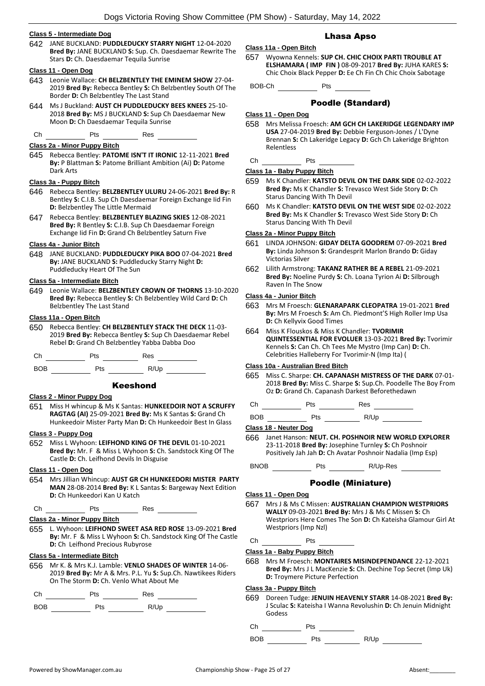## **Class 5 - Intermediate Dog**

642 JANE BUCKLAND: **PUDDLEDUCKY STARRY NIGHT** 12-04-2020 **Bred By:** JANE BUCKLAND **S:** Sup. Ch. Daesdaemar Rewrite The Stars **D:** Ch. Daesdaemar Tequila Sunrise

#### **Class 11 - Open Dog**

- 643 Leonie Wallace: **CH BELZBENTLEY THE EMINEM SHOW** 27-04- 2019 **Bred By:** Rebecca Bentley **S:** Ch Belzbentley South Of The Border **D:** Ch Belzbentley The Last Stand
- 644 Ms J Buckland: **AUST CH PUDDLEDUCKY BEES KNEES** 25-10- 2018 **Bred By:** MS J BUCKLAND **S:** Sup Ch Daesdaemar New Moon **D:** Ch Daesdaemar Tequila Sunrise
- Ch Pts Res

## **Class 2a - Minor Puppy Bitch**

645 Rebecca Bentley: **PATOME ISN'T IT IRONIC** 12-11-2021 **Bred By:** P Blattman **S:** Patome Brilliant Ambition (Ai) **D:** Patome Dark Arts

#### **Class 3a - Puppy Bitch**

- 646 Rebecca Bentley: **BELZBENTLEY ULURU** 24-06-2021 **Bred By:** R Bentley **S:** C.I.B. Sup Ch Daesdaemar Foreign Exchange Iid Fin **D:** Belzbentley The Little Mermaid
- 647 Rebecca Bentley: **BELZBENTLEY BLAZING SKIES** 12-08-2021 **Bred By:** R Bentley **S:** C.I.B. Sup Ch Daesdaemar Foreign Exchange Iid Fin **D:** Grand Ch Belzbentley Saturn Five

#### **Class 4a - Junior Bitch**

648 JANE BUCKLAND: **PUDDLEDUCKY PIKA BOO** 07-04-2021 **Bred By:** JANE BUCKLAND **S:** Puddleducky Starry Night **D:**  Puddleducky Heart Of The Sun

#### **Class 5a - Intermediate Bitch**

649 Leonie Wallace: **BELZBENTLEY CROWN OF THORNS** 13-10-2020 **Bred By:** Rebecca Bentley **S:** Ch Belzbentley Wild Card **D:** Ch Belzbentley The Last Stand

## **Class 11a - Open Bitch**

650 Rebecca Bentley: **CH BELZBENTLEY STACK THE DECK** 11-03- 2019 **Bred By:** Rebecca Bentley **S:** Sup Ch Daesdaemar Rebel Rebel **D:** Grand Ch Belzbentley Yabba Dabba Doo

Ch Pts Res



## Keeshond

## **Class 2 - Minor Puppy Dog**

651 Miss H whincup & Ms K Santas: **HUNKEEDOIR NOT A SCRUFFY RAGTAG (AI)** 25-09-2021 **Bred By:** Ms K Santas **S:** Grand Ch Hunkeedoir Mister Party Man **D:** Ch Hunkeedoir Best In Glass

## **Class 3 - Puppy Dog**

652 Miss L Wyhoon: **LEIFHOND KING OF THE DEVIL** 01-10-2021 **Bred By:** Mr. F & Miss L Wyhoon **S:** Ch. Sandstock King Of The Castle **D:** Ch. Leifhond Devils In Disguise

## **Class 11 - Open Dog**

654 Mrs Jillian Whincup: **AUST GR CH HUNKEEDORI MISTER PARTY MAN** 28-08-2014 **Bred By:** K L Santas **S:** Bargeway Next Edition **D:** Ch Hunkeedori Kan U Katch

 $Ch$   $N$  Pts  $N$  Res  $\rightarrow$ 

## **Class 2a - Minor Puppy Bitch**

655 L. Wyhoon: **LEIFHOND SWEET ASA RED ROSE** 13-09-2021 **Bred By:** Mr. F & Miss L Wyhoon **S:** Ch. Sandstock King Of The Castle **D:** Ch Leifhond Precious Rubyrose

## **Class 5a - Intermediate Bitch**

656 Mr K. & Mrs K.J. Lamble: **VENLO SHADES OF WINTER** 14-06- 2019 **Bred By:** Mr A & Mrs. P.L. Yu **S:** Sup.Ch. Nawtikees Riders On The Storm **D:** Ch. Venlo What About Me

Ch Pts Res

BOB Pts R/Up

## Lhasa Apso

## **Class 11a - Open Bitch**

657 Wyowna Kennels: **SUP CH. CHIC CHOIX PARTI TROUBLE AT ELSHAMARA ( IMP FIN )** 08-09-2017 **Bred By:** JUHA KARES **S:**  Chic Choix Black Pepper **D:** Ee Ch Fin Ch Chic Choix Sabotage

BOB-Ch Pts

## Poodle (Standard)

## **Class 11 - Open Dog**

658 Mrs Melissa Froesch: **AM GCH CH LAKERIDGE LEGENDARY IMP USA** 27-04-2019 **Bred By:** Debbie Ferguson-Jones / L'Dyne Brennan **S:** Ch Lakeridge Legacy **D:** Gch Ch Lakeridge Brighton Relentless

Ch Pts

#### **Class 1a - Baby Puppy Bitch**

- 659 Ms K Chandler: **KATSTO DEVIL ON THE DARK SIDE** 02-02-2022 **Bred By:** Ms K Chandler **S:** Trevasco West Side Story **D:** Ch Starus Dancing With Th Devil
- 660 Ms K Chandler: **KATSTO DEVIL ON THE WEST SIDE** 02-02-2022 **Bred By:** Ms K Chandler **S:** Trevasco West Side Story **D:** Ch Starus Dancing With Th Devil

## **Class 2a - Minor Puppy Bitch**

- 661 LINDA JOHNSON: **GIDAY DELTA GOODREM** 07-09-2021 **Bred By:** Linda Johnson **S:** Grandesprit Marlon Brando **D:** Giday Victorias Silver
- 662 Lilith Armstrong: **TAKANZ RATHER BE A REBEL** 21-09-2021 **Bred By:** Noeline Purdy **S:** Ch. Loana Tyrion Ai **D:** Silbrough Raven In The Snow

## **Class 4a - Junior Bitch**

- 663 Mrs M Froesch: **GLENARAPARK CLEOPATRA** 19-01-2021 **Bred By:** Mrs M Froesch **S:** Am Ch. Piedmont'S High Roller Imp Usa **D:** Ch Kellyvix Good Times
- 664 Miss K Flouskos & Miss K Chandler: **TVORIMIR QUINTESSENTIAL FOR EVOLUER** 13-03-2021 **Bred By:** Tvorimir Kennels **S:** Can Ch. Ch Tees Me Mystro (Imp Can) **D:** Ch. Celebrities Halleberry For Tvorimir-N (Imp Ita) (

## **Class 10a - Australian Bred Bitch**

- 665 Miss C. Sharpe: **CH. CAPANASH MISTRESS OF THE DARK** 07-01- 2018 **Bred By:** Miss C. Sharpe **S:** Sup.Ch. Poodelle The Boy From Oz **D:** Grand Ch. Capanash Darkest Beforethedawn
- Ch Pts Res

 $BOB$  Pts  $R/Up$ 

**Class 18 - Neuter Dog**

- 666 Janet Hanson: **NEUT. CH. POSHNOIR NEW WORLD EXPLORER** 23-11-2018 **Bred By:** Josephine Turnley **S:** Ch Poshnoir Positively Jah Jah **D:** Ch Avatar Poshnoir Nadalia (Imp Esp)
- BNOB Pts R/Up-Res

## Poodle (Miniature)

## **Class 11 - Open Dog**

- 667 Mrs J & Ms C Missen: **AUSTRALIAN CHAMPION WESTPRIORS WALLY** 09-03-2021 **Bred By:** Mrs J & Ms C Missen **S:** Ch Westpriors Here Comes The Son **D:** Ch Kateisha Glamour Girl At Westpriors (Imp Nzl)
- Ch Pts

#### **Class 1a - Baby Puppy Bitch**

668 Mrs M Froesch: **MONTAIRES MISINDEPENDANCE** 22-12-2021 **Bred By:** Mrs J L MacKenzie **S:** Ch. Dechine Top Secret (Imp Uk) **D:** Troymere Picture Perfection

## **Class 3a - Puppy Bitch**

669 Doreen Tudge: **JENUIN HEAVENLY STARR** 14-08-2021 **Bred By:** J Sculac **S:** Kateisha I Wanna Revolushin **D:** Ch Jenuin Midnight Godess

 $Ch$  Pts  $I$ 

 $BOB$  Pts  $R/Up$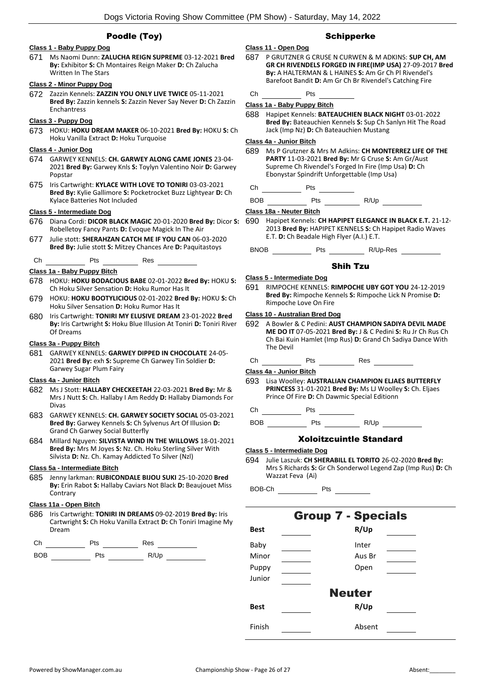## Poodle (Toy)

## **Class 1 - Baby Puppy Dog**

671 Ms Naomi Dunn: **ZALUCHA REIGN SUPREME** 03-12-2021 **Bred By:** Exhibitor **S:** Ch Montaires Reign Maker **D:** Ch Zalucha Written In The Stars

## **Class 2 - Minor Puppy Dog**

672 Zazzin Kennels: **ZAZZIN YOU ONLY LIVE TWICE** 05-11-2021 **Bred By:** Zazzin kennels **S:** Zazzin Never Say Never **D:** Ch Zazzin Enchantress

## **Class 3 - Puppy Dog**

673 HOKU: **HOKU DREAM MAKER** 06-10-2021 **Bred By:** HOKU **S:** Ch Hoku Vanilla Extract **D:** Hoku Turquoise

#### **Class 4 - Junior Dog**

- 674 GARWEY KENNELS: **CH. GARWEY ALONG CAME JONES** 23-04- 2021 **Bred By:** Garwey Knls **S:** Toylyn Valentino Noir **D:** Garwey Popstar
- 675 Iris Cartwright: **KYLACE WITH LOVE TO TONIRI** 03-03-2021 **Bred By:** Kylie Gallimore **S:** Pocketrocket Buzz Lightyear **D:** Ch Kylace Batteries Not Included

#### **Class 5 - Intermediate Dog**

- 676 Diana Cordi: **DICOR BLACK MAGIC** 20-01-2020 **Bred By:** Dicor **S:**  Robelletoy Fancy Pants **D:** Evoque Magick In The Air
- 677 Julie stott: **SHERAHZAN CATCH ME IF YOU CAN** 06-03-2020 **Bred By:** Julie stott **S:** Mitzey Chances Are **D:** Paquitastoys
- Ch Pts Res

## **Class 1a - Baby Puppy Bitch**

- 678 HOKU: **HOKU BODACIOUS BABE** 02-01-2022 **Bred By:** HOKU **S:**  Ch Hoku Silver Sensation **D:** Hoku Rumor Has It
- 679 HOKU: **HOKU BOOTYLICIOUS** 02-01-2022 **Bred By:** HOKU **S:** Ch Hoku Silver Sensation **D:** Hoku Rumor Has It
- 680 Iris Cartwright: **TONIRI MY ELUSIVE DREAM** 23-01-2022 **Bred By:** Iris Cartwright **S:** Hoku Blue Illusion At Toniri **D:** Toniri River Of Dreams

## **Class 3a - Puppy Bitch**

681 GARWEY KENNELS: **GARWEY DIPPED IN CHOCOLATE** 24-05- 2021 **Bred By:** exh **S:** Supreme Ch Garwey Tin Soldier **D:**  Garwey Sugar Plum Fairy

## **Class 4a - Junior Bitch**

- 682 Ms J Stott: **HALLABY CHECKEETAH** 22-03-2021 **Bred By:** Mr & Mrs J Nutt **S:** Ch. Hallaby I Am Reddy **D:** Hallaby Diamonds For Divas
- 683 GARWEY KENNELS: **CH. GARWEY SOCIETY SOCIAL** 05-03-2021 **Bred By:** Garwey Kennels **S:** Ch Sylvenus Art Of Illusion **D:**  Grand Ch Garwey Social Butterfly
- 684 Millard Nguyen: **SILVISTA WIND IN THE WILLOWS** 18-01-2021 **Bred By:** Mrs M Joyes **S:** Nz. Ch. Hoku Sterling Silver With Silvista **D:** Nz. Ch. Kamay Addicted To Silver (Nzl)

## **Class 5a - Intermediate Bitch**

685 Jenny larkman: **RUBICONDALE BIJOU SUKI** 25-10-2020 **Bred By:** Erin Rabot **S:** Hallaby Caviars Not Black **D:** Beaujouet Miss **Contrary** 

## **Class 11a - Open Bitch**

686 Iris Cartwright: **TONIRI IN DREAMS** 09-02-2019 **Bred By:** Iris Cartwright **S:** Ch Hoku Vanilla Extract **D:** Ch Toniri Imagine My Dream



BOB Pts R/Up

## Schipperke

- **Class 11 - Open Dog** 687 P GRUTZNER G CRUSE N CURWEN & M ADKINS: **SUP CH, AM GR CH RIVENDELS FORGED IN FIRE(IMP USA)** 27-09-2017 **Bred By:** A HALTERMAN & L HAINES **S:** Am Gr Ch Pl Rivendel's Barefoot Bandit **D:** Am Gr Ch Br Rivendel's Catching Fire
- Ch Pts

#### **Class 1a - Baby Puppy Bitch**

688 Hapipet Kennels: **BATEAUCHIEN BLACK NIGHT** 03-01-2022 **Bred By:** Bateauchien Kennels **S:** Sup Ch Sanlyn Hit The Road Jack (Imp Nz) **D:** Ch Bateauchien Mustang

## **Class 4a - Junior Bitch**

- 689 Ms P Grutzner & Mrs M Adkins: **CH MONTERREZ LIFE OF THE PARTY** 11-03-2021 **Bred By:** Mr G Cruse **S:** Am Gr/Aust Supreme Ch Rivendel's Forged In Fire (Imp Usa) **D:** Ch Ebonystar Spindrift Unforgettable (Imp Usa)
- Ch Pts

BOB Pts R/Up

#### **Class 18a - Neuter Bitch**

690 Hapipet Kennels: **CH HAPIPET ELEGANCE IN BLACK E.T.** 21-12- 2013 **Bred By:** HAPIPET KENNELS **S:** Ch Hapipet Radio Waves E.T. **D:** Ch Beadale High Flyer (A.I.) E.T.

BNOB Pts R/Up-Res

## Shih Tzu

- **Class 5 - Intermediate Dog**
- 691 RIMPOCHE KENNELS: **RIMPOCHE UBY GOT YOU** 24-12-2019 **Bred By:** Rimpoche Kennels **S:** Rimpoche Lick N Promise **D:**  Rimpoche Love On Fire

#### **Class 10 - Australian Bred Dog**

692 A Bowler & C Pedini: **AUST CHAMPION SADIYA DEVIL MADE ME DO IT** 07-05-2021 **Bred By:** J & C Pedini **S:** Ru Jr Ch Rus Ch Ch Bai Kuin Hamlet (Imp Rus) **D:** Grand Ch Sadiya Dance With The Devil

Ch Pts Res

**Class 4a - Junior Bitch**

693 Lisa Woolley: **AUSTRALIAN CHAMPION ELJAES BUTTERFLY PRINCESS** 31-01-2021 **Bred By:** Ms LJ Woolley **S:** Ch. Eljaes Prince Of Fire **D:** Ch Dawmic Special Editionn

Ch Pts

BOB Pts R/Up

## Xoloitzcuintle Standard

- **Class 5 - Intermediate Dog**
- 694 Julie Laszuk: **CH SHERABILL EL TORITO** 26-02-2020 **Bred By:** Mrs S Richards **S:** Gr Ch Sonderwol Legend Zap (Imp Rus) **D:** Ch Wazzat Feva (Ai)

BOB-Ch Pts

|             | <b>Group 7 - Specials</b> |
|-------------|---------------------------|
| <b>Best</b> | R/Up                      |
| Baby        | Inter                     |
| Minor       | Aus Br                    |
| Puppy       | Open                      |
| Junior      |                           |
|             | <b>Neuter</b>             |
| <b>Best</b> | R/Up                      |
| Finish      | Absent                    |